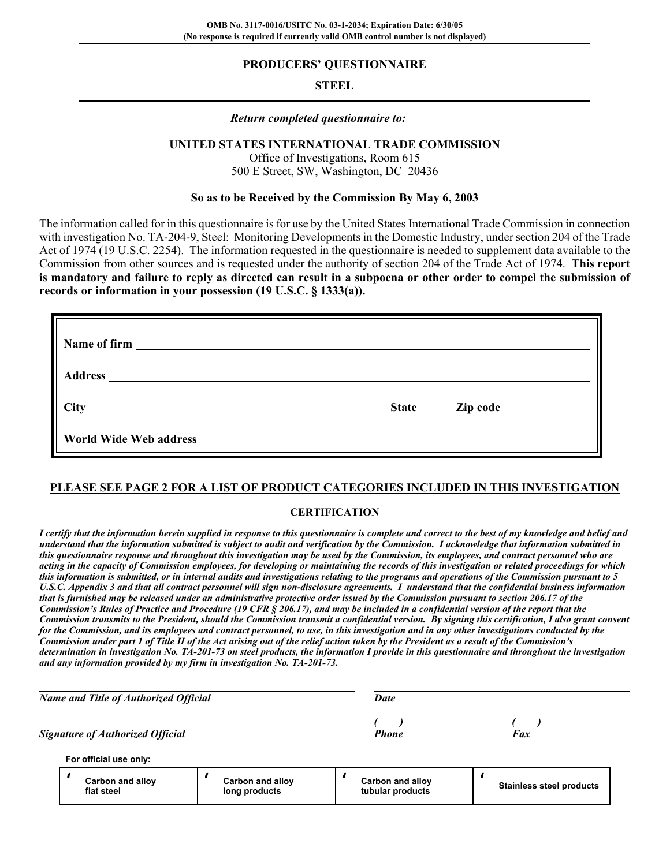### **PRODUCERS' QUESTIONNAIRE**

## **STEEL**

### *Return completed questionnaire to:*

### **UNITED STATES INTERNATIONAL TRADE COMMISSION**

Office of Investigations, Room 615 500 E Street, SW, Washington, DC 20436

### **So as to be Received by the Commission By May 6, 2003**

The information called for in this questionnaire is for use by the United States International Trade Commission in connection with investigation No. TA-204-9, Steel: Monitoring Developments in the Domestic Industry, under section 204 of the Trade Act of 1974 (19 U.S.C. 2254). The information requested in the questionnaire is needed to supplement data available to the Commission from other sources and is requested under the authority of section 204 of the Trade Act of 1974. **This report is mandatory and failure to reply as directed can result in a subpoena or other order to compel the submission of records or information in your possession (19 U.S.C. § 1333(a)).**

| Name of firm <u>and the contract of the set of the set of the set of the set of the set of the set of the set of the set of the set of the set of the set of the set of the set of the set of the set of the set of the set of t</u> |                       |
|--------------------------------------------------------------------------------------------------------------------------------------------------------------------------------------------------------------------------------------|-----------------------|
| <b>Address</b><br><u> 1980 - Andrea State Barbara, amerikan personal di sebagai personal di sebagai personal di sebagai personal d</u>                                                                                               |                       |
| <b>City</b><br><u> 1989 - Jan Samuel Barbara, poeta esperanto-poeta esperanto-poeta esperanto-poeta esperanto-poeta esperanto-po</u>                                                                                                 | State <u>Zip</u> code |
|                                                                                                                                                                                                                                      |                       |

## **PLEASE SEE PAGE 2 FOR A LIST OF PRODUCT CATEGORIES INCLUDED IN THIS INVESTIGATION**

### **CERTIFICATION**

*I certify that the information herein supplied in response to this questionnaire is complete and correct to the best of my knowledge and belief and understand that the information submitted is subject to audit and verification by the Commission. I acknowledge that information submitted in this questionnaire response and throughout this investigation may be used by the Commission, its employees, and contract personnel who are acting in the capacity of Commission employees, for developing or maintaining the records of this investigation or related proceedings for which this information is submitted, or in internal audits and investigations relating to the programs and operations of the Commission pursuant to 5 U.S.C. Appendix 3 and that all contract personnel will sign non-disclosure agreements. I understand that the confidential business information that is furnished may be released under an administrative protective order issued by the Commission pursuant to section 206.17 of the Commission's Rules of Practice and Procedure (19 CFR § 206.17), and may be included in a confidential version of the report that the Commission transmits to the President, should the Commission transmit a confidential version. By signing this certification, I also grant consent for the Commission, and its employees and contract personnel, to use, in this investigation and in any other investigations conducted by the Commission under part 1 of Title II of the Act arising out of the relief action taken by the President as a result of the Commission's determination in investigation No. TA-201-73 on steel products, the information I provide in this questionnaire and throughout the investigation and any information provided by my firm in investigation No. TA-201-73.*

| Name and Title of Authorized Official |                                         |                                   | <b>Date</b>                          |                                 |
|---------------------------------------|-----------------------------------------|-----------------------------------|--------------------------------------|---------------------------------|
|                                       | <b>Signature of Authorized Official</b> |                                   | <b>Phone</b>                         | Fax                             |
|                                       | For official use only:                  |                                   |                                      |                                 |
|                                       | Carbon and alloy<br>flat steel          | Carbon and alloy<br>long products | Carbon and alloy<br>tubular products | <b>Stainless steel products</b> |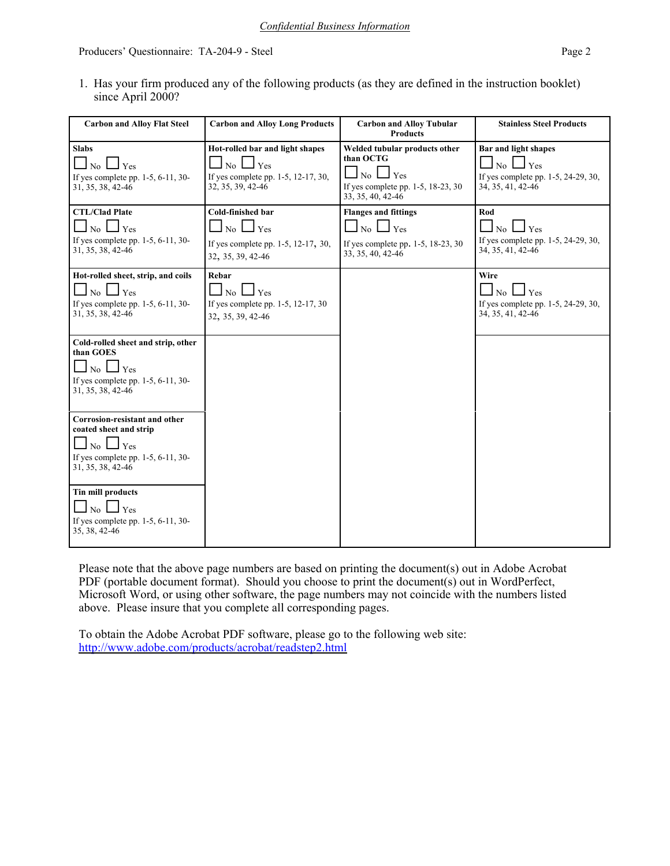1. Has your firm produced any of the following products (as they are defined in the instruction booklet) since April 2000?

| <b>Carbon and Alloy Flat Steel</b>                                                                                                                | <b>Carbon and Alloy Long Products</b>                                                                              | <b>Carbon and Alloy Tubular</b><br><b>Products</b>                                                                          | <b>Stainless Steel Products</b>                                                                       |
|---------------------------------------------------------------------------------------------------------------------------------------------------|--------------------------------------------------------------------------------------------------------------------|-----------------------------------------------------------------------------------------------------------------------------|-------------------------------------------------------------------------------------------------------|
| <b>Slabs</b><br>Yes<br>No<br>If yes complete pp. 1-5, 6-11, 30-<br>31, 35, 38, 42-46                                                              | Hot-rolled bar and light shapes<br>Yes<br>No<br>If yes complete pp. 1-5, 12-17, 30,<br>32, 35, 39, 42-46           | Welded tubular products other<br>than OCTG<br>l Yes<br>No $\Box$<br>If yes complete pp. 1-5, 18-23, 30<br>33, 35, 40, 42-46 | <b>Bar and light shapes</b><br>Yes<br>No.<br>If yes complete pp. 1-5, 24-29, 30,<br>34, 35, 41, 42-46 |
| <b>CTL/Clad Plate</b><br>$\overline{N_0}$ $\Box$ Yes<br>If yes complete pp. 1-5, 6-11, 30-<br>31, 35, 38, 42-46                                   | Cold-finished bar<br>$\Box$ No $\Box$ Yes<br>If yes complete pp. 1-5, 12-17, 30,<br>32, 35, 39, 42-46              | <b>Flanges and fittings</b><br>$\Box$ No $\Box$ Yes<br>If yes complete pp. 1-5, 18-23, 30<br>33, 35, 40, 42-46              | Rod<br>$\Box$ Yes<br>$\perp$ No $\perp$<br>If yes complete pp. 1-5, 24-29, 30,<br>34, 35, 41, 42-46   |
| Hot-rolled sheet, strip, and coils<br>Yes<br>No<br>If yes complete pp. $1-5$ , $6-11$ , $30-$<br>31, 35, 38, 42-46                                | Rebar<br>$\perp$ Yes<br>$\vert \perp_{\text{No}} \vert$<br>If yes complete pp. 1-5, 12-17, 30<br>32, 35, 39, 42-46 |                                                                                                                             | Wire<br>$\perp$ Yes<br>No<br>If yes complete pp. 1-5, 24-29, 30,<br>34, 35, 41, 42-46                 |
| Cold-rolled sheet and strip, other<br>than GOES<br>$No \Box Yes$<br>If yes complete pp. $1-5$ , $6-11$ , $30-$<br>31, 35, 38, 42-46               |                                                                                                                    |                                                                                                                             |                                                                                                       |
| Corrosion-resistant and other<br>coated sheet and strip<br>$\overline{N_0}$ $\Box$ Yes<br>If yes complete pp. 1-5, 6-11, 30-<br>31, 35, 38, 42-46 |                                                                                                                    |                                                                                                                             |                                                                                                       |
| <b>Tin mill products</b><br>$\overline{N_0}$ $\Box$ Yes<br>If yes complete pp. 1-5, 6-11, 30-<br>35, 38, 42-46                                    |                                                                                                                    |                                                                                                                             |                                                                                                       |

Please note that the above page numbers are based on printing the document(s) out in Adobe Acrobat PDF (portable document format). Should you choose to print the document(s) out in WordPerfect, Microsoft Word, or using other software, the page numbers may not coincide with the numbers listed above. Please insure that you complete all corresponding pages.

To obtain the Adobe Acrobat PDF software, please go to the following web site: http://www.adobe.com/products/acrobat/readstep2.html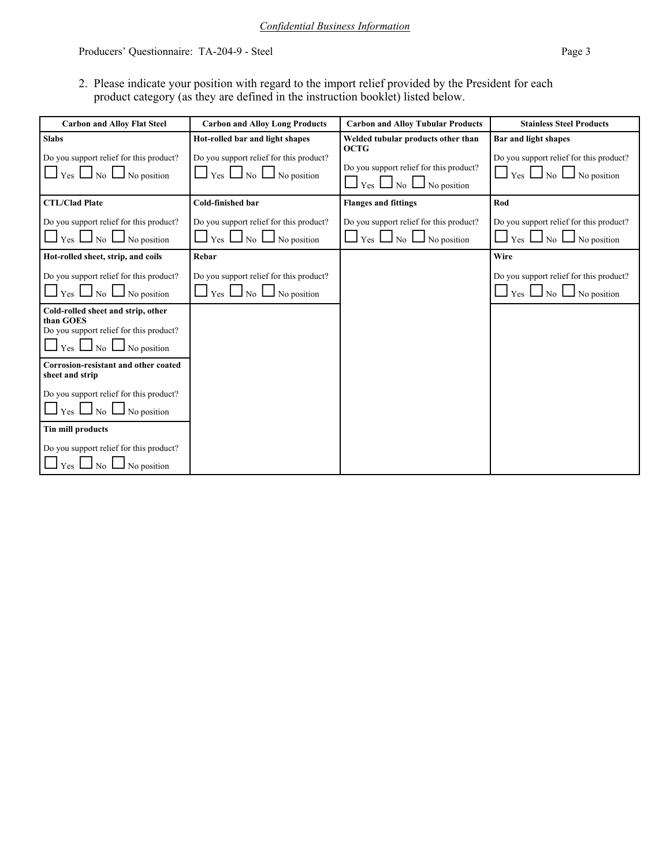2. Please indicate your position with regard to the import relief provided by the President for each product category (as they are defined in the instruction booklet) listed below.

| <b>Carbon and Alloy Flat Steel</b>                                                                                           | <b>Carbon and Alloy Long Products</b>                                               | <b>Carbon and Alloy Tubular Products</b>                                            | <b>Stainless Steel Products</b>                                                              |
|------------------------------------------------------------------------------------------------------------------------------|-------------------------------------------------------------------------------------|-------------------------------------------------------------------------------------|----------------------------------------------------------------------------------------------|
| <b>Slabs</b>                                                                                                                 | Hot-rolled bar and light shapes                                                     | Welded tubular products other than<br><b>OCTG</b>                                   | Bar and light shapes                                                                         |
| Do you support relief for this product?<br>$\Box$ Yes $\Box$ No $\Box$ No position                                           | Do you support relief for this product?<br>$\gamma$ es $\Box$ No $\Box$ No position | Do you support relief for this product?<br>$Yes \bigsqcup No \bigsqcup No position$ | Do you support relief for this product?<br>$\Box$ Yes $\Box$ No $\Box$ No position           |
| <b>CTL/Clad Plate</b>                                                                                                        | Cold-finished bar                                                                   | <b>Flanges and fittings</b>                                                         | Rod                                                                                          |
| Do you support relief for this product?<br>$\vert$ Yes $\vert$ No $\vert$ No position                                        | Do you support relief for this product?<br>$Yes \Box No \Box No position$           | Do you support relief for this product?<br>  Yes ∟ No l<br>No position              | Do you support relief for this product?<br>$\Box$ Yes $\Box$ No $\Box$<br>$\Box$ No position |
| Hot-rolled sheet, strip, and coils                                                                                           | Rebar                                                                               |                                                                                     | Wire                                                                                         |
| Do you support relief for this product?<br>$\log$ No position<br>Yes                                                         | Do you support relief for this product?<br>Yes $\Box$ No<br>$\Box$ No position      |                                                                                     | Do you support relief for this product?<br>Yes 1<br>N <sub>o</sub><br>No position            |
| Cold-rolled sheet and strip, other<br>than GOES<br>Do you support relief for this product?<br>$Yes \Box No \Box No position$ |                                                                                     |                                                                                     |                                                                                              |
| Corrosion-resistant and other coated<br>sheet and strip                                                                      |                                                                                     |                                                                                     |                                                                                              |
| Do you support relief for this product?<br>$\vert$ Yes $\vert$ No $\vert$<br>No position                                     |                                                                                     |                                                                                     |                                                                                              |
| Tin mill products                                                                                                            |                                                                                     |                                                                                     |                                                                                              |
| Do you support relief for this product?<br>No position<br>Yes<br>No.                                                         |                                                                                     |                                                                                     |                                                                                              |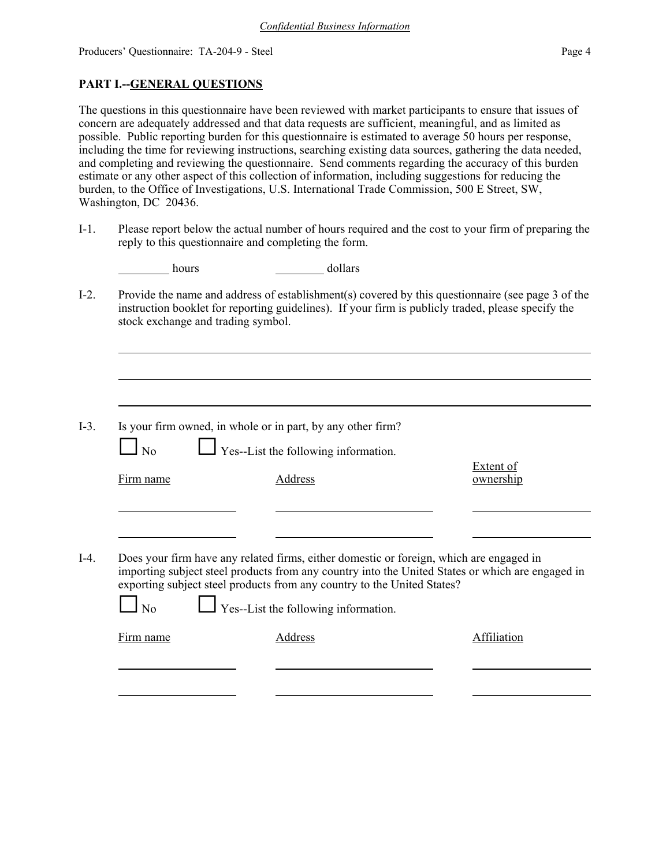## **PART I.--GENERAL QUESTIONS**

The questions in this questionnaire have been reviewed with market participants to ensure that issues of concern are adequately addressed and that data requests are sufficient, meaningful, and as limited as possible. Public reporting burden for this questionnaire is estimated to average 50 hours per response, including the time for reviewing instructions, searching existing data sources, gathering the data needed, and completing and reviewing the questionnaire. Send comments regarding the accuracy of this burden estimate or any other aspect of this collection of information, including suggestions for reducing the burden, to the Office of Investigations, U.S. International Trade Commission, 500 E Street, SW, Washington, DC 20436.

I-1. Please report below the actual number of hours required and the cost to your firm of preparing the reply to this questionnaire and completing the form.

| dollars |
|---------|
|         |

I-2. Provide the name and address of establishment(s) covered by this questionnaire (see page 3 of the instruction booklet for reporting guidelines). If your firm is publicly traded, please specify the stock exchange and trading symbol.

| $I-3$ . | Is your firm owned, in whole or in part, by any other firm? |  |  |  |
|---------|-------------------------------------------------------------|--|--|--|
|         |                                                             |  |  |  |

| $\Box$ No | $\Box$ Yes--List the following information. |
|-----------|---------------------------------------------|
|-----------|---------------------------------------------|

Firm name Address and Address ownership

Extent of

I-4. Does your firm have any related firms, either domestic or foreign, which are engaged in importing subject steel products from any country into the United States or which are engaged in exporting subject steel products from any country to the United States?

| No        | $\Box$ Yes--List the following information. |             |
|-----------|---------------------------------------------|-------------|
| Firm name | Address                                     | Affiliation |
|           |                                             |             |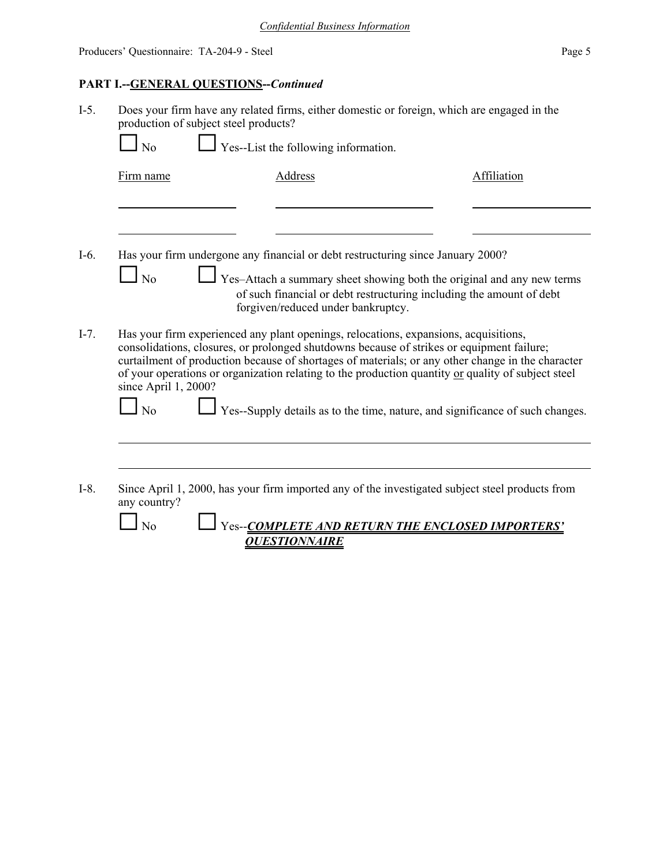# **PART I.--GENERAL QUESTIONS--***Continued*

| $I-5.$ | Does your firm have any related firms, either domestic or foreign, which are engaged in the<br>production of subject steel products?<br>Yes--List the following information.<br>N <sub>o</sub> |                                                                                                                                                                                                                                                                                                                                                                                                                                                                               |             |  |  |
|--------|------------------------------------------------------------------------------------------------------------------------------------------------------------------------------------------------|-------------------------------------------------------------------------------------------------------------------------------------------------------------------------------------------------------------------------------------------------------------------------------------------------------------------------------------------------------------------------------------------------------------------------------------------------------------------------------|-------------|--|--|
|        | Firm name                                                                                                                                                                                      | Address                                                                                                                                                                                                                                                                                                                                                                                                                                                                       | Affiliation |  |  |
|        |                                                                                                                                                                                                |                                                                                                                                                                                                                                                                                                                                                                                                                                                                               |             |  |  |
| $I-6.$ | N <sub>o</sub>                                                                                                                                                                                 | Has your firm undergone any financial or debt restructuring since January 2000?<br>Yes-Attach a summary sheet showing both the original and any new terms<br>of such financial or debt restructuring including the amount of debt<br>forgiven/reduced under bankruptcy.                                                                                                                                                                                                       |             |  |  |
| $I-7.$ | since April 1, 2000?<br>$\overline{N}$                                                                                                                                                         | Has your firm experienced any plant openings, relocations, expansions, acquisitions,<br>consolidations, closures, or prolonged shutdowns because of strikes or equipment failure;<br>curtailment of production because of shortages of materials; or any other change in the character<br>of your operations or organization relating to the production quantity or quality of subject steel<br>Yes--Supply details as to the time, nature, and significance of such changes. |             |  |  |
|        |                                                                                                                                                                                                |                                                                                                                                                                                                                                                                                                                                                                                                                                                                               |             |  |  |
| $I-8.$ | any country?<br>No                                                                                                                                                                             | Since April 1, 2000, has your firm imported any of the investigated subject steel products from<br>Yes--COMPLETE AND RETURN THE ENCLOSED IMPORTERS'<br><b>OUESTIONNAIRE</b>                                                                                                                                                                                                                                                                                                   |             |  |  |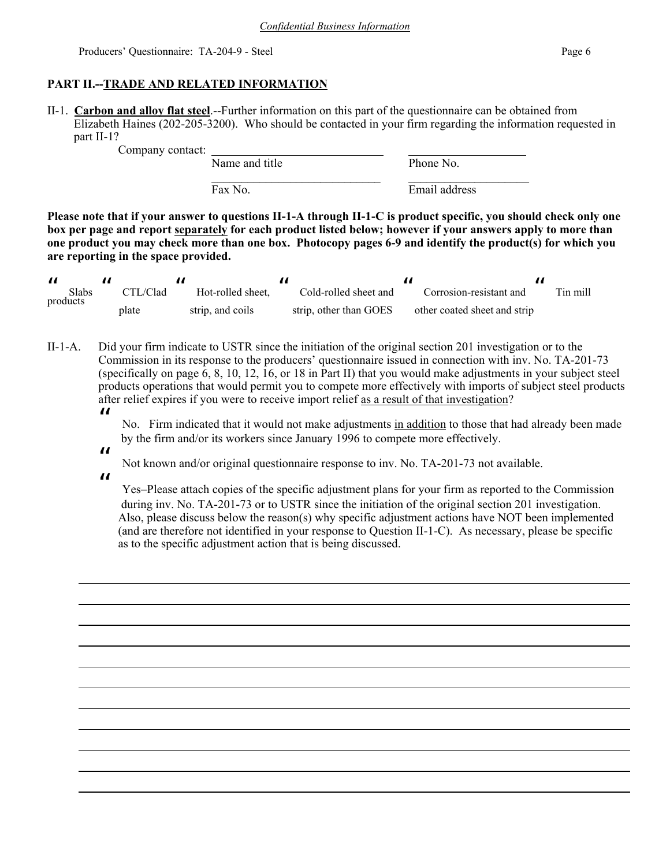## **PART II.--TRADE AND RELATED INFORMATION**

II-1. **Carbon and alloy flat steel**.--Further information on this part of the questionnaire can be obtained from Elizabeth Haines (202-205-3200). Who should be contacted in your firm regarding the information requested in part II-1?

Company contact:

Name and title Phone No.  $\mathcal{L}_\text{max}$  and the contract of the contract of the contract of the contract of the contract of the contract of the contract of the contract of the contract of the contract of the contract of the contract of the contrac

Fax No. Email address

**Please note that if your answer to questions II-1-A through II-1-C is product specific, you should check only one box per page and report separately for each product listed below; however if your answers apply to more than one product you may check more than one box. Photocopy pages 6-9 and identify the product(s) for which you are reporting in the space provided.**

| <b>Slabs</b> | CTL/Clad | Hot-rolled sheet. | Cold-rolled sheet and  | Corrosion-resistant and      | Tin mill |
|--------------|----------|-------------------|------------------------|------------------------------|----------|
| products     | plate    | strip, and coils  | strip, other than GOES | other coated sheet and strip |          |

II-1-A. Did your firm indicate to USTR since the initiation of the original section 201 investigation or to the Commission in its response to the producers' questionnaire issued in connection with inv. No. TA-201-73 (specifically on page 6, 8, 10, 12, 16, or 18 in Part II) that you would make adjustments in your subject steel products operations that would permit you to compete more effectively with imports of subject steel products after relief expires if you were to receive import relief as a result of that investigation?

 $\boldsymbol{\mathit{II}}$ 

No. Firm indicated that it would not make adjustments in addition to those that had already been made by the firm and/or its workers since January 1996 to compete more effectively.

Not known and/or original questionnaire response to inv. No. TA-201-73 not available.

 $\boldsymbol{\mathit{II}}$ 

 $\boldsymbol{\mathit{II}}$ 

 Yes–Please attach copies of the specific adjustment plans for your firm as reported to the Commission during inv. No. TA-201-73 or to USTR since the initiation of the original section 201 investigation. Also, please discuss below the reason(s) why specific adjustment actions have NOT been implemented (and are therefore not identified in your response to Question II-1-C). As necessary, please be specific as to the specific adjustment action that is being discussed.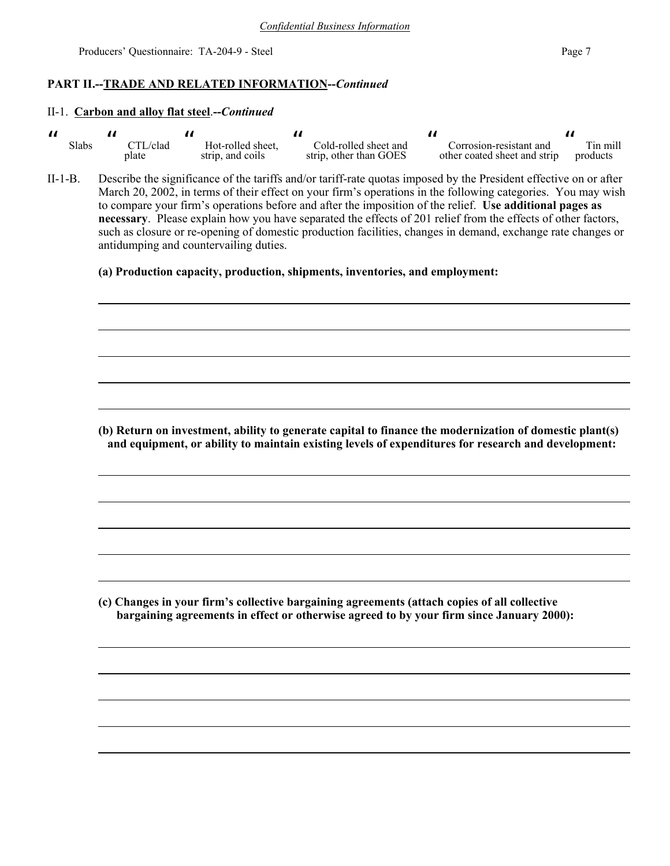### **PART II.--TRADE AND RELATED INFORMATION--***Continued*

#### II-1. **Carbon and alloy flat steel**.**--***Continued*

| Slabs | $\mathrm{TL}/\mathrm{clad}$ | Hot-rolled sheet. | Cold-rolled sheet and  | Corrosion-resistant and      | <sup>r</sup> in mill |
|-------|-----------------------------|-------------------|------------------------|------------------------------|----------------------|
|       | plate                       | strip, and coils  | strip, other than GOES | other coated sheet and strip | products             |

II-1-B. Describe the significance of the tariffs and/or tariff-rate quotas imposed by the President effective on or after March 20, 2002, in terms of their effect on your firm's operations in the following categories. You may wish to compare your firm's operations before and after the imposition of the relief. **Use additional pages as necessary**. Please explain how you have separated the effects of 201 relief from the effects of other factors, such as closure or re-opening of domestic production facilities, changes in demand, exchange rate changes or antidumping and countervailing duties.

**(a) Production capacity, production, shipments, inventories, and employment:**

**(b) Return on investment, ability to generate capital to finance the modernization of domestic plant(s) and equipment, or ability to maintain existing levels of expenditures for research and development:**

**(c) Changes in your firm's collective bargaining agreements (attach copies of all collective bargaining agreements in effect or otherwise agreed to by your firm since January 2000):**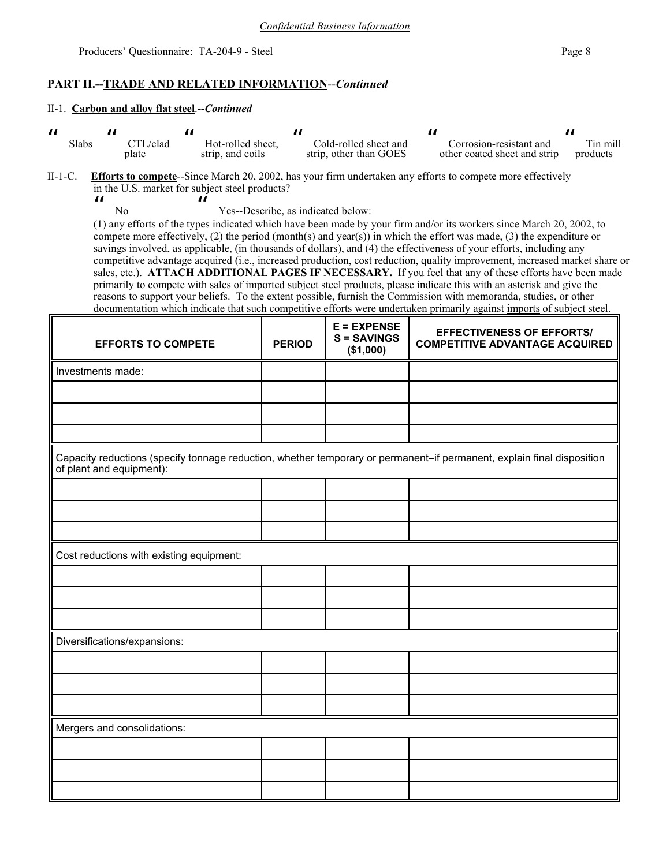## **PART II.--TRADE AND RELATED INFORMATION**--*Continued*

 $\boldsymbol{\mu}$ 

#### II-1. **Carbon and alloy flat steel**.**--***Continued*

| Slabs | TL/clad | Hot-rolled sheet. | Cold-rolled sheet and  | Corrosion-resistant and      | Tin mill |
|-------|---------|-------------------|------------------------|------------------------------|----------|
|       | plate   | strip, and coils  | strip, other than GOES | other coated sheet and strip | products |

II-1-C. **Efforts to compete**--Since March 20, 2002, has your firm undertaken any efforts to compete more effectively in the U.S. market for subject steel products?  $\boldsymbol{\mathit{ii}}$ 

No

Yes--Describe, as indicated below:

(1) any efforts of the types indicated which have been made by your firm and/or its workers since March 20, 2002, to compete more effectively, (2) the period (month(s) and year(s)) in which the effort was made, (3) the expenditure or savings involved, as applicable, (in thousands of dollars), and (4) the effectiveness of your efforts, including any competitive advantage acquired (i.e., increased production, cost reduction, quality improvement, increased market share or sales, etc.). **ATTACH ADDITIONAL PAGES IF NECESSARY.** If you feel that any of these efforts have been made primarily to compete with sales of imported subject steel products, please indicate this with an asterisk and give the reasons to support your beliefs. To the extent possible, furnish the Commission with memoranda, studies, or other documentation which indicate that such competitive efforts were undertaken primarily against imports of subject steel.

| <b>EFFORTS TO COMPETE</b>                                                                                                                          | <b>PERIOD</b> | $E = EXPENSE$<br>$S =$ SAVINGS<br>(\$1,000) | <b>EFFECTIVENESS OF EFFORTS/</b><br><b>COMPETITIVE ADVANTAGE ACQUIRED</b> |
|----------------------------------------------------------------------------------------------------------------------------------------------------|---------------|---------------------------------------------|---------------------------------------------------------------------------|
| Investments made:                                                                                                                                  |               |                                             |                                                                           |
|                                                                                                                                                    |               |                                             |                                                                           |
|                                                                                                                                                    |               |                                             |                                                                           |
|                                                                                                                                                    |               |                                             |                                                                           |
| Capacity reductions (specify tonnage reduction, whether temporary or permanent-if permanent, explain final disposition<br>of plant and equipment): |               |                                             |                                                                           |
|                                                                                                                                                    |               |                                             |                                                                           |
|                                                                                                                                                    |               |                                             |                                                                           |
|                                                                                                                                                    |               |                                             |                                                                           |
| Cost reductions with existing equipment:                                                                                                           |               |                                             |                                                                           |
|                                                                                                                                                    |               |                                             |                                                                           |
|                                                                                                                                                    |               |                                             |                                                                           |
|                                                                                                                                                    |               |                                             |                                                                           |
| Diversifications/expansions:                                                                                                                       |               |                                             |                                                                           |
|                                                                                                                                                    |               |                                             |                                                                           |
|                                                                                                                                                    |               |                                             |                                                                           |
|                                                                                                                                                    |               |                                             |                                                                           |
| Mergers and consolidations:                                                                                                                        |               |                                             |                                                                           |
|                                                                                                                                                    |               |                                             |                                                                           |
|                                                                                                                                                    |               |                                             |                                                                           |
|                                                                                                                                                    |               |                                             |                                                                           |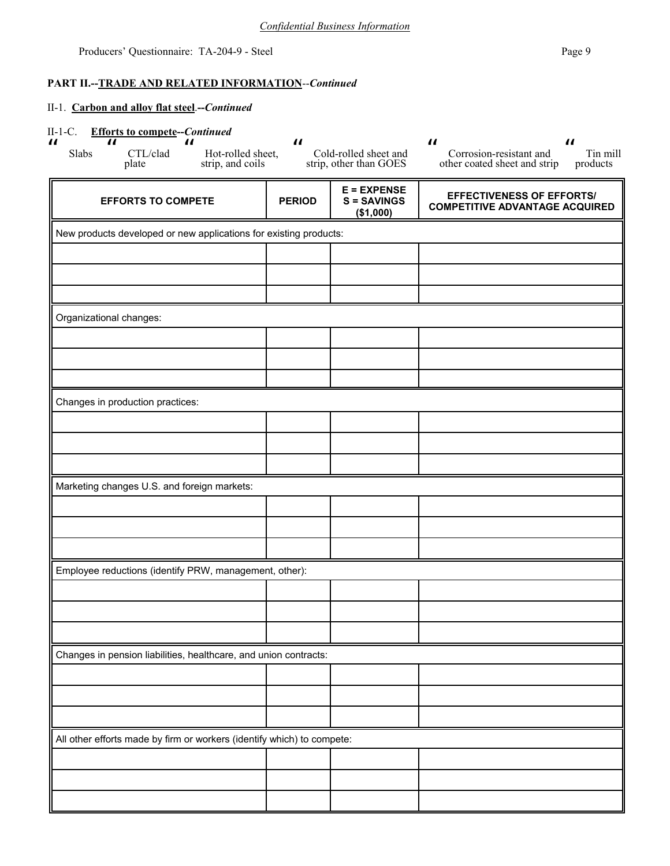## **PART II.--TRADE AND RELATED INFORMATION**--*Continued*

| <b>Efforts to compete--Continued</b><br>$II-1-C$ .<br>$\boldsymbol{\mu}$<br>$\boldsymbol{\mathit{II}}$<br>$\boldsymbol{\mathit{II}}$<br>CTL/clad<br>Hot-rolled sheet,<br>Slabs<br>strip, and coils<br>plate | $\boldsymbol{\mathit{II}}$ | Cold-rolled sheet and<br>strip, other than GOES  | $\boldsymbol{\mathit{II}}$<br>$\boldsymbol{\mathit{II}}$<br>Corrosion-resistant and<br>Tin mill<br>other coated sheet and strip<br>products |
|-------------------------------------------------------------------------------------------------------------------------------------------------------------------------------------------------------------|----------------------------|--------------------------------------------------|---------------------------------------------------------------------------------------------------------------------------------------------|
| <b>EFFORTS TO COMPETE</b>                                                                                                                                                                                   | <b>PERIOD</b>              | $E = EXPENSE$<br><b>S = SAVINGS</b><br>(\$1,000) | <b>EFFECTIVENESS OF EFFORTS/</b><br><b>COMPETITIVE ADVANTAGE ACQUIRED</b>                                                                   |
| New products developed or new applications for existing products:                                                                                                                                           |                            |                                                  |                                                                                                                                             |
|                                                                                                                                                                                                             |                            |                                                  |                                                                                                                                             |
|                                                                                                                                                                                                             |                            |                                                  |                                                                                                                                             |
|                                                                                                                                                                                                             |                            |                                                  |                                                                                                                                             |
| Organizational changes:                                                                                                                                                                                     |                            |                                                  |                                                                                                                                             |
|                                                                                                                                                                                                             |                            |                                                  |                                                                                                                                             |
|                                                                                                                                                                                                             |                            |                                                  |                                                                                                                                             |
| Changes in production practices:                                                                                                                                                                            |                            |                                                  |                                                                                                                                             |
|                                                                                                                                                                                                             |                            |                                                  |                                                                                                                                             |
|                                                                                                                                                                                                             |                            |                                                  |                                                                                                                                             |
|                                                                                                                                                                                                             |                            |                                                  |                                                                                                                                             |
| Marketing changes U.S. and foreign markets:                                                                                                                                                                 |                            |                                                  |                                                                                                                                             |
|                                                                                                                                                                                                             |                            |                                                  |                                                                                                                                             |
|                                                                                                                                                                                                             |                            |                                                  |                                                                                                                                             |
| Employee reductions (identify PRW, management, other):                                                                                                                                                      |                            |                                                  |                                                                                                                                             |
|                                                                                                                                                                                                             |                            |                                                  |                                                                                                                                             |
|                                                                                                                                                                                                             |                            |                                                  |                                                                                                                                             |
|                                                                                                                                                                                                             |                            |                                                  |                                                                                                                                             |
| Changes in pension liabilities, healthcare, and union contracts:                                                                                                                                            |                            |                                                  |                                                                                                                                             |
|                                                                                                                                                                                                             |                            |                                                  |                                                                                                                                             |
|                                                                                                                                                                                                             |                            |                                                  |                                                                                                                                             |
| All other efforts made by firm or workers (identify which) to compete:                                                                                                                                      |                            |                                                  |                                                                                                                                             |
|                                                                                                                                                                                                             |                            |                                                  |                                                                                                                                             |
|                                                                                                                                                                                                             |                            |                                                  |                                                                                                                                             |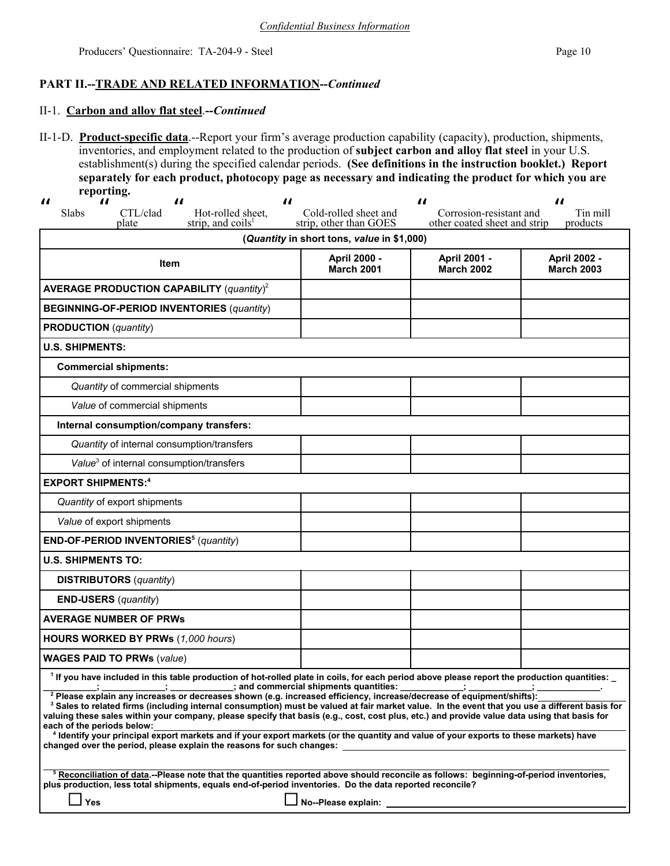## **PART II.--TRADE AND RELATED INFORMATION--***Continued*

### II-1. **Carbon and alloy flat steel**.**--***Continued*

II-1-D. **Product-specific data**.--Report your firm's average production capability (capacity), production, shipments, inventories, and employment related to the production of **subject carbon and alloy flat steel** in your U.S. establishment(s) during the specified calendar periods. **(See definitions in the instruction booklet.) Report separately for each product, photocopy page as necessary and indicating the product for which you are reporting.**  $\mathbf{u}$  $\boldsymbol{u}$  $\mathbf{u}$  $\mathbf{u}$ 

| $\boldsymbol{\mathit{II}}$<br>$\boldsymbol{\mathit{II}}$<br>$\boldsymbol{\mu}$<br>$\boldsymbol{\mathit{u}}$<br>Slabs<br>CTL/clad<br>Hot-rolled sheet.<br>strip, and coils <sup>1</sup><br>plate                                                                                                                                                                                                                                                                                                                                               | Cold-rolled sheet and<br>strip, other than GOES | $\boldsymbol{\mathit{II}}$<br>Corrosion-resistant and<br>other coated sheet and strip | $\boldsymbol{\mathit{II}}$<br>Tin mill<br>products |  |  |  |  |
|-----------------------------------------------------------------------------------------------------------------------------------------------------------------------------------------------------------------------------------------------------------------------------------------------------------------------------------------------------------------------------------------------------------------------------------------------------------------------------------------------------------------------------------------------|-------------------------------------------------|---------------------------------------------------------------------------------------|----------------------------------------------------|--|--|--|--|
| (Quantity in short tons, value in \$1,000)                                                                                                                                                                                                                                                                                                                                                                                                                                                                                                    |                                                 |                                                                                       |                                                    |  |  |  |  |
| Item                                                                                                                                                                                                                                                                                                                                                                                                                                                                                                                                          | April 2000 -<br><b>March 2001</b>               | April 2001 -<br><b>March 2002</b>                                                     | April 2002 -<br><b>March 2003</b>                  |  |  |  |  |
| <b>AVERAGE PRODUCTION CAPABILITY (quantity)<sup>2</sup></b>                                                                                                                                                                                                                                                                                                                                                                                                                                                                                   |                                                 |                                                                                       |                                                    |  |  |  |  |
| <b>BEGINNING-OF-PERIOD INVENTORIES (quantity)</b>                                                                                                                                                                                                                                                                                                                                                                                                                                                                                             |                                                 |                                                                                       |                                                    |  |  |  |  |
| <b>PRODUCTION</b> (quantity)                                                                                                                                                                                                                                                                                                                                                                                                                                                                                                                  |                                                 |                                                                                       |                                                    |  |  |  |  |
| <b>U.S. SHIPMENTS:</b>                                                                                                                                                                                                                                                                                                                                                                                                                                                                                                                        |                                                 |                                                                                       |                                                    |  |  |  |  |
| <b>Commercial shipments:</b>                                                                                                                                                                                                                                                                                                                                                                                                                                                                                                                  |                                                 |                                                                                       |                                                    |  |  |  |  |
| Quantity of commercial shipments                                                                                                                                                                                                                                                                                                                                                                                                                                                                                                              |                                                 |                                                                                       |                                                    |  |  |  |  |
| Value of commercial shipments                                                                                                                                                                                                                                                                                                                                                                                                                                                                                                                 |                                                 |                                                                                       |                                                    |  |  |  |  |
| Internal consumption/company transfers:                                                                                                                                                                                                                                                                                                                                                                                                                                                                                                       |                                                 |                                                                                       |                                                    |  |  |  |  |
| Quantity of internal consumption/transfers                                                                                                                                                                                                                                                                                                                                                                                                                                                                                                    |                                                 |                                                                                       |                                                    |  |  |  |  |
| Value <sup>3</sup> of internal consumption/transfers                                                                                                                                                                                                                                                                                                                                                                                                                                                                                          |                                                 |                                                                                       |                                                    |  |  |  |  |
| <b>EXPORT SHIPMENTS:4</b>                                                                                                                                                                                                                                                                                                                                                                                                                                                                                                                     |                                                 |                                                                                       |                                                    |  |  |  |  |
| Quantity of export shipments                                                                                                                                                                                                                                                                                                                                                                                                                                                                                                                  |                                                 |                                                                                       |                                                    |  |  |  |  |
| Value of export shipments                                                                                                                                                                                                                                                                                                                                                                                                                                                                                                                     |                                                 |                                                                                       |                                                    |  |  |  |  |
| END-OF-PERIOD INVENTORIES <sup>5</sup> (quantity)                                                                                                                                                                                                                                                                                                                                                                                                                                                                                             |                                                 |                                                                                       |                                                    |  |  |  |  |
| <b>U.S. SHIPMENTS TO:</b>                                                                                                                                                                                                                                                                                                                                                                                                                                                                                                                     |                                                 |                                                                                       |                                                    |  |  |  |  |
| <b>DISTRIBUTORS</b> (quantity)                                                                                                                                                                                                                                                                                                                                                                                                                                                                                                                |                                                 |                                                                                       |                                                    |  |  |  |  |
| <b>END-USERS</b> ( <i>quantity</i> )                                                                                                                                                                                                                                                                                                                                                                                                                                                                                                          |                                                 |                                                                                       |                                                    |  |  |  |  |
| <b>AVERAGE NUMBER OF PRWs</b>                                                                                                                                                                                                                                                                                                                                                                                                                                                                                                                 |                                                 |                                                                                       |                                                    |  |  |  |  |
| HOURS WORKED BY PRWs (1,000 hours)                                                                                                                                                                                                                                                                                                                                                                                                                                                                                                            |                                                 |                                                                                       |                                                    |  |  |  |  |
| <b>WAGES PAID TO PRWs (value)</b>                                                                                                                                                                                                                                                                                                                                                                                                                                                                                                             |                                                 |                                                                                       |                                                    |  |  |  |  |
| 1 If you have included in this table production of hot-rolled plate in coils, for each period above please report the production quantities: _<br>___________;    ___________; and commercial shipments quantities: ___________; ___________<br><sup>2</sup> Please explain any increases or decreases shown (e.g. increased efficiency, increase/decrease of equipment/shifts):<br><sup>3</sup> Sales to related firms (including internal consumption) must be valued at fair market value. In the event that you use a different basis for |                                                 |                                                                                       |                                                    |  |  |  |  |
| valuing these sales within your company, please specify that basis (e.g., cost, cost plus, etc.) and provide value data using that basis for<br>each of the periods below:<br><sup>4</sup> Identify your principal export markets and if your export markets (or the quantity and value of your exports to these markets) have<br>changed over the period, please explain the reasons for such changes:                                                                                                                                       |                                                 |                                                                                       |                                                    |  |  |  |  |
| <sup>5</sup> Reconciliation of data.--Please note that the quantities reported above should reconcile as follows: beginning-of-period inventories,<br>plus production, less total shipments, equals end-of-period inventories. Do the data reported reconcile?<br>Yes                                                                                                                                                                                                                                                                         | No--Please explain:                             |                                                                                       |                                                    |  |  |  |  |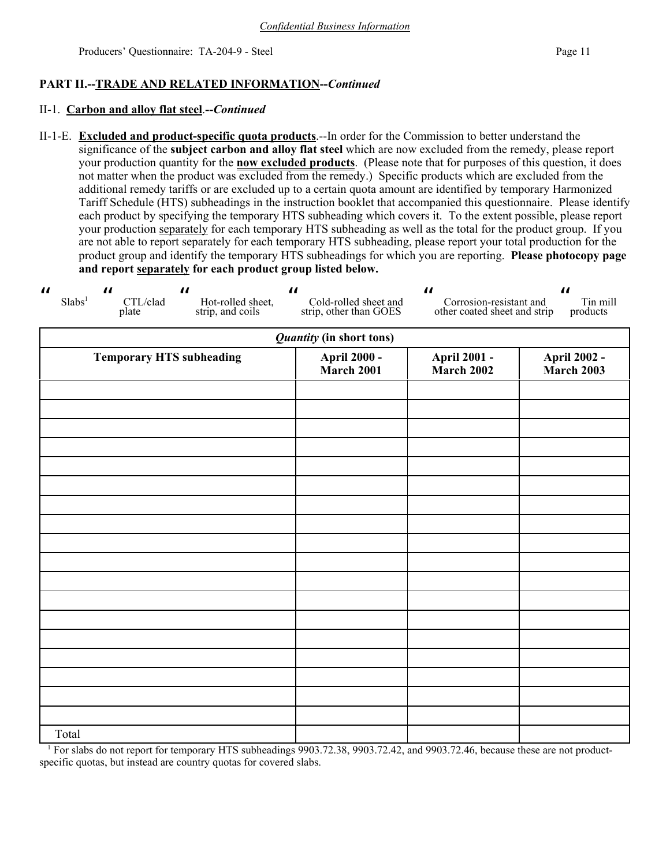## **PART II.--TRADE AND RELATED INFORMATION--***Continued*

### II-1. **Carbon and alloy flat steel**.**--***Continued*

II-1-E. **Excluded and product-specific quota products**.--In order for the Commission to better understand the significance of the **subject carbon and alloy flat steel** which are now excluded from the remedy, please report your production quantity for the **now excluded products**. (Please note that for purposes of this question, it does not matter when the product was excluded from the remedy.) Specific products which are excluded from the additional remedy tariffs or are excluded up to a certain quota amount are identified by temporary Harmonized Tariff Schedule (HTS) subheadings in the instruction booklet that accompanied this questionnaire. Please identify each product by specifying the temporary HTS subheading which covers it. To the extent possible, please report your production separately for each temporary HTS subheading as well as the total for the product group. If you are not able to report separately for each temporary HTS subheading, please report your total production for the product group and identify the temporary HTS subheadings for which you are reporting. **Please photocopy page and report separately for each product group listed below.**

| $\boldsymbol{\mathcal{U}}$<br>$\boldsymbol{\mathit{II}}$<br>$\boldsymbol{\mathcal{U}}$<br>Slabs <sup>1</sup><br>CTL/clad<br>Hot-rolled sheet,<br>strip, and coils<br>plate | $\boldsymbol{\mathcal{H}}$<br>Cold-rolled sheet and<br>strip, other than GOES | $\boldsymbol{\mathit{II}}$<br>Corrosion-resistant and<br>other coated sheet and strip | $\boldsymbol{\mathit{II}}$<br>Tin mill<br>products |  |
|----------------------------------------------------------------------------------------------------------------------------------------------------------------------------|-------------------------------------------------------------------------------|---------------------------------------------------------------------------------------|----------------------------------------------------|--|
|                                                                                                                                                                            | <b>Quantity (in short tons)</b>                                               |                                                                                       |                                                    |  |
| <b>Temporary HTS subheading</b>                                                                                                                                            | <b>April 2000 -</b><br><b>March 2001</b>                                      | <b>April 2001 -</b><br><b>March 2002</b>                                              | <b>April 2002 -</b><br><b>March 2003</b>           |  |
|                                                                                                                                                                            |                                                                               |                                                                                       |                                                    |  |
|                                                                                                                                                                            |                                                                               |                                                                                       |                                                    |  |
|                                                                                                                                                                            |                                                                               |                                                                                       |                                                    |  |
|                                                                                                                                                                            |                                                                               |                                                                                       |                                                    |  |
|                                                                                                                                                                            |                                                                               |                                                                                       |                                                    |  |
|                                                                                                                                                                            |                                                                               |                                                                                       |                                                    |  |
|                                                                                                                                                                            |                                                                               |                                                                                       |                                                    |  |
|                                                                                                                                                                            |                                                                               |                                                                                       |                                                    |  |
|                                                                                                                                                                            |                                                                               |                                                                                       |                                                    |  |
|                                                                                                                                                                            |                                                                               |                                                                                       |                                                    |  |
| Total                                                                                                                                                                      |                                                                               |                                                                                       |                                                    |  |

<sup>1</sup> For slabs do not report for temporary HTS subheadings 9903.72.38, 9903.72.42, and 9903.72.46, because these are not productspecific quotas, but instead are country quotas for covered slabs.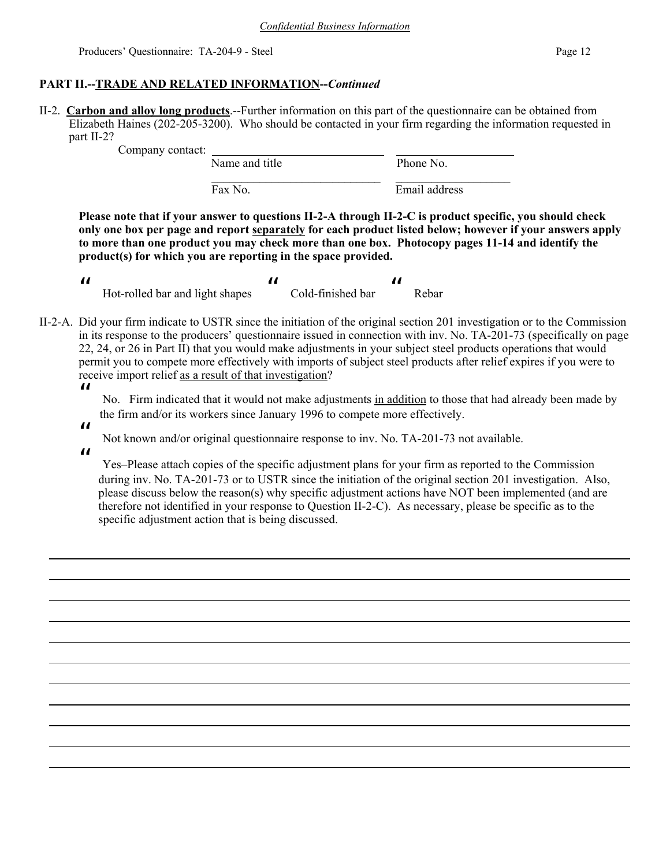## **PART II.--TRADE AND RELATED INFORMATION--***Continued*

II-2. **Carbon and alloy long products**.--Further information on this part of the questionnaire can be obtained from Elizabeth Haines (202-205-3200). Who should be contacted in your firm regarding the information requested in part II-2?

Company contact: Name and title Phone No.  $\mathcal{L}_\text{max}$  and the contract of the contract of the contract of the contract of the contract of the contract of the contract of the contract of the contract of the contract of the contract of the contract of the contrac Fax No. Email address

**Please note that if your answer to questions II-2-A through II-2-C is product specific, you should check only one box per page and report separately for each product listed below; however if your answers apply to more than one product you may check more than one box. Photocopy pages 11-14 and identify the product(s) for which you are reporting in the space provided.**

| Hot-rolled bar and light shapes | Cold-finished bar | Rebar |
|---------------------------------|-------------------|-------|

II-2-A. Did your firm indicate to USTR since the initiation of the original section 201 investigation or to the Commission in its response to the producers' questionnaire issued in connection with inv. No. TA-201-73 (specifically on page 22, 24, or 26 in Part II) that you would make adjustments in your subject steel products operations that would permit you to compete more effectively with imports of subject steel products after relief expires if you were to receive import relief as a result of that investigation?  $\boldsymbol{\mathit{II}}$ 

> No. Firm indicated that it would not make adjustments in addition to those that had already been made by the firm and/or its workers since January 1996 to compete more effectively.

 $\boldsymbol{\mathit{ii}}$ 

Not known and/or original questionnaire response to inv. No. TA-201-73 not available.

 $\boldsymbol{\mu}$ 

 Yes–Please attach copies of the specific adjustment plans for your firm as reported to the Commission during inv. No. TA-201-73 or to USTR since the initiation of the original section 201 investigation. Also, please discuss below the reason(s) why specific adjustment actions have NOT been implemented (and are therefore not identified in your response to Question II-2-C). As necessary, please be specific as to the specific adjustment action that is being discussed.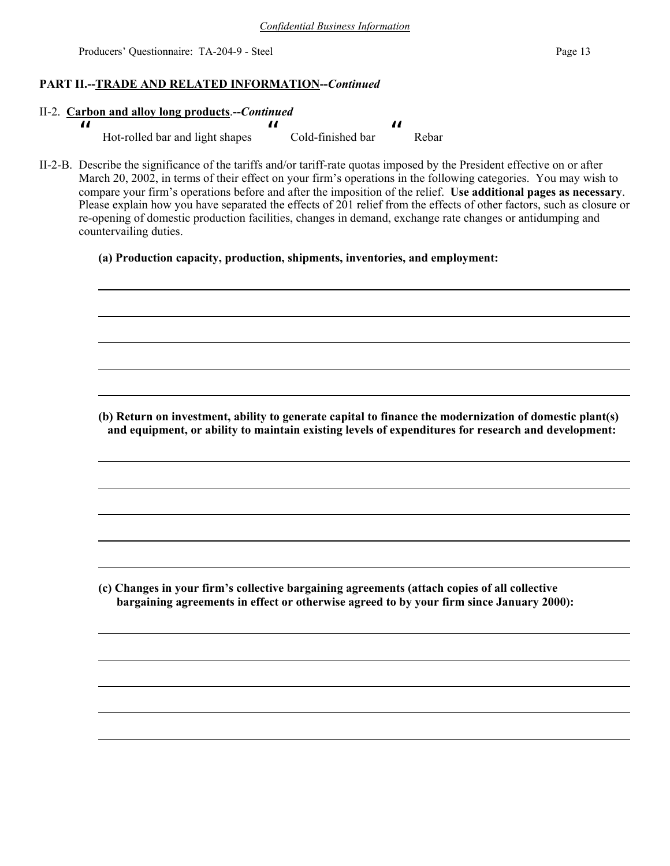## **PART II.--TRADE AND RELATED INFORMATION--***Continued*

### II-2. **Carbon and alloy long products**.**--***Continued*

 $\boldsymbol{\mu}$  Hot-rolled bar and light shapes " Cold-finished bar  $\boldsymbol{\mu}$ Rebar

II-2-B. Describe the significance of the tariffs and/or tariff-rate quotas imposed by the President effective on or after March 20, 2002, in terms of their effect on your firm's operations in the following categories. You may wish to compare your firm's operations before and after the imposition of the relief. **Use additional pages as necessary**. Please explain how you have separated the effects of 201 relief from the effects of other factors, such as closure or re-opening of domestic production facilities, changes in demand, exchange rate changes or antidumping and countervailing duties.

### **(a) Production capacity, production, shipments, inventories, and employment:**

**(b) Return on investment, ability to generate capital to finance the modernization of domestic plant(s) and equipment, or ability to maintain existing levels of expenditures for research and development:**

**(c) Changes in your firm's collective bargaining agreements (attach copies of all collective bargaining agreements in effect or otherwise agreed to by your firm since January 2000):**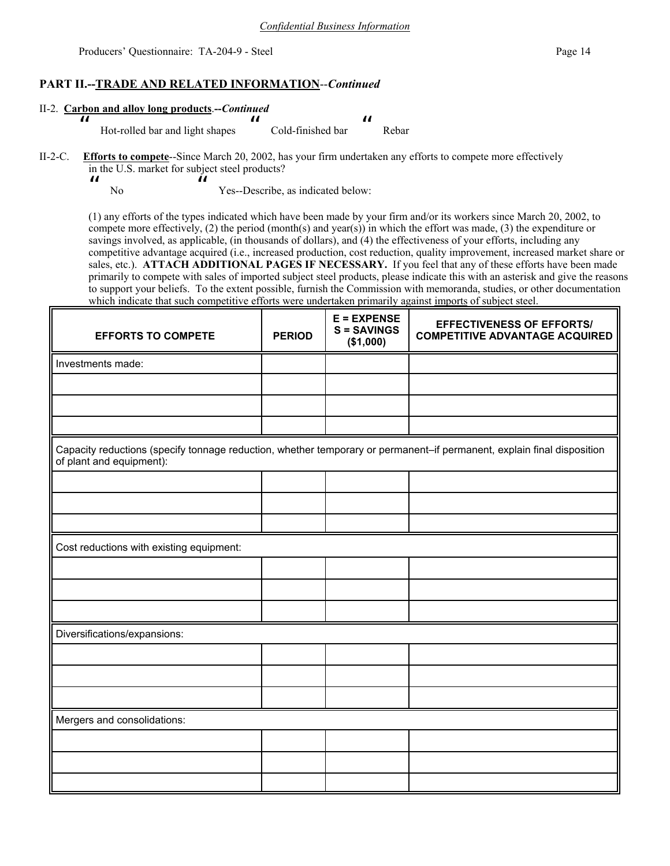### **PART II.--TRADE AND RELATED INFORMATION**--*Continued*

| II-2. Carbon and alloy long products.--Continued |                                 |  |                   |  |       |  |
|--------------------------------------------------|---------------------------------|--|-------------------|--|-------|--|
|                                                  |                                 |  |                   |  |       |  |
|                                                  | Hot-rolled bar and light shapes |  | Cold-finished bar |  | Rebar |  |

### II-2-C. **Efforts to compete**--Since March 20, 2002, has your firm undertaken any efforts to compete more effectively in the U.S. market for subject steel products?

 $\boldsymbol{\mathit{H}}$ No  $\boldsymbol{\mathit{II}}$ Yes--Describe, as indicated below:

(1) any efforts of the types indicated which have been made by your firm and/or its workers since March 20, 2002, to compete more effectively, (2) the period (month(s) and year(s)) in which the effort was made, (3) the expenditure or savings involved, as applicable, (in thousands of dollars), and (4) the effectiveness of your efforts, including any competitive advantage acquired (i.e., increased production, cost reduction, quality improvement, increased market share or sales, etc.). **ATTACH ADDITIONAL PAGES IF NECESSARY.** If you feel that any of these efforts have been made primarily to compete with sales of imported subject steel products, please indicate this with an asterisk and give the reasons to support your beliefs. To the extent possible, furnish the Commission with memoranda, studies, or other documentation which indicate that such competitive efforts were undertaken primarily against imports of subject steel.

| <b>EFFORTS TO COMPETE</b>                                                                                                                          | <b>PERIOD</b> | $E = EXPENSE$<br><b>S = SAVINGS</b><br>(\$1,000) | <b>EFFECTIVENESS OF EFFORTS/</b><br><b>COMPETITIVE ADVANTAGE ACQUIRED</b> |  |  |
|----------------------------------------------------------------------------------------------------------------------------------------------------|---------------|--------------------------------------------------|---------------------------------------------------------------------------|--|--|
| Investments made:                                                                                                                                  |               |                                                  |                                                                           |  |  |
|                                                                                                                                                    |               |                                                  |                                                                           |  |  |
|                                                                                                                                                    |               |                                                  |                                                                           |  |  |
|                                                                                                                                                    |               |                                                  |                                                                           |  |  |
| Capacity reductions (specify tonnage reduction, whether temporary or permanent-if permanent, explain final disposition<br>of plant and equipment): |               |                                                  |                                                                           |  |  |
|                                                                                                                                                    |               |                                                  |                                                                           |  |  |
|                                                                                                                                                    |               |                                                  |                                                                           |  |  |
|                                                                                                                                                    |               |                                                  |                                                                           |  |  |
| Cost reductions with existing equipment:                                                                                                           |               |                                                  |                                                                           |  |  |
|                                                                                                                                                    |               |                                                  |                                                                           |  |  |
|                                                                                                                                                    |               |                                                  |                                                                           |  |  |
|                                                                                                                                                    |               |                                                  |                                                                           |  |  |
| Diversifications/expansions:                                                                                                                       |               |                                                  |                                                                           |  |  |
|                                                                                                                                                    |               |                                                  |                                                                           |  |  |
|                                                                                                                                                    |               |                                                  |                                                                           |  |  |
|                                                                                                                                                    |               |                                                  |                                                                           |  |  |
| Mergers and consolidations:                                                                                                                        |               |                                                  |                                                                           |  |  |
|                                                                                                                                                    |               |                                                  |                                                                           |  |  |
|                                                                                                                                                    |               |                                                  |                                                                           |  |  |
|                                                                                                                                                    |               |                                                  |                                                                           |  |  |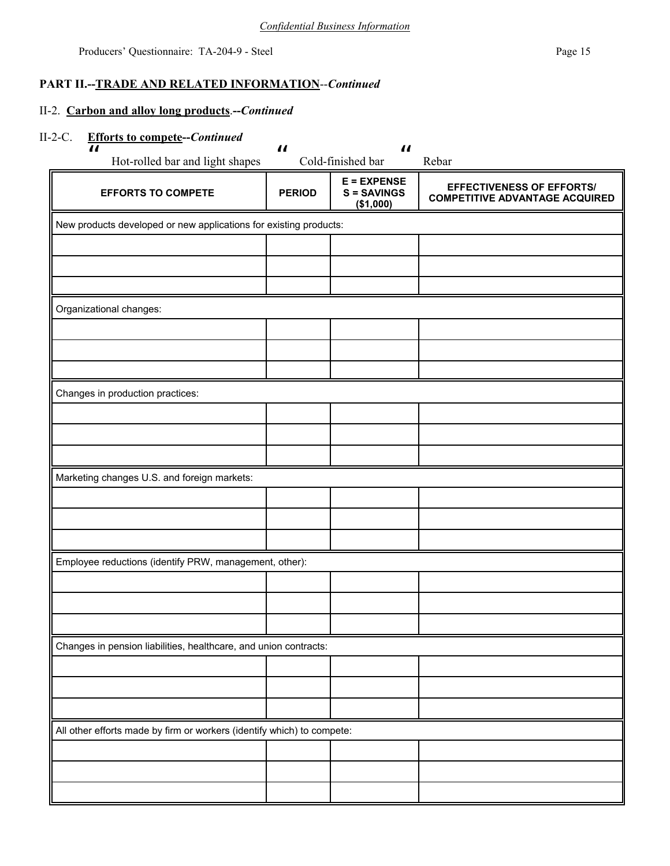## **PART II.--TRADE AND RELATED INFORMATION**--*Continued*

## II-2. **Carbon and alloy long products**.**--***Continued*

## II-2-C. **Efforts to compete--***Continued*

| $\boldsymbol{\mathcal{H}}$<br>Hot-rolled bar and light shapes          | $\boldsymbol{\mathit{II}}$ | $\boldsymbol{\mathit{II}}$<br>Cold-finished bar | Rebar                                                                     |
|------------------------------------------------------------------------|----------------------------|-------------------------------------------------|---------------------------------------------------------------------------|
| <b>EFFORTS TO COMPETE</b>                                              | <b>PERIOD</b>              | $E = EXPENSE$<br>$S =$ SAVINGS<br>(\$1,000)     | <b>EFFECTIVENESS OF EFFORTS/</b><br><b>COMPETITIVE ADVANTAGE ACQUIRED</b> |
| New products developed or new applications for existing products:      |                            |                                                 |                                                                           |
|                                                                        |                            |                                                 |                                                                           |
|                                                                        |                            |                                                 |                                                                           |
|                                                                        |                            |                                                 |                                                                           |
| Organizational changes:                                                |                            |                                                 |                                                                           |
|                                                                        |                            |                                                 |                                                                           |
|                                                                        |                            |                                                 |                                                                           |
|                                                                        |                            |                                                 |                                                                           |
| Changes in production practices:                                       |                            |                                                 |                                                                           |
|                                                                        |                            |                                                 |                                                                           |
|                                                                        |                            |                                                 |                                                                           |
|                                                                        |                            |                                                 |                                                                           |
| Marketing changes U.S. and foreign markets:                            |                            |                                                 |                                                                           |
|                                                                        |                            |                                                 |                                                                           |
|                                                                        |                            |                                                 |                                                                           |
| Employee reductions (identify PRW, management, other):                 |                            |                                                 |                                                                           |
|                                                                        |                            |                                                 |                                                                           |
|                                                                        |                            |                                                 |                                                                           |
|                                                                        |                            |                                                 |                                                                           |
| Changes in pension liabilities, healthcare, and union contracts:       |                            |                                                 |                                                                           |
|                                                                        |                            |                                                 |                                                                           |
|                                                                        |                            |                                                 |                                                                           |
|                                                                        |                            |                                                 |                                                                           |
| All other efforts made by firm or workers (identify which) to compete: |                            |                                                 |                                                                           |
|                                                                        |                            |                                                 |                                                                           |
|                                                                        |                            |                                                 |                                                                           |
|                                                                        |                            |                                                 |                                                                           |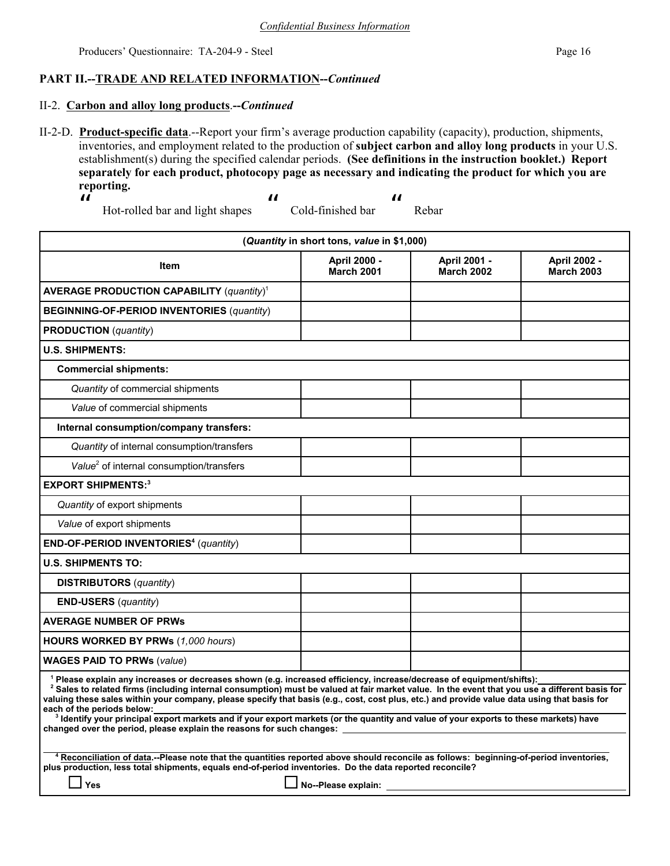## **PART II.--TRADE AND RELATED INFORMATION--***Continued*

### II-2. **Carbon and alloy long products**.**--***Continued*

II-2-D. **Product-specific data**.--Report your firm's average production capability (capacity), production, shipments, inventories, and employment related to the production of **subject carbon and alloy long products** in your U.S. establishment(s) during the specified calendar periods. **(See definitions in the instruction booklet.) Report separately for each product, photocopy page as necessary and indicating the product for which you are reporting.**

 $\boldsymbol{\mathit{II}}$ 

 Hot-rolled bar and light shapes  $\boldsymbol{\mathit{ii}}$ 

 Cold-finished bar  $\boldsymbol{\mu}$ Rebar

| (Quantity in short tons, value in \$1,000)                                                                                                                                                                                                                                                                                                                                                                                                                                                                                                                                                                                                                                                               |                                          |                                          |                                          |  |  |
|----------------------------------------------------------------------------------------------------------------------------------------------------------------------------------------------------------------------------------------------------------------------------------------------------------------------------------------------------------------------------------------------------------------------------------------------------------------------------------------------------------------------------------------------------------------------------------------------------------------------------------------------------------------------------------------------------------|------------------------------------------|------------------------------------------|------------------------------------------|--|--|
| <b>Item</b>                                                                                                                                                                                                                                                                                                                                                                                                                                                                                                                                                                                                                                                                                              | <b>April 2000 -</b><br><b>March 2001</b> | <b>April 2001 -</b><br><b>March 2002</b> | <b>April 2002 -</b><br><b>March 2003</b> |  |  |
| <b>AVERAGE PRODUCTION CAPABILITY (quantity)<sup>1</sup></b>                                                                                                                                                                                                                                                                                                                                                                                                                                                                                                                                                                                                                                              |                                          |                                          |                                          |  |  |
| <b>BEGINNING-OF-PERIOD INVENTORIES (quantity)</b>                                                                                                                                                                                                                                                                                                                                                                                                                                                                                                                                                                                                                                                        |                                          |                                          |                                          |  |  |
| <b>PRODUCTION</b> (quantity)                                                                                                                                                                                                                                                                                                                                                                                                                                                                                                                                                                                                                                                                             |                                          |                                          |                                          |  |  |
| <b>U.S. SHIPMENTS:</b>                                                                                                                                                                                                                                                                                                                                                                                                                                                                                                                                                                                                                                                                                   |                                          |                                          |                                          |  |  |
| <b>Commercial shipments:</b>                                                                                                                                                                                                                                                                                                                                                                                                                                                                                                                                                                                                                                                                             |                                          |                                          |                                          |  |  |
| Quantity of commercial shipments                                                                                                                                                                                                                                                                                                                                                                                                                                                                                                                                                                                                                                                                         |                                          |                                          |                                          |  |  |
| Value of commercial shipments                                                                                                                                                                                                                                                                                                                                                                                                                                                                                                                                                                                                                                                                            |                                          |                                          |                                          |  |  |
| Internal consumption/company transfers:                                                                                                                                                                                                                                                                                                                                                                                                                                                                                                                                                                                                                                                                  |                                          |                                          |                                          |  |  |
| Quantity of internal consumption/transfers                                                                                                                                                                                                                                                                                                                                                                                                                                                                                                                                                                                                                                                               |                                          |                                          |                                          |  |  |
| Value <sup>2</sup> of internal consumption/transfers                                                                                                                                                                                                                                                                                                                                                                                                                                                                                                                                                                                                                                                     |                                          |                                          |                                          |  |  |
| <b>EXPORT SHIPMENTS:3</b>                                                                                                                                                                                                                                                                                                                                                                                                                                                                                                                                                                                                                                                                                |                                          |                                          |                                          |  |  |
| Quantity of export shipments                                                                                                                                                                                                                                                                                                                                                                                                                                                                                                                                                                                                                                                                             |                                          |                                          |                                          |  |  |
| Value of export shipments                                                                                                                                                                                                                                                                                                                                                                                                                                                                                                                                                                                                                                                                                |                                          |                                          |                                          |  |  |
| <b>END-OF-PERIOD INVENTORIES<sup>4</sup></b> (quantity)                                                                                                                                                                                                                                                                                                                                                                                                                                                                                                                                                                                                                                                  |                                          |                                          |                                          |  |  |
| <b>U.S. SHIPMENTS TO:</b>                                                                                                                                                                                                                                                                                                                                                                                                                                                                                                                                                                                                                                                                                |                                          |                                          |                                          |  |  |
| <b>DISTRIBUTORS</b> ( <i>quantity</i> )                                                                                                                                                                                                                                                                                                                                                                                                                                                                                                                                                                                                                                                                  |                                          |                                          |                                          |  |  |
| $END-USERS$ (quantity)                                                                                                                                                                                                                                                                                                                                                                                                                                                                                                                                                                                                                                                                                   |                                          |                                          |                                          |  |  |
| <b>AVERAGE NUMBER OF PRWS</b>                                                                                                                                                                                                                                                                                                                                                                                                                                                                                                                                                                                                                                                                            |                                          |                                          |                                          |  |  |
| HOURS WORKED BY PRWs (1,000 hours)                                                                                                                                                                                                                                                                                                                                                                                                                                                                                                                                                                                                                                                                       |                                          |                                          |                                          |  |  |
| <b>WAGES PAID TO PRWs (value)</b>                                                                                                                                                                                                                                                                                                                                                                                                                                                                                                                                                                                                                                                                        |                                          |                                          |                                          |  |  |
| <sup>1</sup> Please explain any increases or decreases shown (e.g. increased efficiency, increase/decrease of equipment/shifts):<br><sup>2</sup> Sales to related firms (including internal consumption) must be valued at fair market value. In the event that you use a different basis for<br>valuing these sales within your company, please specify that basis (e.g., cost, cost plus, etc.) and provide value data using that basis for<br>each of the periods below:<br><sup>3</sup> Identify your principal export markets and if your export markets (or the quantity and value of your exports to these markets) have<br>changed over the period, please explain the reasons for such changes: |                                          |                                          |                                          |  |  |
| <sup>4</sup> Reconciliation of data.--Please note that the quantities reported above should reconcile as follows: beginning-of-period inventories,<br>plus production, less total shipments, equals end-of-period inventories. Do the data reported reconcile?<br>Yes<br>No--Please explain:                                                                                                                                                                                                                                                                                                                                                                                                             |                                          |                                          |                                          |  |  |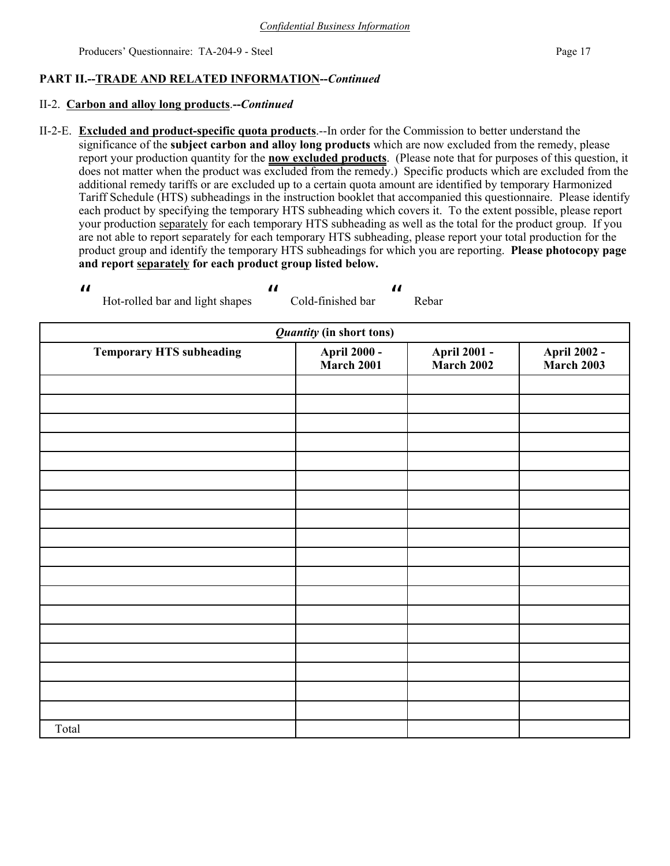## **PART II.--TRADE AND RELATED INFORMATION--***Continued*

### II-2. **Carbon and alloy long products**.**--***Continued*

Hot-rolled bar and light shapes

 $\boldsymbol{\eta}$ 

II-2-E. **Excluded and product-specific quota products**.--In order for the Commission to better understand the significance of the **subject carbon and alloy long products** which are now excluded from the remedy, please report your production quantity for the **now excluded products**. (Please note that for purposes of this question, it does not matter when the product was excluded from the remedy.) Specific products which are excluded from the additional remedy tariffs or are excluded up to a certain quota amount are identified by temporary Harmonized Tariff Schedule (HTS) subheadings in the instruction booklet that accompanied this questionnaire. Please identify each product by specifying the temporary HTS subheading which covers it. To the extent possible, please report your production separately for each temporary HTS subheading as well as the total for the product group. If you are not able to report separately for each temporary HTS subheading, please report your total production for the product group and identify the temporary HTS subheadings for which you are reporting. **Please photocopy page and report separately for each product group listed below.**

Cold-finished bar

 $\mathbf{u}$ 

Rebar

 $\boldsymbol{\mathit{ii}}$ 

| <b>Quantity (in short tons)</b> |                                    |                                    |                                    |  |  |  |  |
|---------------------------------|------------------------------------|------------------------------------|------------------------------------|--|--|--|--|
| <b>Temporary HTS subheading</b> | <b>April 2000 -<br/>March 2001</b> | <b>April 2001 -<br/>March 2002</b> | <b>April 2002 -<br/>March 2003</b> |  |  |  |  |
|                                 |                                    |                                    |                                    |  |  |  |  |
|                                 |                                    |                                    |                                    |  |  |  |  |
|                                 |                                    |                                    |                                    |  |  |  |  |
|                                 |                                    |                                    |                                    |  |  |  |  |
|                                 |                                    |                                    |                                    |  |  |  |  |
|                                 |                                    |                                    |                                    |  |  |  |  |
|                                 |                                    |                                    |                                    |  |  |  |  |
|                                 |                                    |                                    |                                    |  |  |  |  |
|                                 |                                    |                                    |                                    |  |  |  |  |
|                                 |                                    |                                    |                                    |  |  |  |  |
|                                 |                                    |                                    |                                    |  |  |  |  |
|                                 |                                    |                                    |                                    |  |  |  |  |
|                                 |                                    |                                    |                                    |  |  |  |  |
|                                 |                                    |                                    |                                    |  |  |  |  |
|                                 |                                    |                                    |                                    |  |  |  |  |
|                                 |                                    |                                    |                                    |  |  |  |  |
|                                 |                                    |                                    |                                    |  |  |  |  |
|                                 |                                    |                                    |                                    |  |  |  |  |
| Total                           |                                    |                                    |                                    |  |  |  |  |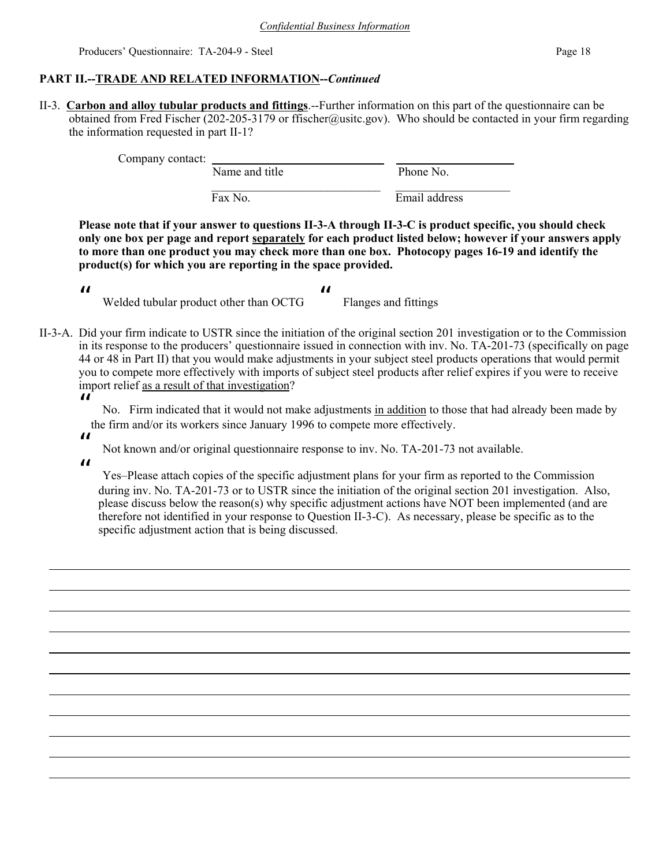## **PART II.--TRADE AND RELATED INFORMATION--***Continued*

II-3. **Carbon and alloy tubular products and fittings**.--Further information on this part of the questionnaire can be obtained from Fred Fischer (202-205-3179 or ffischer@usitc.gov). Who should be contacted in your firm regarding the information requested in part II-1?

Company contact: Name and title Phone No.  $\mathcal{L}_\text{max} = \mathcal{L}_\text{max} = \mathcal{L}_\text{max} = \mathcal{L}_\text{max} = \mathcal{L}_\text{max} = \mathcal{L}_\text{max} = \mathcal{L}_\text{max} = \mathcal{L}_\text{max} = \mathcal{L}_\text{max} = \mathcal{L}_\text{max} = \mathcal{L}_\text{max} = \mathcal{L}_\text{max} = \mathcal{L}_\text{max} = \mathcal{L}_\text{max} = \mathcal{L}_\text{max} = \mathcal{L}_\text{max} = \mathcal{L}_\text{max} = \mathcal{L}_\text{max} = \mathcal{$ 

Fax No. Email address

**Please note that if your answer to questions II-3-A through II-3-C is product specific, you should check only one box per page and report separately for each product listed below; however if your answers apply to more than one product you may check more than one box. Photocopy pages 16-19 and identify the product(s) for which you are reporting in the space provided.**

- $\boldsymbol{\mathit{II}}$  Welded tubular product other than OCTG " Flanges and fittings
- II-3-A. Did your firm indicate to USTR since the initiation of the original section 201 investigation or to the Commission in its response to the producers' questionnaire issued in connection with inv. No. TA-201-73 (specifically on page 44 or 48 in Part II) that you would make adjustments in your subject steel products operations that would permit you to compete more effectively with imports of subject steel products after relief expires if you were to receive import relief as a result of that investigation?
	- $\boldsymbol{\mathit{II}}$

 No. Firm indicated that it would not make adjustments in addition to those that had already been made by the firm and/or its workers since January 1996 to compete more effectively.

- $\boldsymbol{\mathit{ii}}$
- Not known and/or original questionnaire response to inv. No. TA-201-73 not available.

 $\boldsymbol{\mathit{II}}$ 

 Yes–Please attach copies of the specific adjustment plans for your firm as reported to the Commission during inv. No. TA-201-73 or to USTR since the initiation of the original section 201 investigation. Also, please discuss below the reason(s) why specific adjustment actions have NOT been implemented (and are therefore not identified in your response to Question II-3-C). As necessary, please be specific as to the specific adjustment action that is being discussed.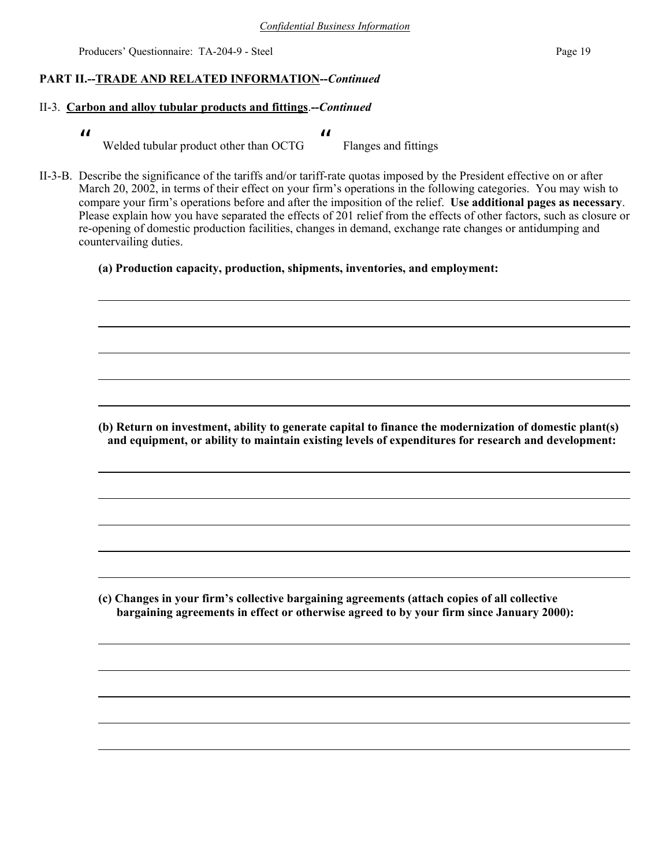### **PART II.--TRADE AND RELATED INFORMATION--***Continued*

## II-3. **Carbon and alloy tubular products and fittings**.**--***Continued*

- $\boldsymbol{\mathsf{II}}$  Welded tubular product other than OCTG  $\boldsymbol{\mathit{II}}$ Flanges and fittings
- II-3-B. Describe the significance of the tariffs and/or tariff-rate quotas imposed by the President effective on or after March 20, 2002, in terms of their effect on your firm's operations in the following categories. You may wish to compare your firm's operations before and after the imposition of the relief. **Use additional pages as necessary**. Please explain how you have separated the effects of 201 relief from the effects of other factors, such as closure or re-opening of domestic production facilities, changes in demand, exchange rate changes or antidumping and countervailing duties.
	- **(a) Production capacity, production, shipments, inventories, and employment:**

**(b) Return on investment, ability to generate capital to finance the modernization of domestic plant(s) and equipment, or ability to maintain existing levels of expenditures for research and development:**

**(c) Changes in your firm's collective bargaining agreements (attach copies of all collective bargaining agreements in effect or otherwise agreed to by your firm since January 2000):**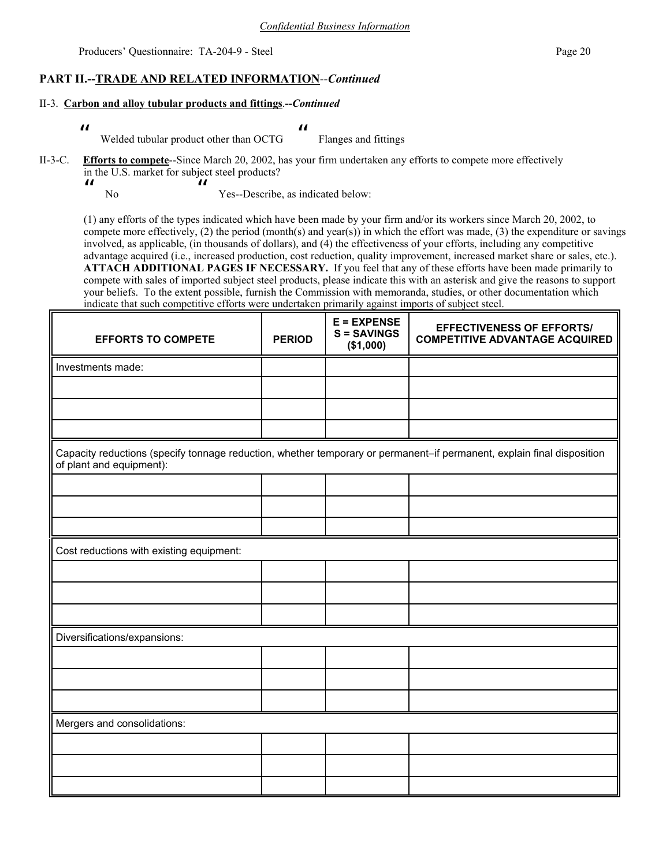### **PART II.--TRADE AND RELATED INFORMATION**--*Continued*

#### II-3. **Carbon and alloy tubular products and fittings**.**--***Continued*

- $\boldsymbol{\mathit{II}}$  Welded tubular product other than OCTG  $\mathbf{u}$ Flanges and fittings
- II-3-C. **Efforts to compete**--Since March 20, 2002, has your firm undertaken any efforts to compete more effectively in the U.S. market for subject steel products?
	- $\boldsymbol{\mathit{II}}$  No  $\boldsymbol{\mu}$ Yes--Describe, as indicated below:

(1) any efforts of the types indicated which have been made by your firm and/or its workers since March 20, 2002, to compete more effectively, (2) the period (month(s) and year(s)) in which the effort was made, (3) the expenditure or savings involved, as applicable, (in thousands of dollars), and (4) the effectiveness of your efforts, including any competitive advantage acquired (i.e., increased production, cost reduction, quality improvement, increased market share or sales, etc.). **ATTACH ADDITIONAL PAGES IF NECESSARY.** If you feel that any of these efforts have been made primarily to compete with sales of imported subject steel products, please indicate this with an asterisk and give the reasons to support your beliefs. To the extent possible, furnish the Commission with memoranda, studies, or other documentation which indicate that such competitive efforts were undertaken primarily against imports of subject steel.

| <b>EFFORTS TO COMPETE</b>                                                                                                                          | <b>PERIOD</b> | $E = EXPENSE$<br>$S = SAVINGS$<br>(\$1,000) | <b>EFFECTIVENESS OF EFFORTS/</b><br><b>COMPETITIVE ADVANTAGE ACQUIRED</b> |  |  |
|----------------------------------------------------------------------------------------------------------------------------------------------------|---------------|---------------------------------------------|---------------------------------------------------------------------------|--|--|
| Investments made:                                                                                                                                  |               |                                             |                                                                           |  |  |
|                                                                                                                                                    |               |                                             |                                                                           |  |  |
|                                                                                                                                                    |               |                                             |                                                                           |  |  |
|                                                                                                                                                    |               |                                             |                                                                           |  |  |
| Capacity reductions (specify tonnage reduction, whether temporary or permanent-if permanent, explain final disposition<br>of plant and equipment): |               |                                             |                                                                           |  |  |
|                                                                                                                                                    |               |                                             |                                                                           |  |  |
|                                                                                                                                                    |               |                                             |                                                                           |  |  |
|                                                                                                                                                    |               |                                             |                                                                           |  |  |
| Cost reductions with existing equipment:                                                                                                           |               |                                             |                                                                           |  |  |
|                                                                                                                                                    |               |                                             |                                                                           |  |  |
|                                                                                                                                                    |               |                                             |                                                                           |  |  |
|                                                                                                                                                    |               |                                             |                                                                           |  |  |
| Diversifications/expansions:                                                                                                                       |               |                                             |                                                                           |  |  |
|                                                                                                                                                    |               |                                             |                                                                           |  |  |
|                                                                                                                                                    |               |                                             |                                                                           |  |  |
|                                                                                                                                                    |               |                                             |                                                                           |  |  |
| Mergers and consolidations:                                                                                                                        |               |                                             |                                                                           |  |  |
|                                                                                                                                                    |               |                                             |                                                                           |  |  |
|                                                                                                                                                    |               |                                             |                                                                           |  |  |
|                                                                                                                                                    |               |                                             |                                                                           |  |  |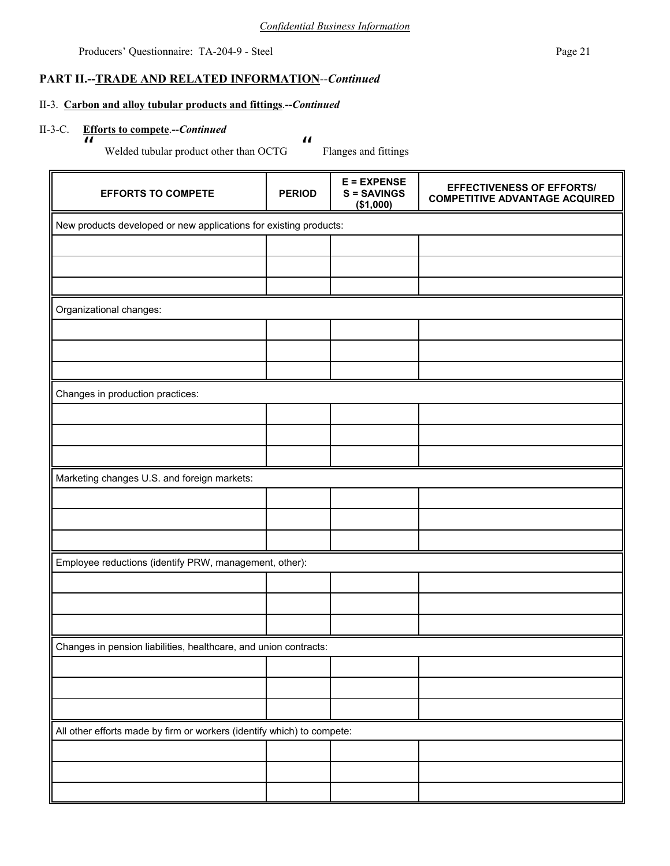$\boldsymbol{\mathit{II}}$ 

Producers' Questionnaire: TA-204-9 - Steel Page 21

## **PART II.--TRADE AND RELATED INFORMATION**--*Continued*

### II-3. **Carbon and alloy tubular products and fittings**.**--***Continued*

# II-3-C. **Efforts to compete**.**--***Continued* — <u>п</u>

Welded tubular product other than OCTG

| <b>EFFORTS TO COMPETE</b>                                              | <b>PERIOD</b>                                                     | $E = EXPENSE$<br><b>S = SAVINGS</b><br>(\$1,000) | <b>EFFECTIVENESS OF EFFORTS/</b><br><b>COMPETITIVE ADVANTAGE ACQUIRED</b> |  |  |  |  |  |
|------------------------------------------------------------------------|-------------------------------------------------------------------|--------------------------------------------------|---------------------------------------------------------------------------|--|--|--|--|--|
|                                                                        | New products developed or new applications for existing products: |                                                  |                                                                           |  |  |  |  |  |
|                                                                        |                                                                   |                                                  |                                                                           |  |  |  |  |  |
|                                                                        |                                                                   |                                                  |                                                                           |  |  |  |  |  |
|                                                                        |                                                                   |                                                  |                                                                           |  |  |  |  |  |
| Organizational changes:                                                |                                                                   |                                                  |                                                                           |  |  |  |  |  |
|                                                                        |                                                                   |                                                  |                                                                           |  |  |  |  |  |
|                                                                        |                                                                   |                                                  |                                                                           |  |  |  |  |  |
|                                                                        |                                                                   |                                                  |                                                                           |  |  |  |  |  |
| Changes in production practices:                                       |                                                                   |                                                  |                                                                           |  |  |  |  |  |
|                                                                        |                                                                   |                                                  |                                                                           |  |  |  |  |  |
|                                                                        |                                                                   |                                                  |                                                                           |  |  |  |  |  |
| Marketing changes U.S. and foreign markets:                            |                                                                   |                                                  |                                                                           |  |  |  |  |  |
|                                                                        |                                                                   |                                                  |                                                                           |  |  |  |  |  |
|                                                                        |                                                                   |                                                  |                                                                           |  |  |  |  |  |
|                                                                        |                                                                   |                                                  |                                                                           |  |  |  |  |  |
| Employee reductions (identify PRW, management, other):                 |                                                                   |                                                  |                                                                           |  |  |  |  |  |
|                                                                        |                                                                   |                                                  |                                                                           |  |  |  |  |  |
|                                                                        |                                                                   |                                                  |                                                                           |  |  |  |  |  |
|                                                                        |                                                                   |                                                  |                                                                           |  |  |  |  |  |
| Changes in pension liabilities, healthcare, and union contracts:       |                                                                   |                                                  |                                                                           |  |  |  |  |  |
|                                                                        |                                                                   |                                                  |                                                                           |  |  |  |  |  |
|                                                                        |                                                                   |                                                  |                                                                           |  |  |  |  |  |
|                                                                        |                                                                   |                                                  |                                                                           |  |  |  |  |  |
| All other efforts made by firm or workers (identify which) to compete: |                                                                   |                                                  |                                                                           |  |  |  |  |  |
|                                                                        |                                                                   |                                                  |                                                                           |  |  |  |  |  |
|                                                                        |                                                                   |                                                  |                                                                           |  |  |  |  |  |
|                                                                        |                                                                   |                                                  |                                                                           |  |  |  |  |  |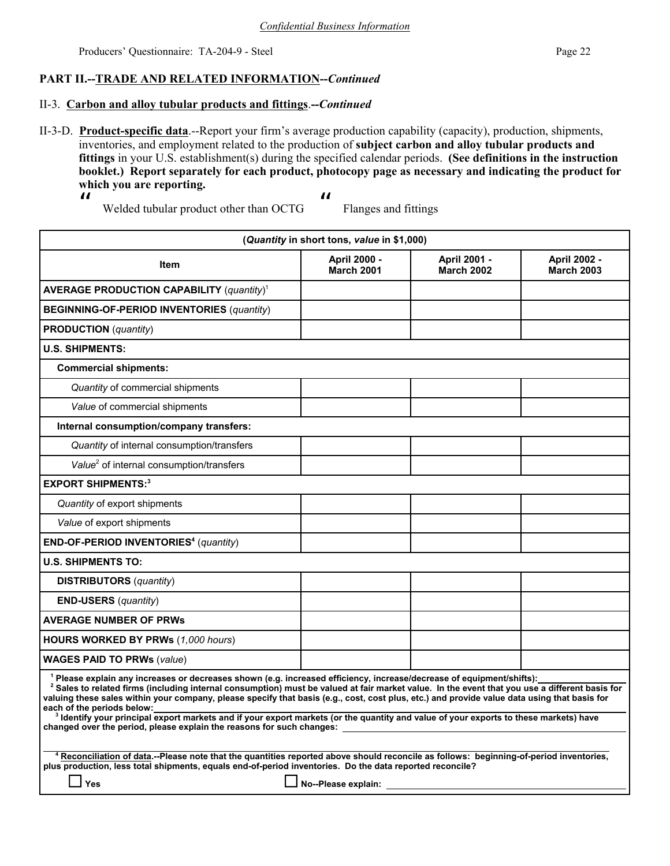## **PART II.--TRADE AND RELATED INFORMATION--***Continued*

### II-3. **Carbon and alloy tubular products and fittings**.**--***Continued*

II-3-D. **Product-specific data**.--Report your firm's average production capability (capacity), production, shipments, inventories, and employment related to the production of **subject carbon and alloy tubular products and fittings** in your U.S. establishment(s) during the specified calendar periods. **(See definitions in the instruction booklet.) Report separately for each product, photocopy page as necessary and indicating the product for which you are reporting.**

 $\boldsymbol{\mathit{ii}}$ 

 $\boldsymbol{\mathit{ii}}$ 

Welded tubular product other than OCTG

| (Quantity in short tons, value in \$1,000)                                                                                                                                                                                                                                                                                                                                                                                                                                                                                                                                                                                                                                                               |                                   |                                   |                                          |  |
|----------------------------------------------------------------------------------------------------------------------------------------------------------------------------------------------------------------------------------------------------------------------------------------------------------------------------------------------------------------------------------------------------------------------------------------------------------------------------------------------------------------------------------------------------------------------------------------------------------------------------------------------------------------------------------------------------------|-----------------------------------|-----------------------------------|------------------------------------------|--|
| Item                                                                                                                                                                                                                                                                                                                                                                                                                                                                                                                                                                                                                                                                                                     | April 2000 -<br><b>March 2001</b> | April 2001 -<br><b>March 2002</b> | <b>April 2002 -</b><br><b>March 2003</b> |  |
| <b>AVERAGE PRODUCTION CAPABILITY (quantity)<sup>1</sup></b>                                                                                                                                                                                                                                                                                                                                                                                                                                                                                                                                                                                                                                              |                                   |                                   |                                          |  |
| <b>BEGINNING-OF-PERIOD INVENTORIES (quantity)</b>                                                                                                                                                                                                                                                                                                                                                                                                                                                                                                                                                                                                                                                        |                                   |                                   |                                          |  |
| <b>PRODUCTION</b> (quantity)                                                                                                                                                                                                                                                                                                                                                                                                                                                                                                                                                                                                                                                                             |                                   |                                   |                                          |  |
| <b>U.S. SHIPMENTS:</b>                                                                                                                                                                                                                                                                                                                                                                                                                                                                                                                                                                                                                                                                                   |                                   |                                   |                                          |  |
| <b>Commercial shipments:</b>                                                                                                                                                                                                                                                                                                                                                                                                                                                                                                                                                                                                                                                                             |                                   |                                   |                                          |  |
| Quantity of commercial shipments                                                                                                                                                                                                                                                                                                                                                                                                                                                                                                                                                                                                                                                                         |                                   |                                   |                                          |  |
| Value of commercial shipments                                                                                                                                                                                                                                                                                                                                                                                                                                                                                                                                                                                                                                                                            |                                   |                                   |                                          |  |
| Internal consumption/company transfers:                                                                                                                                                                                                                                                                                                                                                                                                                                                                                                                                                                                                                                                                  |                                   |                                   |                                          |  |
| Quantity of internal consumption/transfers                                                                                                                                                                                                                                                                                                                                                                                                                                                                                                                                                                                                                                                               |                                   |                                   |                                          |  |
| Value <sup>2</sup> of internal consumption/transfers                                                                                                                                                                                                                                                                                                                                                                                                                                                                                                                                                                                                                                                     |                                   |                                   |                                          |  |
| <b>EXPORT SHIPMENTS:3</b>                                                                                                                                                                                                                                                                                                                                                                                                                                                                                                                                                                                                                                                                                |                                   |                                   |                                          |  |
| Quantity of export shipments                                                                                                                                                                                                                                                                                                                                                                                                                                                                                                                                                                                                                                                                             |                                   |                                   |                                          |  |
| Value of export shipments                                                                                                                                                                                                                                                                                                                                                                                                                                                                                                                                                                                                                                                                                |                                   |                                   |                                          |  |
| <b>END-OF-PERIOD INVENTORIES<sup>4</sup></b> (quantity)                                                                                                                                                                                                                                                                                                                                                                                                                                                                                                                                                                                                                                                  |                                   |                                   |                                          |  |
| <b>U.S. SHIPMENTS TO:</b>                                                                                                                                                                                                                                                                                                                                                                                                                                                                                                                                                                                                                                                                                |                                   |                                   |                                          |  |
| <b>DISTRIBUTORS</b> (quantity)                                                                                                                                                                                                                                                                                                                                                                                                                                                                                                                                                                                                                                                                           |                                   |                                   |                                          |  |
| <b>END-USERS</b> (quantity)                                                                                                                                                                                                                                                                                                                                                                                                                                                                                                                                                                                                                                                                              |                                   |                                   |                                          |  |
| <b>AVERAGE NUMBER OF PRWS</b>                                                                                                                                                                                                                                                                                                                                                                                                                                                                                                                                                                                                                                                                            |                                   |                                   |                                          |  |
| HOURS WORKED BY PRWs (1,000 hours)                                                                                                                                                                                                                                                                                                                                                                                                                                                                                                                                                                                                                                                                       |                                   |                                   |                                          |  |
| <b>WAGES PAID TO PRWs (value)</b>                                                                                                                                                                                                                                                                                                                                                                                                                                                                                                                                                                                                                                                                        |                                   |                                   |                                          |  |
| <sup>1</sup> Please explain any increases or decreases shown (e.g. increased efficiency, increase/decrease of equipment/shifts):<br><sup>2</sup> Sales to related firms (including internal consumption) must be valued at fair market value. In the event that you use a different basis for<br>valuing these sales within your company, please specify that basis (e.g., cost, cost plus, etc.) and provide value data using that basis for<br>each of the periods below:<br><sup>3</sup> Identify your principal export markets and if your export markets (or the quantity and value of your exports to these markets) have<br>changed over the period, please explain the reasons for such changes: |                                   |                                   |                                          |  |
| 4 Reconciliation of data.--Please note that the quantities reported above should reconcile as follows: beginning-of-period inventories,<br>plus production, less total shipments, equals end-of-period inventories. Do the data reported reconcile?<br>Yes                                                                                                                                                                                                                                                                                                                                                                                                                                               |                                   |                                   |                                          |  |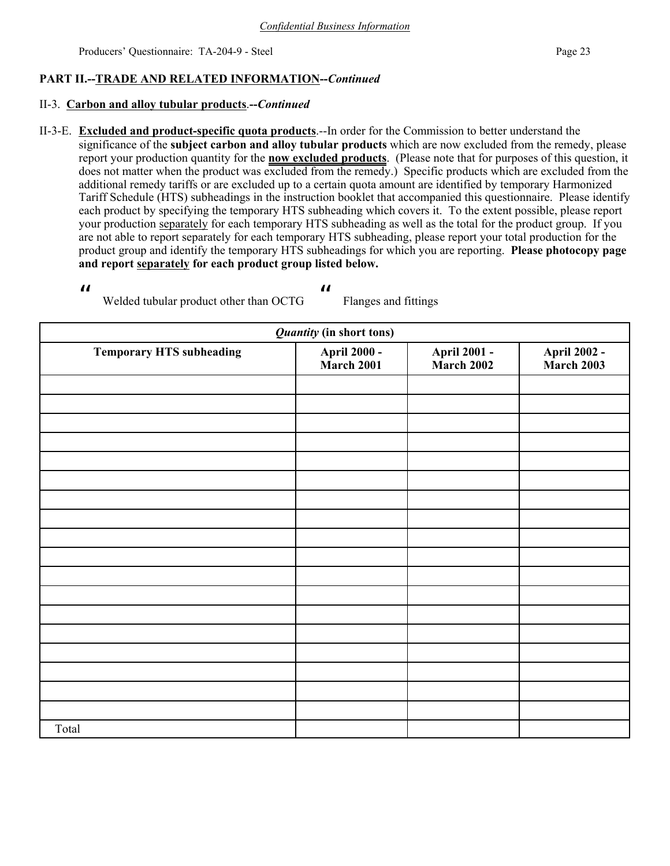## **PART II.--TRADE AND RELATED INFORMATION--***Continued*

### II-3. **Carbon and alloy tubular products**.**--***Continued*

II-3-E. **Excluded and product-specific quota products**.--In order for the Commission to better understand the significance of the **subject carbon and alloy tubular products** which are now excluded from the remedy, please report your production quantity for the **now excluded products**. (Please note that for purposes of this question, it does not matter when the product was excluded from the remedy.) Specific products which are excluded from the additional remedy tariffs or are excluded up to a certain quota amount are identified by temporary Harmonized Tariff Schedule (HTS) subheadings in the instruction booklet that accompanied this questionnaire. Please identify each product by specifying the temporary HTS subheading which covers it. To the extent possible, please report your production separately for each temporary HTS subheading as well as the total for the product group. If you are not able to report separately for each temporary HTS subheading, please report your total production for the product group and identify the temporary HTS subheadings for which you are reporting. **Please photocopy page and report separately for each product group listed below.**

 $\boldsymbol{\mu}$ 

 $\boldsymbol{\mathit{ii}}$ 

Welded tubular product other than OCTG

| <b>Quantity (in short tons)</b> |                                    |                                    |                                    |  |
|---------------------------------|------------------------------------|------------------------------------|------------------------------------|--|
| <b>Temporary HTS subheading</b> | <b>April 2000 -<br/>March 2001</b> | <b>April 2001 -<br/>March 2002</b> | <b>April 2002 -<br/>March 2003</b> |  |
|                                 |                                    |                                    |                                    |  |
|                                 |                                    |                                    |                                    |  |
|                                 |                                    |                                    |                                    |  |
|                                 |                                    |                                    |                                    |  |
|                                 |                                    |                                    |                                    |  |
|                                 |                                    |                                    |                                    |  |
|                                 |                                    |                                    |                                    |  |
|                                 |                                    |                                    |                                    |  |
|                                 |                                    |                                    |                                    |  |
|                                 |                                    |                                    |                                    |  |
|                                 |                                    |                                    |                                    |  |
|                                 |                                    |                                    |                                    |  |
|                                 |                                    |                                    |                                    |  |
|                                 |                                    |                                    |                                    |  |
|                                 |                                    |                                    |                                    |  |
|                                 |                                    |                                    |                                    |  |
|                                 |                                    |                                    |                                    |  |
|                                 |                                    |                                    |                                    |  |
| Total                           |                                    |                                    |                                    |  |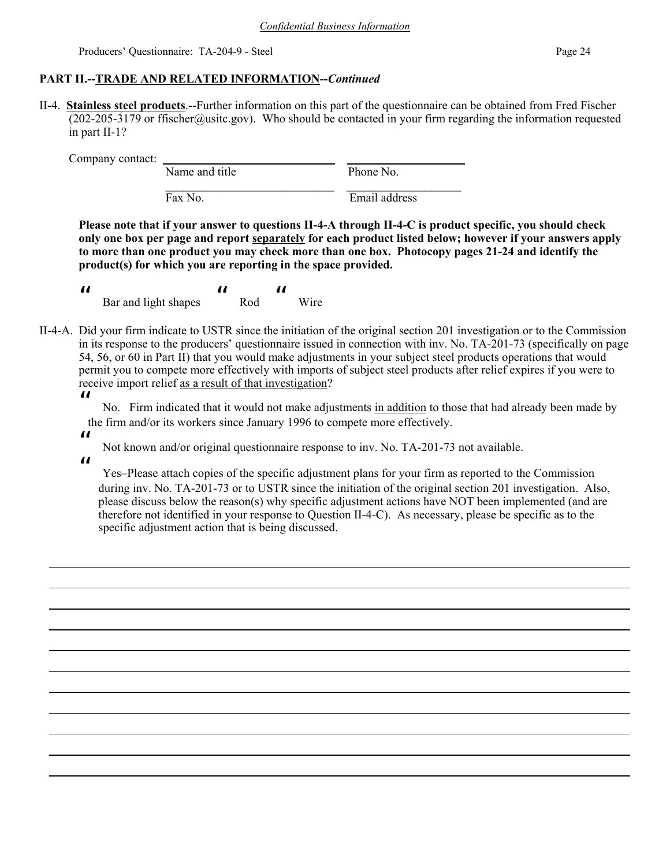## **PART II.--TRADE AND RELATED INFORMATION--***Continued*

II-4. **Stainless steel products**.--Further information on this part of the questionnaire can be obtained from Fred Fischer (202-205-3179 or ffischer@usitc.gov). Who should be contacted in your firm regarding the information requested in part II-1?

Company contact:

Name and title Phone No.  $\mathcal{L}_\text{max} = \frac{1}{2} \sum_{i=1}^{n} \frac{1}{2} \sum_{i=1}^{n} \frac{1}{2} \sum_{i=1}^{n} \frac{1}{2} \sum_{i=1}^{n} \frac{1}{2} \sum_{i=1}^{n} \frac{1}{2} \sum_{i=1}^{n} \frac{1}{2} \sum_{i=1}^{n} \frac{1}{2} \sum_{i=1}^{n} \frac{1}{2} \sum_{i=1}^{n} \frac{1}{2} \sum_{i=1}^{n} \frac{1}{2} \sum_{i=1}^{n} \frac{1}{2} \sum_{i=1}^{n} \frac{1$ Fax No. Email address

**Please note that if your answer to questions II-4-A through II-4-C is product specific, you should check only one box per page and report separately for each product listed below; however if your answers apply to more than one product you may check more than one box. Photocopy pages 21-24 and identify the product(s) for which you are reporting in the space provided.**

 $\boldsymbol{\mathit{II}}$  Bar and light shapes  $\boldsymbol{\mathcal{H}}$  Rod  $\boldsymbol{\mathit{ii}}$ Wire

- II-4-A. Did your firm indicate to USTR since the initiation of the original section 201 investigation or to the Commission in its response to the producers' questionnaire issued in connection with inv. No. TA-201-73 (specifically on page 54, 56, or 60 in Part II) that you would make adjustments in your subject steel products operations that would permit you to compete more effectively with imports of subject steel products after relief expires if you were to receive import relief as a result of that investigation?
	- $\boldsymbol{\mathcal{U}}$

 No. Firm indicated that it would not make adjustments in addition to those that had already been made by the firm and/or its workers since January 1996 to compete more effectively.

 $\mathbf{u}$ 

Not known and/or original questionnaire response to inv. No. TA-201-73 not available.

 $\boldsymbol{\mu}$ 

 Yes–Please attach copies of the specific adjustment plans for your firm as reported to the Commission during inv. No. TA-201-73 or to USTR since the initiation of the original section 201 investigation. Also, please discuss below the reason(s) why specific adjustment actions have NOT been implemented (and are therefore not identified in your response to Question II-4-C). As necessary, please be specific as to the specific adjustment action that is being discussed.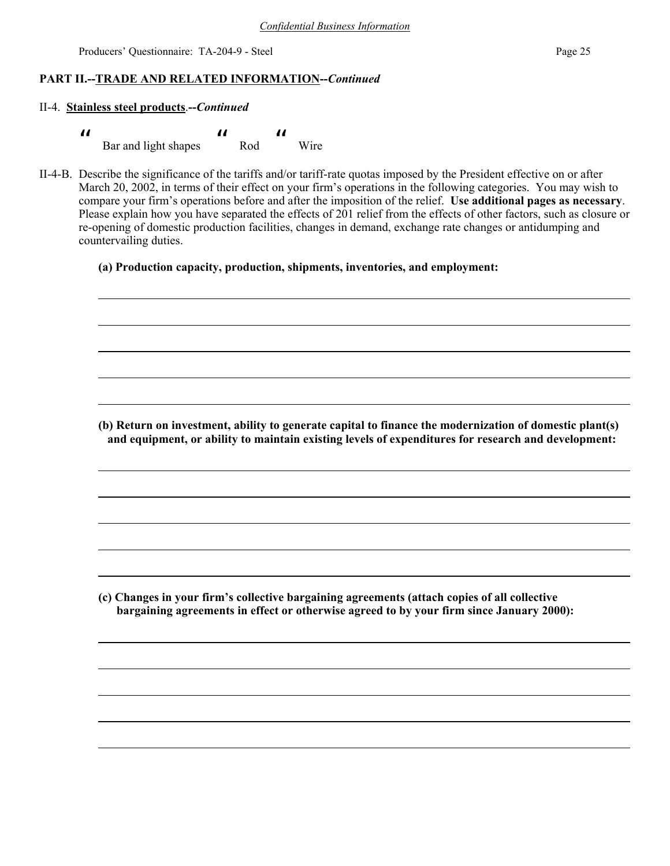### **PART II.--TRADE AND RELATED INFORMATION--***Continued*

#### II-4. **Stainless steel products**.**--***Continued*

| П |                      |     |      |
|---|----------------------|-----|------|
|   | Bar and light shapes | Rod | Wire |

II-4-B. Describe the significance of the tariffs and/or tariff-rate quotas imposed by the President effective on or after March 20, 2002, in terms of their effect on your firm's operations in the following categories. You may wish to compare your firm's operations before and after the imposition of the relief. **Use additional pages as necessary**. Please explain how you have separated the effects of 201 relief from the effects of other factors, such as closure or re-opening of domestic production facilities, changes in demand, exchange rate changes or antidumping and countervailing duties.

### **(a) Production capacity, production, shipments, inventories, and employment:**

**(b) Return on investment, ability to generate capital to finance the modernization of domestic plant(s) and equipment, or ability to maintain existing levels of expenditures for research and development:**

**(c) Changes in your firm's collective bargaining agreements (attach copies of all collective bargaining agreements in effect or otherwise agreed to by your firm since January 2000):**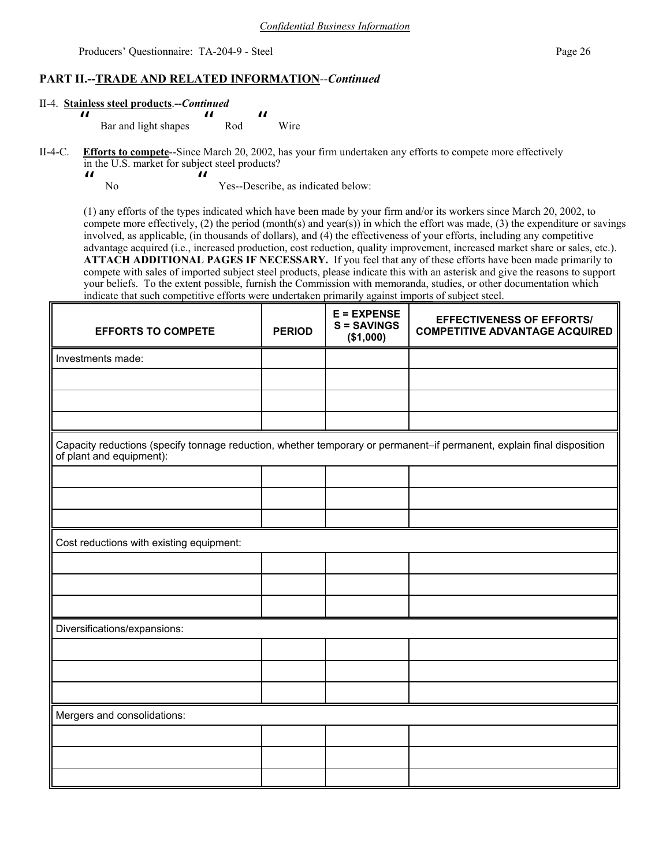### **PART II.--TRADE AND RELATED INFORMATION**--*Continued*

#### II-4. **Stainless steel products**.**--***Continued*

- Bar and light shapes " Rod  $\boldsymbol{\mathit{ii}}$ Wire
- II-4-C. **Efforts to compete**--Since March 20, 2002, has your firm undertaken any efforts to compete more effectively in the U.S. market for subject steel products?
	- $\boldsymbol{\mathit{ii}}$ No

 $\boldsymbol{\mathit{II}}$ 

 $\boldsymbol{\mathcal{U}}$ Yes--Describe, as indicated below:

(1) any efforts of the types indicated which have been made by your firm and/or its workers since March 20, 2002, to compete more effectively, (2) the period (month(s) and year(s)) in which the effort was made, (3) the expenditure or savings involved, as applicable, (in thousands of dollars), and (4) the effectiveness of your efforts, including any competitive advantage acquired (i.e., increased production, cost reduction, quality improvement, increased market share or sales, etc.). **ATTACH ADDITIONAL PAGES IF NECESSARY.** If you feel that any of these efforts have been made primarily to compete with sales of imported subject steel products, please indicate this with an asterisk and give the reasons to support your beliefs. To the extent possible, furnish the Commission with memoranda, studies, or other documentation which indicate that such competitive efforts were undertaken primarily against imports of subject steel.

| <b>EFFORTS TO COMPETE</b>                                                                                                                          | <b>PERIOD</b> | $E = EXPENSE$<br><b>S = SAVINGS</b><br>(\$1,000) | <b>EFFECTIVENESS OF EFFORTS/</b><br><b>COMPETITIVE ADVANTAGE ACQUIRED</b> |  |  |
|----------------------------------------------------------------------------------------------------------------------------------------------------|---------------|--------------------------------------------------|---------------------------------------------------------------------------|--|--|
| Investments made:                                                                                                                                  |               |                                                  |                                                                           |  |  |
|                                                                                                                                                    |               |                                                  |                                                                           |  |  |
|                                                                                                                                                    |               |                                                  |                                                                           |  |  |
|                                                                                                                                                    |               |                                                  |                                                                           |  |  |
| Capacity reductions (specify tonnage reduction, whether temporary or permanent-if permanent, explain final disposition<br>of plant and equipment): |               |                                                  |                                                                           |  |  |
|                                                                                                                                                    |               |                                                  |                                                                           |  |  |
|                                                                                                                                                    |               |                                                  |                                                                           |  |  |
|                                                                                                                                                    |               |                                                  |                                                                           |  |  |
| Cost reductions with existing equipment:                                                                                                           |               |                                                  |                                                                           |  |  |
|                                                                                                                                                    |               |                                                  |                                                                           |  |  |
|                                                                                                                                                    |               |                                                  |                                                                           |  |  |
|                                                                                                                                                    |               |                                                  |                                                                           |  |  |
| Diversifications/expansions:                                                                                                                       |               |                                                  |                                                                           |  |  |
|                                                                                                                                                    |               |                                                  |                                                                           |  |  |
|                                                                                                                                                    |               |                                                  |                                                                           |  |  |
|                                                                                                                                                    |               |                                                  |                                                                           |  |  |
| Mergers and consolidations:                                                                                                                        |               |                                                  |                                                                           |  |  |
|                                                                                                                                                    |               |                                                  |                                                                           |  |  |
|                                                                                                                                                    |               |                                                  |                                                                           |  |  |
|                                                                                                                                                    |               |                                                  |                                                                           |  |  |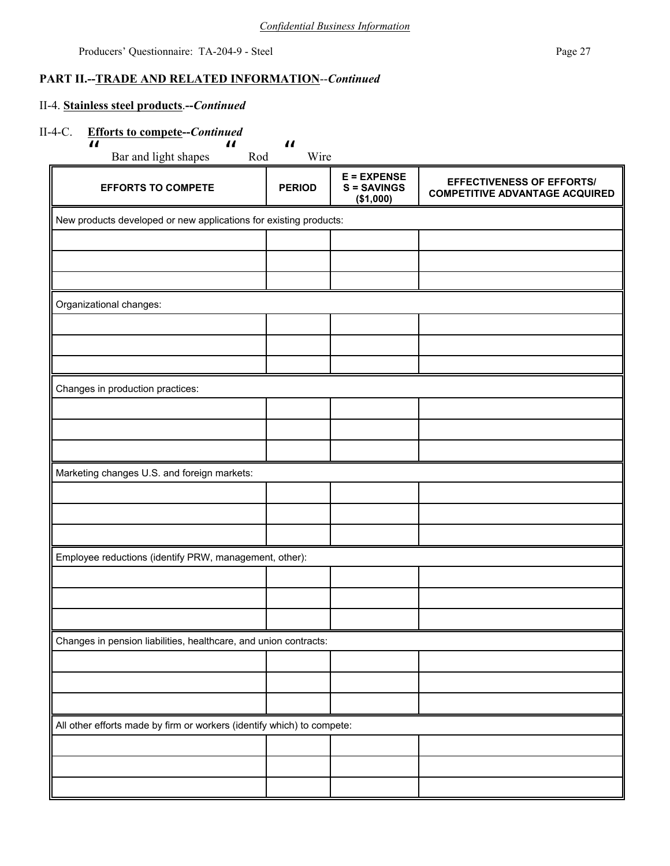## **PART II.--TRADE AND RELATED INFORMATION**--*Continued*

## II-4. **Stainless steel products**.**--***Continued*

### II-4-C. **Efforts to compete--***Continued*

| <b>EFFORTS TO COMPETE</b>                                              | <b>PERIOD</b> | $E = EXPENSE$<br>$S =$ SAVINGS<br>(\$1,000) | <b>EFFECTIVENESS OF EFFORTS/</b><br><b>COMPETITIVE ADVANTAGE ACQUIRED</b> |  |  |  |
|------------------------------------------------------------------------|---------------|---------------------------------------------|---------------------------------------------------------------------------|--|--|--|
| New products developed or new applications for existing products:      |               |                                             |                                                                           |  |  |  |
|                                                                        |               |                                             |                                                                           |  |  |  |
|                                                                        |               |                                             |                                                                           |  |  |  |
|                                                                        |               |                                             |                                                                           |  |  |  |
| Organizational changes:                                                |               |                                             |                                                                           |  |  |  |
|                                                                        |               |                                             |                                                                           |  |  |  |
|                                                                        |               |                                             |                                                                           |  |  |  |
|                                                                        |               |                                             |                                                                           |  |  |  |
| Changes in production practices:                                       |               |                                             |                                                                           |  |  |  |
|                                                                        |               |                                             |                                                                           |  |  |  |
|                                                                        |               |                                             |                                                                           |  |  |  |
|                                                                        |               |                                             |                                                                           |  |  |  |
| Marketing changes U.S. and foreign markets:                            |               |                                             |                                                                           |  |  |  |
|                                                                        |               |                                             |                                                                           |  |  |  |
|                                                                        |               |                                             |                                                                           |  |  |  |
|                                                                        |               |                                             |                                                                           |  |  |  |
| Employee reductions (identify PRW, management, other):                 |               |                                             |                                                                           |  |  |  |
|                                                                        |               |                                             |                                                                           |  |  |  |
|                                                                        |               |                                             |                                                                           |  |  |  |
|                                                                        |               |                                             |                                                                           |  |  |  |
| Changes in pension liabilities, healthcare, and union contracts:       |               |                                             |                                                                           |  |  |  |
|                                                                        |               |                                             |                                                                           |  |  |  |
|                                                                        |               |                                             |                                                                           |  |  |  |
|                                                                        |               |                                             |                                                                           |  |  |  |
| All other efforts made by firm or workers (identify which) to compete: |               |                                             |                                                                           |  |  |  |
|                                                                        |               |                                             |                                                                           |  |  |  |
|                                                                        |               |                                             |                                                                           |  |  |  |
|                                                                        |               |                                             |                                                                           |  |  |  |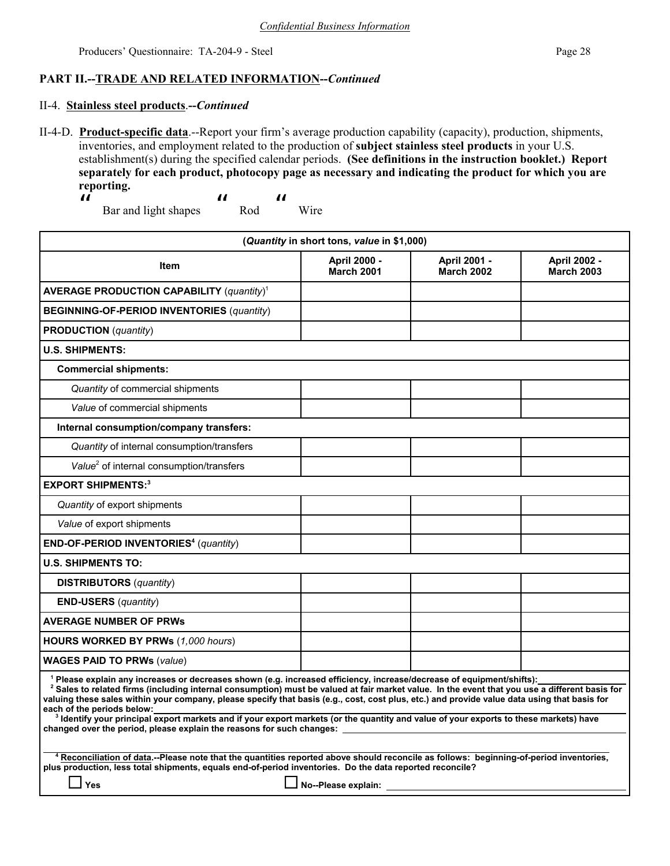## **PART II.--TRADE AND RELATED INFORMATION--***Continued*

### II-4. **Stainless steel products**.**--***Continued*

- II-4-D. **Product-specific data**.--Report your firm's average production capability (capacity), production, shipments, inventories, and employment related to the production of **subject stainless steel products** in your U.S. establishment(s) during the specified calendar periods. **(See definitions in the instruction booklet.) Report separately for each product, photocopy page as necessary and indicating the product for which you are reporting.**
	- $\boldsymbol{\mathit{II}}$  Bar and light shapes  $\boldsymbol{\mathcal{H}}$  Rod  $\boldsymbol{\mu}$ Wire

| (Quantity in short tons, value in \$1,000)                                                                                                                                                                                                                                                                                                                                                                                                                                                                                                                                                                                                                                                                    |                                   |                                   |                                          |  |
|---------------------------------------------------------------------------------------------------------------------------------------------------------------------------------------------------------------------------------------------------------------------------------------------------------------------------------------------------------------------------------------------------------------------------------------------------------------------------------------------------------------------------------------------------------------------------------------------------------------------------------------------------------------------------------------------------------------|-----------------------------------|-----------------------------------|------------------------------------------|--|
| Item                                                                                                                                                                                                                                                                                                                                                                                                                                                                                                                                                                                                                                                                                                          | April 2000 -<br><b>March 2001</b> | April 2001 -<br><b>March 2002</b> | <b>April 2002 -</b><br><b>March 2003</b> |  |
| AVERAGE PRODUCTION CAPABILITY $(quantity)^T$                                                                                                                                                                                                                                                                                                                                                                                                                                                                                                                                                                                                                                                                  |                                   |                                   |                                          |  |
| <b>BEGINNING-OF-PERIOD INVENTORIES (quantity)</b>                                                                                                                                                                                                                                                                                                                                                                                                                                                                                                                                                                                                                                                             |                                   |                                   |                                          |  |
| <b>PRODUCTION</b> (quantity)                                                                                                                                                                                                                                                                                                                                                                                                                                                                                                                                                                                                                                                                                  |                                   |                                   |                                          |  |
| <b>U.S. SHIPMENTS:</b>                                                                                                                                                                                                                                                                                                                                                                                                                                                                                                                                                                                                                                                                                        |                                   |                                   |                                          |  |
| <b>Commercial shipments:</b>                                                                                                                                                                                                                                                                                                                                                                                                                                                                                                                                                                                                                                                                                  |                                   |                                   |                                          |  |
| Quantity of commercial shipments                                                                                                                                                                                                                                                                                                                                                                                                                                                                                                                                                                                                                                                                              |                                   |                                   |                                          |  |
| Value of commercial shipments                                                                                                                                                                                                                                                                                                                                                                                                                                                                                                                                                                                                                                                                                 |                                   |                                   |                                          |  |
| Internal consumption/company transfers:                                                                                                                                                                                                                                                                                                                                                                                                                                                                                                                                                                                                                                                                       |                                   |                                   |                                          |  |
| Quantity of internal consumption/transfers                                                                                                                                                                                                                                                                                                                                                                                                                                                                                                                                                                                                                                                                    |                                   |                                   |                                          |  |
| Value <sup>2</sup> of internal consumption/transfers                                                                                                                                                                                                                                                                                                                                                                                                                                                                                                                                                                                                                                                          |                                   |                                   |                                          |  |
| <b>EXPORT SHIPMENTS:3</b>                                                                                                                                                                                                                                                                                                                                                                                                                                                                                                                                                                                                                                                                                     |                                   |                                   |                                          |  |
| Quantity of export shipments                                                                                                                                                                                                                                                                                                                                                                                                                                                                                                                                                                                                                                                                                  |                                   |                                   |                                          |  |
| Value of export shipments                                                                                                                                                                                                                                                                                                                                                                                                                                                                                                                                                                                                                                                                                     |                                   |                                   |                                          |  |
| END-OF-PERIOD INVENTORIES <sup>4</sup> (quantity)                                                                                                                                                                                                                                                                                                                                                                                                                                                                                                                                                                                                                                                             |                                   |                                   |                                          |  |
| <b>U.S. SHIPMENTS TO:</b>                                                                                                                                                                                                                                                                                                                                                                                                                                                                                                                                                                                                                                                                                     |                                   |                                   |                                          |  |
| <b>DISTRIBUTORS</b> (quantity)                                                                                                                                                                                                                                                                                                                                                                                                                                                                                                                                                                                                                                                                                |                                   |                                   |                                          |  |
| <b>END-USERS</b> ( <i>quantity</i> )                                                                                                                                                                                                                                                                                                                                                                                                                                                                                                                                                                                                                                                                          |                                   |                                   |                                          |  |
| <b>AVERAGE NUMBER OF PRWs</b>                                                                                                                                                                                                                                                                                                                                                                                                                                                                                                                                                                                                                                                                                 |                                   |                                   |                                          |  |
| HOURS WORKED BY PRWs (1,000 hours)                                                                                                                                                                                                                                                                                                                                                                                                                                                                                                                                                                                                                                                                            |                                   |                                   |                                          |  |
| <b>WAGES PAID TO PRWs (value)</b>                                                                                                                                                                                                                                                                                                                                                                                                                                                                                                                                                                                                                                                                             |                                   |                                   |                                          |  |
| $^{\rm 1}$ Please explain any increases or decreases shown (e.g. increased efficiency, increase/decrease of equipment/shifts): $\,$<br><sup>2</sup> Sales to related firms (including internal consumption) must be valued at fair market value. In the event that you use a different basis for<br>valuing these sales within your company, please specify that basis (e.g., cost, cost plus, etc.) and provide value data using that basis for<br>each of the periods below:<br><sup>3</sup> Identify your principal export markets and if your export markets (or the quantity and value of your exports to these markets) have<br>changed over the period, please explain the reasons for such changes: _ |                                   |                                   |                                          |  |
| 4 Reconciliation of data.--Please note that the quantities reported above should reconcile as follows: beginning-of-period inventories,<br>plus production, less total shipments, equals end-of-period inventories. Do the data reported reconcile?<br>No--Please explain:<br>Yes                                                                                                                                                                                                                                                                                                                                                                                                                             |                                   |                                   |                                          |  |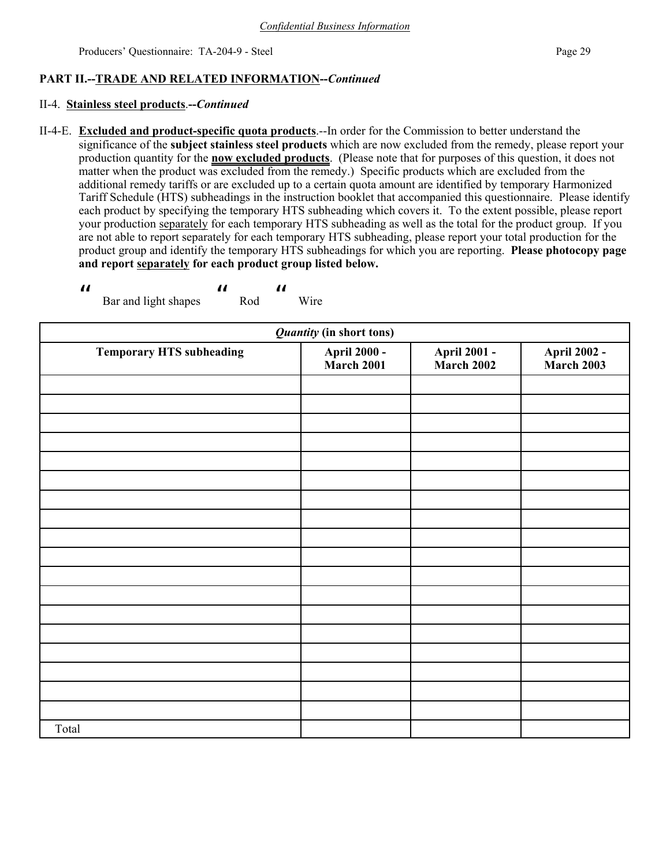## **PART II.--TRADE AND RELATED INFORMATION--***Continued*

### II-4. **Stainless steel products**.**--***Continued*

 $\boldsymbol{\mathit{ii}}$ 

II-4-E. **Excluded and product-specific quota products**.--In order for the Commission to better understand the significance of the **subject stainless steel products** which are now excluded from the remedy, please report your production quantity for the **now excluded products**. (Please note that for purposes of this question, it does not matter when the product was excluded from the remedy.) Specific products which are excluded from the additional remedy tariffs or are excluded up to a certain quota amount are identified by temporary Harmonized Tariff Schedule (HTS) subheadings in the instruction booklet that accompanied this questionnaire. Please identify each product by specifying the temporary HTS subheading which covers it. To the extent possible, please report your production separately for each temporary HTS subheading as well as the total for the product group. If you are not able to report separately for each temporary HTS subheading, please report your total production for the product group and identify the temporary HTS subheadings for which you are reporting. **Please photocopy page and report separately for each product group listed below.**

| <i>Quantity</i> (in short tons) |                                    |                                    |                                    |  |
|---------------------------------|------------------------------------|------------------------------------|------------------------------------|--|
| <b>Temporary HTS subheading</b> | <b>April 2000 -<br/>March 2001</b> | <b>April 2001 -<br/>March 2002</b> | <b>April 2002 -<br/>March 2003</b> |  |
|                                 |                                    |                                    |                                    |  |
|                                 |                                    |                                    |                                    |  |
|                                 |                                    |                                    |                                    |  |
|                                 |                                    |                                    |                                    |  |
|                                 |                                    |                                    |                                    |  |
|                                 |                                    |                                    |                                    |  |
|                                 |                                    |                                    |                                    |  |
|                                 |                                    |                                    |                                    |  |
|                                 |                                    |                                    |                                    |  |
|                                 |                                    |                                    |                                    |  |
|                                 |                                    |                                    |                                    |  |
|                                 |                                    |                                    |                                    |  |
|                                 |                                    |                                    |                                    |  |
|                                 |                                    |                                    |                                    |  |
|                                 |                                    |                                    |                                    |  |
|                                 |                                    |                                    |                                    |  |
|                                 |                                    |                                    |                                    |  |
|                                 |                                    |                                    |                                    |  |
| Total                           |                                    |                                    |                                    |  |

 Bar and light shapes  $\boldsymbol{\mathit{II}}$  Rod  $\boldsymbol{\mathcal{U}}$ Wire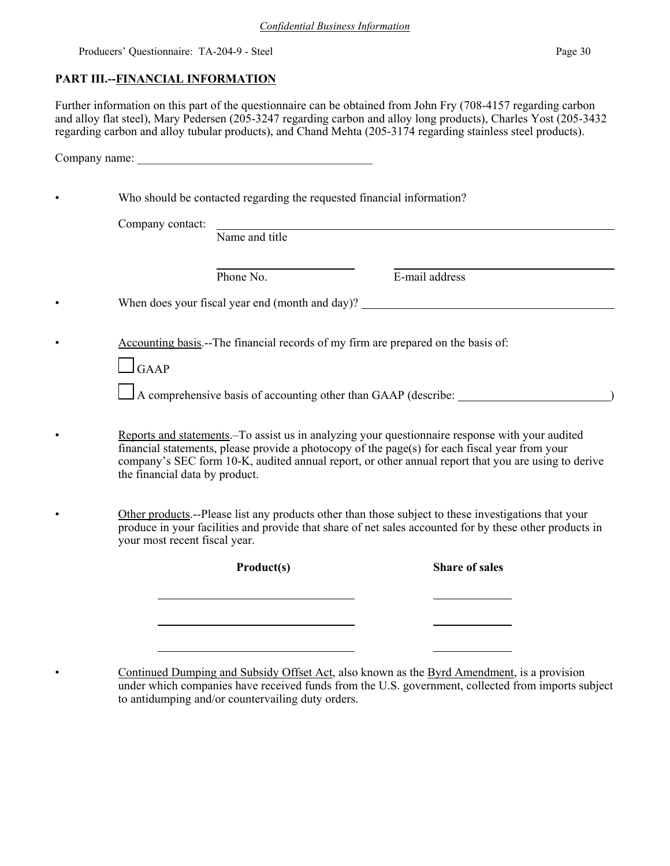## **PART III.--FINANCIAL INFORMATION**

Further information on this part of the questionnaire can be obtained from John Fry (708-4157 regarding carbon and alloy flat steel), Mary Pedersen (205-3247 regarding carbon and alloy long products), Charles Yost (205-3432 regarding carbon and alloy tubular products), and Chand Mehta (205-3174 regarding stainless steel products).

|                                | Company name:                                                                     |                                                                                                                                                                                                                                                                                                          |  |
|--------------------------------|-----------------------------------------------------------------------------------|----------------------------------------------------------------------------------------------------------------------------------------------------------------------------------------------------------------------------------------------------------------------------------------------------------|--|
|                                | Who should be contacted regarding the requested financial information?            |                                                                                                                                                                                                                                                                                                          |  |
| Company contact:               | Name and title                                                                    |                                                                                                                                                                                                                                                                                                          |  |
|                                | Phone No.                                                                         | E-mail address                                                                                                                                                                                                                                                                                           |  |
|                                |                                                                                   | When does your fiscal year end (month and day)?                                                                                                                                                                                                                                                          |  |
| $\Box$ GAAP                    | Accounting basis.--The financial records of my firm are prepared on the basis of: |                                                                                                                                                                                                                                                                                                          |  |
|                                |                                                                                   | A comprehensive basis of accounting other than GAAP (describe:                                                                                                                                                                                                                                           |  |
| the financial data by product. |                                                                                   | Reports and statements. To assist us in analyzing your questionnaire response with your audited<br>financial statements, please provide a photocopy of the page(s) for each fiscal year from your<br>company's SEC form 10-K, audited annual report, or other annual report that you are using to derive |  |
| your most recent fiscal year.  |                                                                                   | Other products.--Please list any products other than those subject to these investigations that your<br>produce in your facilities and provide that share of net sales accounted for by these other products in                                                                                          |  |
|                                | Product(s)                                                                        | <b>Share of sales</b>                                                                                                                                                                                                                                                                                    |  |
|                                |                                                                                   |                                                                                                                                                                                                                                                                                                          |  |
|                                |                                                                                   |                                                                                                                                                                                                                                                                                                          |  |
|                                |                                                                                   |                                                                                                                                                                                                                                                                                                          |  |

• Continued Dumping and Subsidy Offset Act, also known as the Byrd Amendment, is a provision under which companies have received funds from the U.S. government, collected from imports subject to antidumping and/or countervailing duty orders.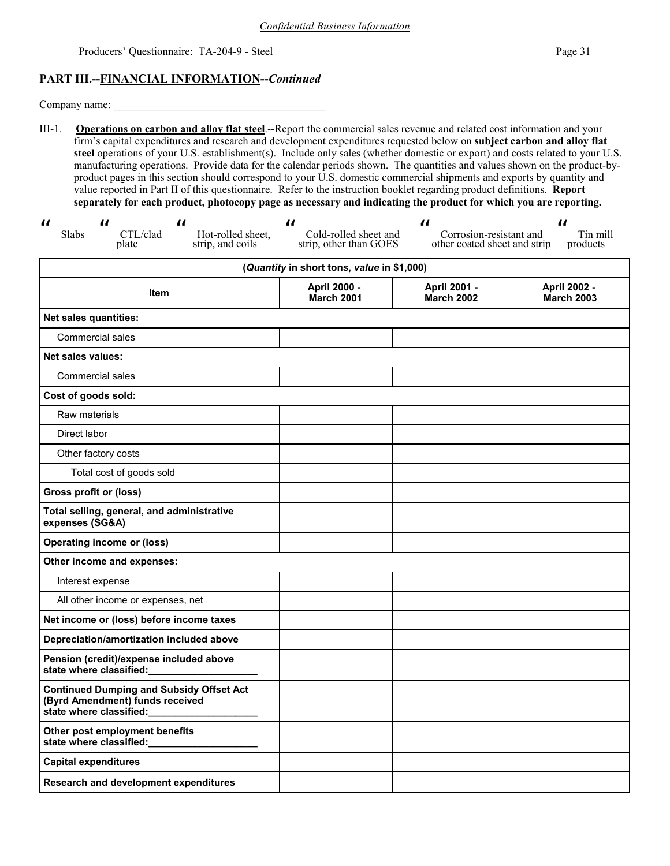## **PART III.--FINANCIAL INFORMATION--***Continued*

Company name:

III-1. **Operations on carbon and alloy flat steel**.--Report the commercial sales revenue and related cost information and your firm's capital expenditures and research and development expenditures requested below on **subject carbon and alloy flat steel** operations of your U.S. establishment(s). Include only sales (whether domestic or export) and costs related to your U.S. manufacturing operations. Provide data for the calendar periods shown. The quantities and values shown on the product-byproduct pages in this section should correspond to your U.S. domestic commercial shipments and exports by quantity and value reported in Part II of this questionnaire. Refer to the instruction booklet regarding product definitions. **Report separately for each product, photocopy page as necessary and indicating the product for which you are reporting.**

| $\boldsymbol{\mathit{u}}$<br>$\boldsymbol{\mathit{II}}$<br>$\boldsymbol{\mathcal{H}}$<br>Slabs<br>CTL/clad<br>Hot-rolled sheet,<br>strip, and coils<br>plate | $\boldsymbol{\mathit{II}}$<br>Cold-rolled sheet and<br>strip, other than GOES | $\boldsymbol{\mathit{II}}$<br>Corrosion-resistant and<br>other coated sheet and strip | $\boldsymbol{\mathit{II}}$<br>Tin mill<br>products |  |  |  |
|--------------------------------------------------------------------------------------------------------------------------------------------------------------|-------------------------------------------------------------------------------|---------------------------------------------------------------------------------------|----------------------------------------------------|--|--|--|
| (Quantity in short tons, value in \$1,000)                                                                                                                   |                                                                               |                                                                                       |                                                    |  |  |  |
| Item                                                                                                                                                         | April 2000 -<br><b>March 2001</b>                                             | April 2001 -<br><b>March 2002</b>                                                     | April 2002 -<br><b>March 2003</b>                  |  |  |  |
| <b>Net sales quantities:</b>                                                                                                                                 |                                                                               |                                                                                       |                                                    |  |  |  |
| Commercial sales                                                                                                                                             |                                                                               |                                                                                       |                                                    |  |  |  |
| Net sales values:                                                                                                                                            |                                                                               |                                                                                       |                                                    |  |  |  |
| Commercial sales                                                                                                                                             |                                                                               |                                                                                       |                                                    |  |  |  |
| Cost of goods sold:                                                                                                                                          |                                                                               |                                                                                       |                                                    |  |  |  |
| Raw materials                                                                                                                                                |                                                                               |                                                                                       |                                                    |  |  |  |
| Direct labor                                                                                                                                                 |                                                                               |                                                                                       |                                                    |  |  |  |
| Other factory costs                                                                                                                                          |                                                                               |                                                                                       |                                                    |  |  |  |
| Total cost of goods sold                                                                                                                                     |                                                                               |                                                                                       |                                                    |  |  |  |
| <b>Gross profit or (loss)</b>                                                                                                                                |                                                                               |                                                                                       |                                                    |  |  |  |
| Total selling, general, and administrative<br>expenses (SG&A)                                                                                                |                                                                               |                                                                                       |                                                    |  |  |  |
| <b>Operating income or (loss)</b>                                                                                                                            |                                                                               |                                                                                       |                                                    |  |  |  |
| Other income and expenses:                                                                                                                                   |                                                                               |                                                                                       |                                                    |  |  |  |
| Interest expense                                                                                                                                             |                                                                               |                                                                                       |                                                    |  |  |  |
| All other income or expenses, net                                                                                                                            |                                                                               |                                                                                       |                                                    |  |  |  |
| Net income or (loss) before income taxes                                                                                                                     |                                                                               |                                                                                       |                                                    |  |  |  |
| Depreciation/amortization included above                                                                                                                     |                                                                               |                                                                                       |                                                    |  |  |  |
| Pension (credit)/expense included above<br>state where classified:                                                                                           |                                                                               |                                                                                       |                                                    |  |  |  |
| <b>Continued Dumping and Subsidy Offset Act</b><br>(Byrd Amendment) funds received<br>state where classified:                                                |                                                                               |                                                                                       |                                                    |  |  |  |
| Other post employment benefits<br>state where classified:                                                                                                    |                                                                               |                                                                                       |                                                    |  |  |  |
| <b>Capital expenditures</b>                                                                                                                                  |                                                                               |                                                                                       |                                                    |  |  |  |
| Research and development expenditures                                                                                                                        |                                                                               |                                                                                       |                                                    |  |  |  |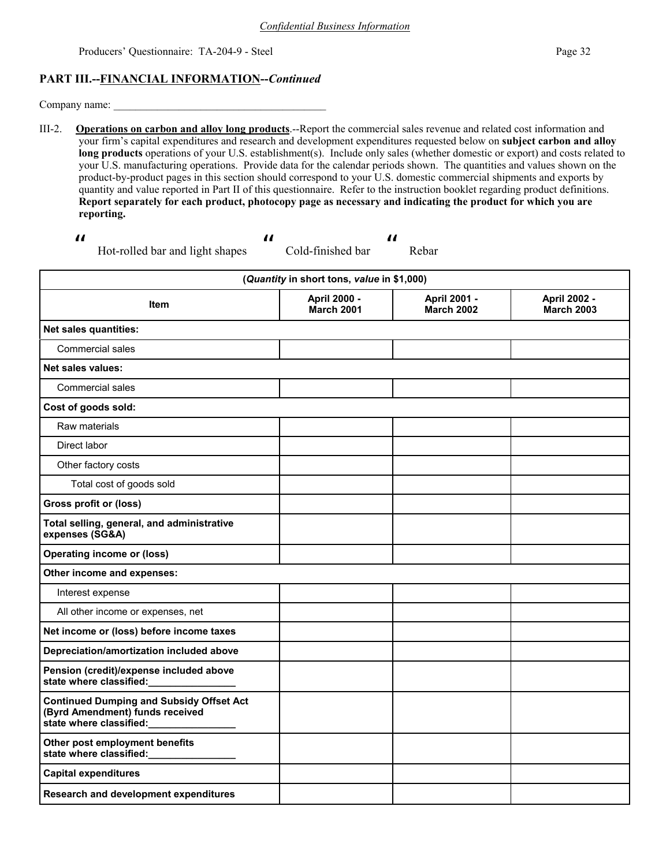### **PART III.--FINANCIAL INFORMATION--***Continued*

Company name:

III-2. **Operations on carbon and alloy long products**.--Report the commercial sales revenue and related cost information and your firm's capital expenditures and research and development expenditures requested below on **subject carbon and alloy long products** operations of your U.S. establishment(s). Include only sales (whether domestic or export) and costs related to your U.S. manufacturing operations. Provide data for the calendar periods shown. The quantities and values shown on the product-by-product pages in this section should correspond to your U.S. domestic commercial shipments and exports by quantity and value reported in Part II of this questionnaire. Refer to the instruction booklet regarding product definitions. **Report separately for each product, photocopy page as necessary and indicating the product for which you are reporting.**

 $\boldsymbol{\mathit{ii}}$ 

 $\boldsymbol{\mathit{ii}}$ 

Hot-rolled bar and light shapes

 Cold-finished bar  $\boldsymbol{\mathit{ii}}$ 

Rebar

| (Quantity in short tons, value in \$1,000)                                                                    |                                   |                                   |                                   |  |  |  |  |  |
|---------------------------------------------------------------------------------------------------------------|-----------------------------------|-----------------------------------|-----------------------------------|--|--|--|--|--|
| Item                                                                                                          | April 2000 -<br><b>March 2001</b> | April 2001 -<br><b>March 2002</b> | April 2002 -<br><b>March 2003</b> |  |  |  |  |  |
| Net sales quantities:                                                                                         |                                   |                                   |                                   |  |  |  |  |  |
| <b>Commercial sales</b>                                                                                       |                                   |                                   |                                   |  |  |  |  |  |
| <b>Net sales values:</b>                                                                                      |                                   |                                   |                                   |  |  |  |  |  |
| <b>Commercial sales</b>                                                                                       |                                   |                                   |                                   |  |  |  |  |  |
| Cost of goods sold:                                                                                           |                                   |                                   |                                   |  |  |  |  |  |
| Raw materials                                                                                                 |                                   |                                   |                                   |  |  |  |  |  |
| Direct labor                                                                                                  |                                   |                                   |                                   |  |  |  |  |  |
| Other factory costs                                                                                           |                                   |                                   |                                   |  |  |  |  |  |
| Total cost of goods sold                                                                                      |                                   |                                   |                                   |  |  |  |  |  |
| <b>Gross profit or (loss)</b>                                                                                 |                                   |                                   |                                   |  |  |  |  |  |
| Total selling, general, and administrative<br>expenses (SG&A)                                                 |                                   |                                   |                                   |  |  |  |  |  |
| <b>Operating income or (loss)</b>                                                                             |                                   |                                   |                                   |  |  |  |  |  |
| Other income and expenses:                                                                                    |                                   |                                   |                                   |  |  |  |  |  |
| Interest expense                                                                                              |                                   |                                   |                                   |  |  |  |  |  |
| All other income or expenses, net                                                                             |                                   |                                   |                                   |  |  |  |  |  |
| Net income or (loss) before income taxes                                                                      |                                   |                                   |                                   |  |  |  |  |  |
| Depreciation/amortization included above                                                                      |                                   |                                   |                                   |  |  |  |  |  |
| Pension (credit)/expense included above<br>state where classified:                                            |                                   |                                   |                                   |  |  |  |  |  |
| <b>Continued Dumping and Subsidy Offset Act</b><br>(Byrd Amendment) funds received<br>state where classified: |                                   |                                   |                                   |  |  |  |  |  |
| Other post employment benefits<br>state where classified:                                                     |                                   |                                   |                                   |  |  |  |  |  |
| <b>Capital expenditures</b>                                                                                   |                                   |                                   |                                   |  |  |  |  |  |
| <b>Research and development expenditures</b>                                                                  |                                   |                                   |                                   |  |  |  |  |  |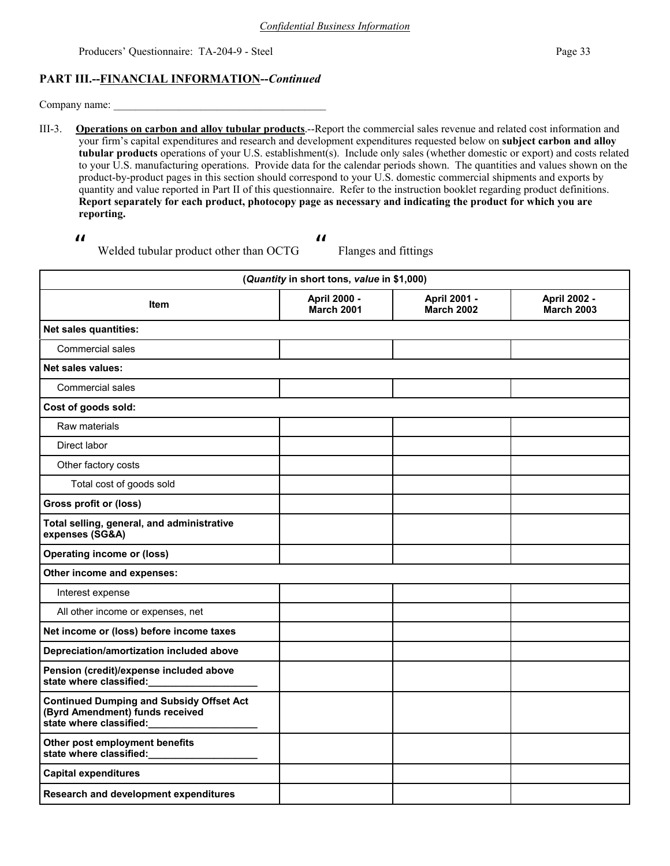### **PART III.--FINANCIAL INFORMATION--***Continued*

Company name:

III-3. **Operations on carbon and alloy tubular products**.--Report the commercial sales revenue and related cost information and your firm's capital expenditures and research and development expenditures requested below on **subject carbon and alloy tubular products** operations of your U.S. establishment(s). Include only sales (whether domestic or export) and costs related to your U.S. manufacturing operations. Provide data for the calendar periods shown. The quantities and values shown on the product-by-product pages in this section should correspond to your U.S. domestic commercial shipments and exports by quantity and value reported in Part II of this questionnaire. Refer to the instruction booklet regarding product definitions. **Report separately for each product, photocopy page as necessary and indicating the product for which you are reporting.**

 $\boldsymbol{\mathit{ii}}$ 

 $\boldsymbol{\mathit{ii}}$ 

Welded tubular product other than OCTG

| (Quantity in short tons, value in \$1,000)                                                                    |                            |                                   |                                   |  |  |  |  |
|---------------------------------------------------------------------------------------------------------------|----------------------------|-----------------------------------|-----------------------------------|--|--|--|--|
| <b>Item</b>                                                                                                   | April 2000 -<br>March 2001 | April 2001 -<br><b>March 2002</b> | April 2002 -<br><b>March 2003</b> |  |  |  |  |
| <b>Net sales quantities:</b>                                                                                  |                            |                                   |                                   |  |  |  |  |
| <b>Commercial sales</b>                                                                                       |                            |                                   |                                   |  |  |  |  |
| <b>Net sales values:</b>                                                                                      |                            |                                   |                                   |  |  |  |  |
| <b>Commercial sales</b>                                                                                       |                            |                                   |                                   |  |  |  |  |
| Cost of goods sold:                                                                                           |                            |                                   |                                   |  |  |  |  |
| Raw materials                                                                                                 |                            |                                   |                                   |  |  |  |  |
| Direct labor                                                                                                  |                            |                                   |                                   |  |  |  |  |
| Other factory costs                                                                                           |                            |                                   |                                   |  |  |  |  |
| Total cost of goods sold                                                                                      |                            |                                   |                                   |  |  |  |  |
| <b>Gross profit or (loss)</b>                                                                                 |                            |                                   |                                   |  |  |  |  |
| Total selling, general, and administrative<br>expenses (SG&A)                                                 |                            |                                   |                                   |  |  |  |  |
| <b>Operating income or (loss)</b>                                                                             |                            |                                   |                                   |  |  |  |  |
| Other income and expenses:                                                                                    |                            |                                   |                                   |  |  |  |  |
| Interest expense                                                                                              |                            |                                   |                                   |  |  |  |  |
| All other income or expenses, net                                                                             |                            |                                   |                                   |  |  |  |  |
| Net income or (loss) before income taxes                                                                      |                            |                                   |                                   |  |  |  |  |
| Depreciation/amortization included above                                                                      |                            |                                   |                                   |  |  |  |  |
| Pension (credit)/expense included above<br>state where classified:                                            |                            |                                   |                                   |  |  |  |  |
| <b>Continued Dumping and Subsidy Offset Act</b><br>(Byrd Amendment) funds received<br>state where classified: |                            |                                   |                                   |  |  |  |  |
| Other post employment benefits<br>state where classified:                                                     |                            |                                   |                                   |  |  |  |  |
| <b>Capital expenditures</b>                                                                                   |                            |                                   |                                   |  |  |  |  |
| <b>Research and development expenditures</b>                                                                  |                            |                                   |                                   |  |  |  |  |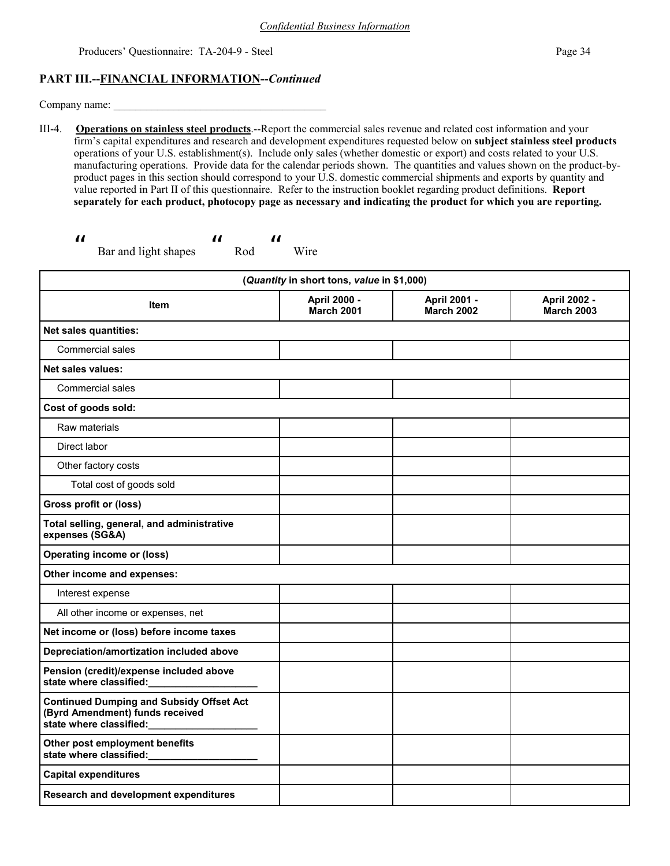### **PART III.--FINANCIAL INFORMATION--***Continued*

Company name:

III-4. **Operations on stainless steel products**.--Report the commercial sales revenue and related cost information and your firm's capital expenditures and research and development expenditures requested below on **subject stainless steel products** operations of your U.S. establishment(s). Include only sales (whether domestic or export) and costs related to your U.S. manufacturing operations. Provide data for the calendar periods shown. The quantities and values shown on the product-byproduct pages in this section should correspond to your U.S. domestic commercial shipments and exports by quantity and value reported in Part II of this questionnaire. Refer to the instruction booklet regarding product definitions. **Report separately for each product, photocopy page as necessary and indicating the product for which you are reporting.**

Wire

```
\boldsymbol{\eta} Bar and light shapes 
                                                                      \boldsymbol{\mathit{II}} Rod 
                                                                                                         \boldsymbol{\mathit{II}}
```

| (Quantity in short tons, value in \$1,000)                                                                    |                                   |                                   |                                   |  |  |  |
|---------------------------------------------------------------------------------------------------------------|-----------------------------------|-----------------------------------|-----------------------------------|--|--|--|
| <b>Item</b>                                                                                                   | April 2000 -<br><b>March 2001</b> | April 2001 -<br><b>March 2002</b> | April 2002 -<br><b>March 2003</b> |  |  |  |
| <b>Net sales quantities:</b>                                                                                  |                                   |                                   |                                   |  |  |  |
| Commercial sales                                                                                              |                                   |                                   |                                   |  |  |  |
| <b>Net sales values:</b>                                                                                      |                                   |                                   |                                   |  |  |  |
| <b>Commercial sales</b>                                                                                       |                                   |                                   |                                   |  |  |  |
| Cost of goods sold:                                                                                           |                                   |                                   |                                   |  |  |  |
| Raw materials                                                                                                 |                                   |                                   |                                   |  |  |  |
| Direct labor                                                                                                  |                                   |                                   |                                   |  |  |  |
| Other factory costs                                                                                           |                                   |                                   |                                   |  |  |  |
| Total cost of goods sold                                                                                      |                                   |                                   |                                   |  |  |  |
| <b>Gross profit or (loss)</b>                                                                                 |                                   |                                   |                                   |  |  |  |
| Total selling, general, and administrative<br>expenses (SG&A)                                                 |                                   |                                   |                                   |  |  |  |
| <b>Operating income or (loss)</b>                                                                             |                                   |                                   |                                   |  |  |  |
| Other income and expenses:                                                                                    |                                   |                                   |                                   |  |  |  |
| Interest expense                                                                                              |                                   |                                   |                                   |  |  |  |
| All other income or expenses, net                                                                             |                                   |                                   |                                   |  |  |  |
| Net income or (loss) before income taxes                                                                      |                                   |                                   |                                   |  |  |  |
| Depreciation/amortization included above                                                                      |                                   |                                   |                                   |  |  |  |
| Pension (credit)/expense included above<br>state where classified:                                            |                                   |                                   |                                   |  |  |  |
| <b>Continued Dumping and Subsidy Offset Act</b><br>(Byrd Amendment) funds received<br>state where classified: |                                   |                                   |                                   |  |  |  |
| Other post employment benefits<br>state where classified:                                                     |                                   |                                   |                                   |  |  |  |
| <b>Capital expenditures</b>                                                                                   |                                   |                                   |                                   |  |  |  |
| Research and development expenditures                                                                         |                                   |                                   |                                   |  |  |  |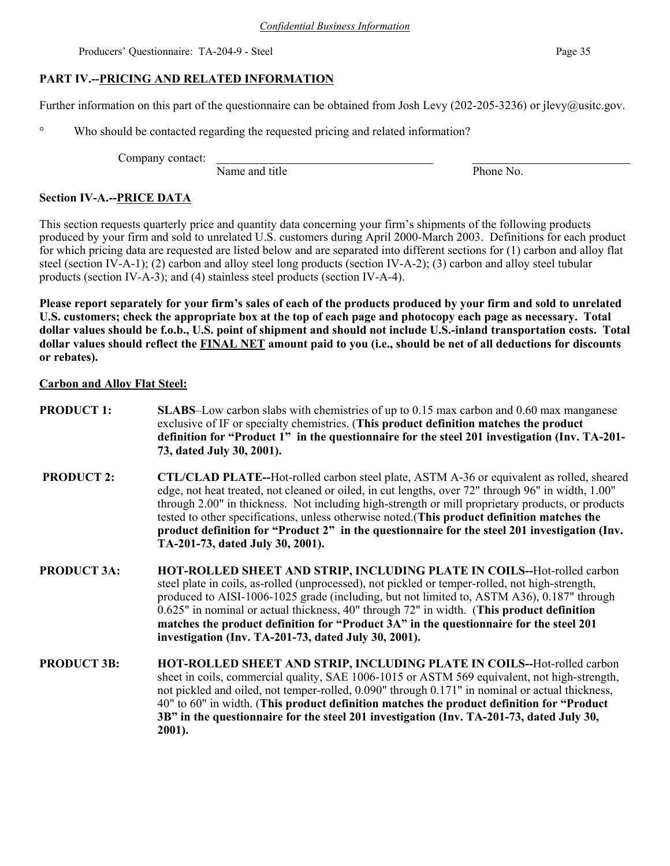## **PART IV.--PRICING AND RELATED INFORMATION**

Further information on this part of the questionnaire can be obtained from Josh Levy (202-205-3236) or jlevy@usitc.gov.

° Who should be contacted regarding the requested pricing and related information?

Company contact:

Name and title Phone No.

## **Section IV-A.--PRICE DATA**

This section requests quarterly price and quantity data concerning your firm's shipments of the following products produced by your firm and sold to unrelated U.S. customers during April 2000-March 2003. Definitions for each product for which pricing data are requested are listed below and are separated into different sections for (1) carbon and alloy flat steel (section IV-A-1); (2) carbon and alloy steel long products (section IV-A-2); (3) carbon and alloy steel tubular products (section IV-A-3); and (4) stainless steel products (section IV-A-4).

**Please report separately for your firm's sales of each of the products produced by your firm and sold to unrelated U.S. customers; check the appropriate box at the top of each page and photocopy each page as necessary. Total dollar values should be f.o.b., U.S. point of shipment and should not include U.S.-inland transportation costs. Total dollar values should reflect the FINAL NET amount paid to you (i.e., should be net of all deductions for discounts or rebates).** 

## **Carbon and Alloy Flat Steel:**

- **PRODUCT 1:** SLABS–Low carbon slabs with chemistries of up to 0.15 max carbon and 0.60 max manganese exclusive of IF or specialty chemistries. (**This product definition matches the product definition for "Product 1" in the questionnaire for the steel 201 investigation (Inv. TA-201- 73, dated July 30, 2001).**
- **PRODUCT 2: CTL/CLAD PLATE--**Hot-rolled carbon steel plate, ASTM A-36 or equivalent as rolled, sheared edge, not heat treated, not cleaned or oiled, in cut lengths, over 72" through 96" in width, 1.00" through 2.00" in thickness. Not including high-strength or mill proprietary products, or products tested to other specifications, unless otherwise noted.(**This product definition matches the product definition for "Product 2" in the questionnaire for the steel 201 investigation (Inv. TA-201-73, dated July 30, 2001).**
- **PRODUCT 3A: HOT-ROLLED SHEET AND STRIP, INCLUDING PLATE IN COILS--**Hot-rolled carbon steel plate in coils, as-rolled (unprocessed), not pickled or temper-rolled, not high-strength, produced to AISI-1006-1025 grade (including, but not limited to, ASTM A36), 0.187" through 0.625" in nominal or actual thickness, 40" through 72" in width. (**This product definition matches the product definition for "Product 3A" in the questionnaire for the steel 201 investigation (Inv. TA-201-73, dated July 30, 2001).**
- **PRODUCT 3B: HOT-ROLLED SHEET AND STRIP, INCLUDING PLATE IN COILS--**Hot-rolled carbon sheet in coils, commercial quality, SAE 1006-1015 or ASTM 569 equivalent, not high-strength, not pickled and oiled, not temper-rolled, 0.090" through 0.171" in nominal or actual thickness, 40" to 60" in width. (**This product definition matches the product definition for "Product 3B" in the questionnaire for the steel 201 investigation (Inv. TA-201-73, dated July 30, 2001).**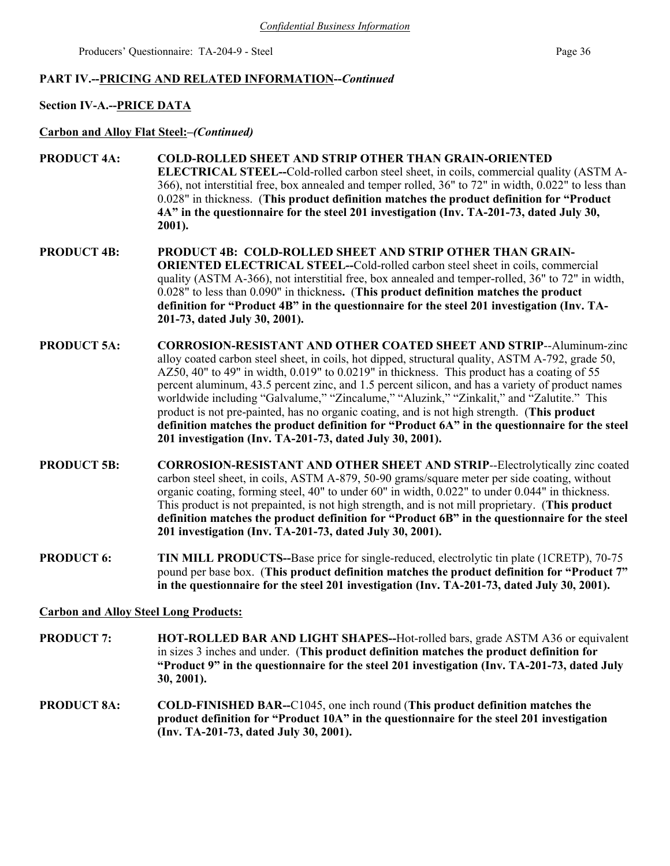### **PART IV.--PRICING AND RELATED INFORMATION--***Continued*

### **Section IV-A.--PRICE DATA**

**Carbon and Alloy Flat Steel:***–(Continued)*

- **PRODUCT 4A: COLD-ROLLED SHEET AND STRIP OTHER THAN GRAIN-ORIENTED ELECTRICAL STEEL--**Cold-rolled carbon steel sheet, in coils, commercial quality (ASTM A-366), not interstitial free, box annealed and temper rolled, 36" to 72" in width, 0.022" to less than 0.028" in thickness. (**This product definition matches the product definition for "Product 4A" in the questionnaire for the steel 201 investigation (Inv. TA-201-73, dated July 30, 2001).**
- **PRODUCT 4B: PRODUCT 4B: COLD-ROLLED SHEET AND STRIP OTHER THAN GRAIN-ORIENTED ELECTRICAL STEEL--**Cold-rolled carbon steel sheet in coils, commercial quality (ASTM A-366), not interstitial free, box annealed and temper-rolled, 36" to 72" in width, 0.028" to less than 0.090" in thickness**.** (**This product definition matches the product definition for "Product 4B" in the questionnaire for the steel 201 investigation (Inv. TA-201-73, dated July 30, 2001).**
- **PRODUCT 5A: CORROSION-RESISTANT AND OTHER COATED SHEET AND STRIP**--Aluminum-zinc alloy coated carbon steel sheet, in coils, hot dipped, structural quality, ASTM A-792, grade 50, AZ50, 40" to 49" in width, 0.019" to 0.0219" in thickness. This product has a coating of 55 percent aluminum, 43.5 percent zinc, and 1.5 percent silicon, and has a variety of product names worldwide including "Galvalume," "Zincalume," "Aluzink," "Zinkalit," and "Zalutite." This product is not pre-painted, has no organic coating, and is not high strength. (**This product definition matches the product definition for "Product 6A" in the questionnaire for the steel 201 investigation (Inv. TA-201-73, dated July 30, 2001).**
- **PRODUCT 5B: CORROSION-RESISTANT AND OTHER SHEET AND STRIP**--Electrolytically zinc coated carbon steel sheet, in coils, ASTM A-879, 50-90 grams/square meter per side coating, without organic coating, forming steel, 40" to under 60" in width, 0.022" to under 0.044" in thickness. This product is not prepainted, is not high strength, and is not mill proprietary. (**This product definition matches the product definition for "Product 6B" in the questionnaire for the steel 201 investigation (Inv. TA-201-73, dated July 30, 2001).**
- **PRODUCT 6:** TIN MILL PRODUCTS--Base price for single-reduced, electrolytic tin plate (1CRETP), 70-75 pound per base box. (**This product definition matches the product definition for "Product 7" in the questionnaire for the steel 201 investigation (Inv. TA-201-73, dated July 30, 2001).**

### **Carbon and Alloy Steel Long Products:**

- **PRODUCT 7: HOT-ROLLED BAR AND LIGHT SHAPES--**Hot-rolled bars, grade ASTM A36 or equivalent in sizes 3 inches and under. (**This product definition matches the product definition for "Product 9" in the questionnaire for the steel 201 investigation (Inv. TA-201-73, dated July 30, 2001).**
- **PRODUCT 8A: COLD-FINISHED BAR--**C1045, one inch round (**This product definition matches the product definition for "Product 10A" in the questionnaire for the steel 201 investigation (Inv. TA-201-73, dated July 30, 2001).**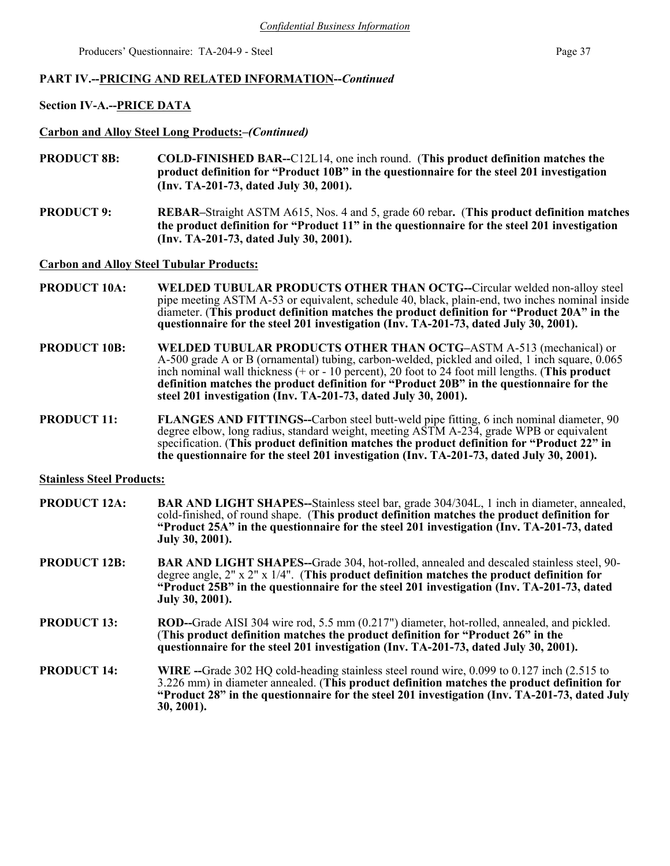### **PART IV.--PRICING AND RELATED INFORMATION--***Continued*

### **Section IV-A.--PRICE DATA**

**Carbon and Alloy Steel Long Products:***–(Continued)*

- **PRODUCT 8B: COLD-FINISHED BAR--**C12L14, one inch round. (**This product definition matches the product definition for "Product 10B" in the questionnaire for the steel 201 investigation (Inv. TA-201-73, dated July 30, 2001).**
- **PRODUCT 9: REBAR–**Straight ASTM A615, Nos. 4 and 5, grade 60 rebar**.** (**This product definition matches the product definition for "Product 11" in the questionnaire for the steel 201 investigation (Inv. TA-201-73, dated July 30, 2001).**

**Carbon and Alloy Steel Tubular Products:**

- **PRODUCT 10A: WELDED TUBULAR PRODUCTS OTHER THAN OCTG--**Circular welded non-alloy steel pipe meeting ASTM A-53 or equivalent, schedule 40, black, plain-end, two inches nominal inside diameter. (**This product definition matches the product definition for "Product 20A" in the questionnaire for the steel 201 investigation (Inv. TA-201-73, dated July 30, 2001).**
- **PRODUCT 10B: WELDED TUBULAR PRODUCTS OTHER THAN OCTG–**ASTM A-513 (mechanical) or A-500 grade A or B (ornamental) tubing, carbon-welded, pickled and oiled, 1 inch square, 0.065 inch nominal wall thickness (+ or - 10 percent), 20 foot to 24 foot mill lengths. (**This product definition matches the product definition for "Product 20B" in the questionnaire for the steel 201 investigation (Inv. TA-201-73, dated July 30, 2001).**
- **PRODUCT 11:** FLANGES AND FITTINGS--Carbon steel butt-weld pipe fitting, 6 inch nominal diameter, 90 degree elbow, long radius, standard weight, meeting ASTM A-234, grade WPB or equivalent specification. (**This product definition matches the product definition for "Product 22" in the questionnaire for the steel 201 investigation (Inv. TA-201-73, dated July 30, 2001).**

#### **Stainless Steel Products:**

- **PRODUCT 12A:** BAR AND LIGHT SHAPES--Stainless steel bar, grade 304/304L, 1 inch in diameter, annealed, cold-finished, of round shape.(**This product definition matches the product definition for "Product 25A" in the questionnaire for the steel 201 investigation (Inv. TA-201-73, dated July 30, 2001).**
- **PRODUCT 12B: BAR AND LIGHT SHAPES--**Grade 304, hot-rolled, annealed and descaled stainless steel, 90 degree angle, 2" x 2" x 1/4".(**This product definition matches the product definition for "Product 25B" in the questionnaire for the steel 201 investigation (Inv. TA-201-73, dated July 30, 2001).**
- **PRODUCT 13:** ROD--Grade AISI 304 wire rod, 5.5 mm (0.217") diameter, hot-rolled, annealed, and pickled. (**This product definition matches the product definition for "Product 26" in the questionnaire for the steel 201 investigation (Inv. TA-201-73, dated July 30, 2001).**
- **PRODUCT 14:** WIRE --Grade 302 HQ cold-heading stainless steel round wire, 0.099 to 0.127 inch (2.515 to 3.226 mm) in diameter annealed. (**This product definition matches the product definition for "Product 28" in the questionnaire for the steel 201 investigation (Inv. TA-201-73, dated July 30, 2001).**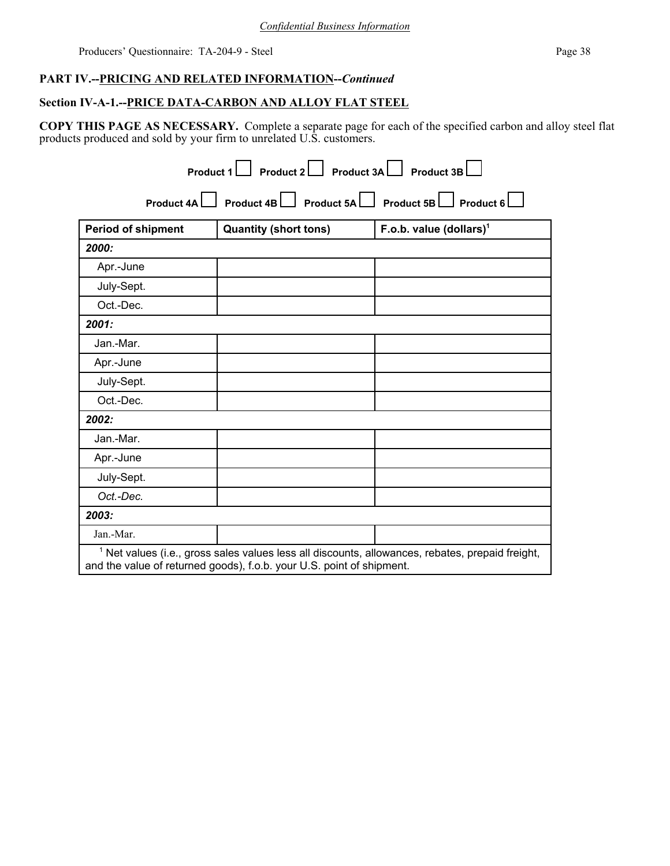## **PART IV.--PRICING AND RELATED INFORMATION--***Continued*

## **Section IV-A-1.--PRICE DATA-CARBON AND ALLOY FLAT STEEL**

**COPY THIS PAGE AS NECESSARY.** Complete a separate page for each of the specified carbon and alloy steel flat products produced and sold by your firm to unrelated U.S. customers.

| Product 4A         |                              | Product 4B   Product 5A   Product 5B   Product 6 |
|--------------------|------------------------------|--------------------------------------------------|
| Period of shipment | <b>Quantity (short tons)</b> | F.o.b. value $(dollars)^1$                       |
| 2000:              |                              |                                                  |
| Apr.-June          |                              |                                                  |
| July-Sept.         |                              |                                                  |
| Oct.-Dec.          |                              |                                                  |
| 2001:              |                              |                                                  |
| Jan.-Mar.          |                              |                                                  |
| Apr.-June          |                              |                                                  |
| July-Sept.         |                              |                                                  |
| Oct.-Dec.          |                              |                                                  |
| 2002:              |                              |                                                  |
| Jan.-Mar.          |                              |                                                  |
| Apr.-June          |                              |                                                  |
| July-Sept.         |                              |                                                  |
| Oct.-Dec.          |                              |                                                  |
| 2003:              |                              |                                                  |
| Jan.-Mar.          |                              |                                                  |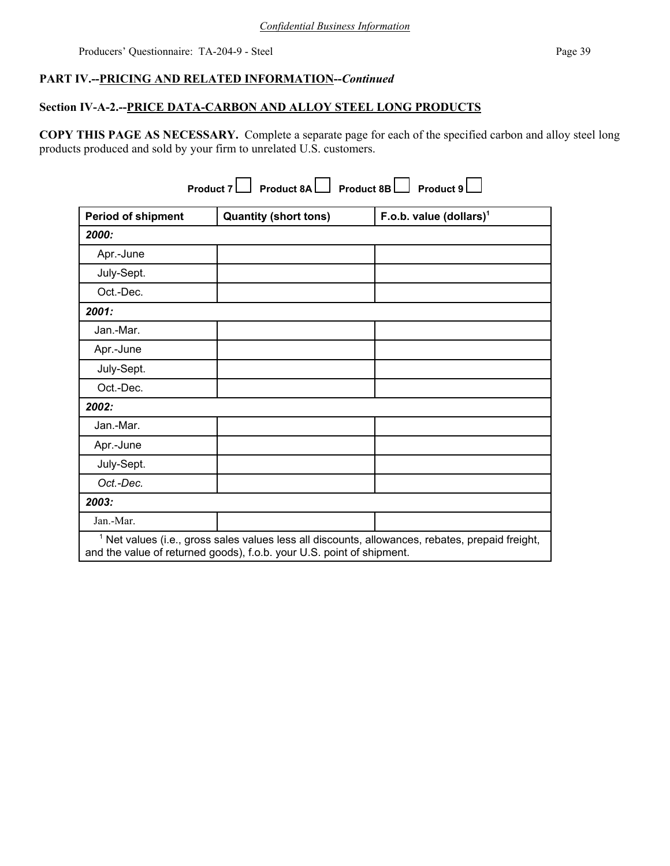## **PART IV.--PRICING AND RELATED INFORMATION--***Continued*

## **Section IV-A-2.--PRICE DATA-CARBON AND ALLOY STEEL LONG PRODUCTS**

**COPY THIS PAGE AS NECESSARY.** Complete a separate page for each of the specified carbon and alloy steel long products produced and sold by your firm to unrelated U.S. customers.

| Product 8B<br>Product 8A<br><b>Product 7</b><br>Product 9 |                                                                       |                                                                                                             |  |  |  |  |
|-----------------------------------------------------------|-----------------------------------------------------------------------|-------------------------------------------------------------------------------------------------------------|--|--|--|--|
| <b>Period of shipment</b>                                 | <b>Quantity (short tons)</b>                                          | F.o.b. value (dollars) <sup>1</sup>                                                                         |  |  |  |  |
| 2000:                                                     |                                                                       |                                                                                                             |  |  |  |  |
| Apr.-June                                                 |                                                                       |                                                                                                             |  |  |  |  |
| July-Sept.                                                |                                                                       |                                                                                                             |  |  |  |  |
| Oct.-Dec.                                                 |                                                                       |                                                                                                             |  |  |  |  |
| 2001:                                                     |                                                                       |                                                                                                             |  |  |  |  |
| Jan.-Mar.                                                 |                                                                       |                                                                                                             |  |  |  |  |
| Apr.-June                                                 |                                                                       |                                                                                                             |  |  |  |  |
| July-Sept.                                                |                                                                       |                                                                                                             |  |  |  |  |
| Oct.-Dec.                                                 |                                                                       |                                                                                                             |  |  |  |  |
| 2002:                                                     |                                                                       |                                                                                                             |  |  |  |  |
| Jan.-Mar.                                                 |                                                                       |                                                                                                             |  |  |  |  |
| Apr.-June                                                 |                                                                       |                                                                                                             |  |  |  |  |
| July-Sept.                                                |                                                                       |                                                                                                             |  |  |  |  |
| Oct.-Dec.                                                 |                                                                       |                                                                                                             |  |  |  |  |
| 2003:                                                     |                                                                       |                                                                                                             |  |  |  |  |
| Jan.-Mar.                                                 |                                                                       |                                                                                                             |  |  |  |  |
|                                                           | and the value of returned goods), f.o.b. your U.S. point of shipment. | <sup>1</sup> Net values (i.e., gross sales values less all discounts, allowances, rebates, prepaid freight, |  |  |  |  |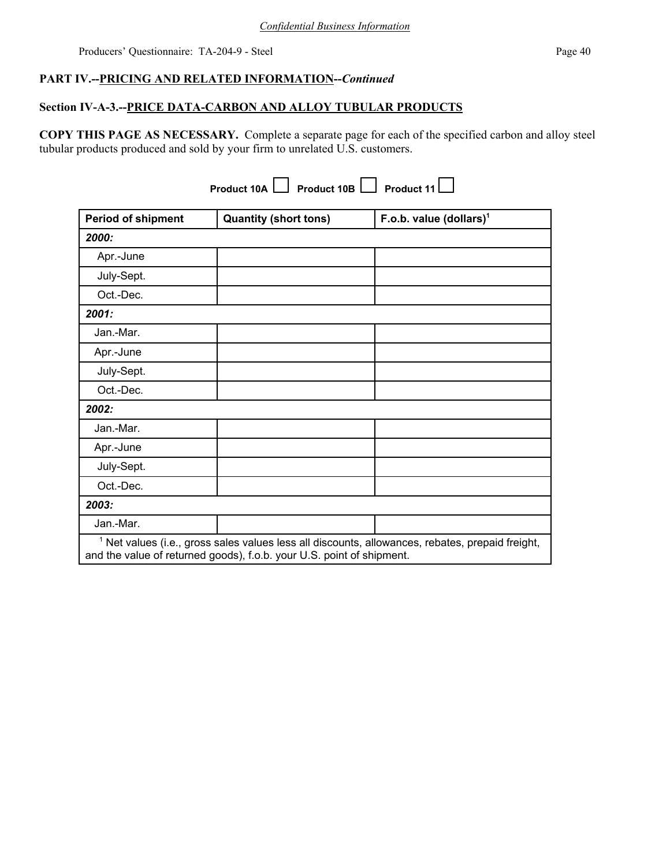## **PART IV.--PRICING AND RELATED INFORMATION--***Continued*

## **Section IV-A-3.--PRICE DATA-CARBON AND ALLOY TUBULAR PRODUCTS**

**COPY THIS PAGE AS NECESSARY.** Complete a separate page for each of the specified carbon and alloy steel tubular products produced and sold by your firm to unrelated U.S. customers.

| <b>Product 10B</b><br><b>Product 11</b><br>Product 10A                                                                                                                               |                              |                                     |  |  |  |  |  |
|--------------------------------------------------------------------------------------------------------------------------------------------------------------------------------------|------------------------------|-------------------------------------|--|--|--|--|--|
| <b>Period of shipment</b>                                                                                                                                                            | <b>Quantity (short tons)</b> | F.o.b. value (dollars) <sup>1</sup> |  |  |  |  |  |
| 2000:                                                                                                                                                                                |                              |                                     |  |  |  |  |  |
| Apr.-June                                                                                                                                                                            |                              |                                     |  |  |  |  |  |
| July-Sept.                                                                                                                                                                           |                              |                                     |  |  |  |  |  |
| Oct.-Dec.                                                                                                                                                                            |                              |                                     |  |  |  |  |  |
| 2001:                                                                                                                                                                                |                              |                                     |  |  |  |  |  |
| Jan.-Mar.                                                                                                                                                                            |                              |                                     |  |  |  |  |  |
| Apr.-June                                                                                                                                                                            |                              |                                     |  |  |  |  |  |
| July-Sept.                                                                                                                                                                           |                              |                                     |  |  |  |  |  |
| Oct.-Dec.                                                                                                                                                                            |                              |                                     |  |  |  |  |  |
| 2002:                                                                                                                                                                                |                              |                                     |  |  |  |  |  |
| Jan.-Mar.                                                                                                                                                                            |                              |                                     |  |  |  |  |  |
| Apr.-June                                                                                                                                                                            |                              |                                     |  |  |  |  |  |
| July-Sept.                                                                                                                                                                           |                              |                                     |  |  |  |  |  |
| Oct.-Dec.                                                                                                                                                                            |                              |                                     |  |  |  |  |  |
| 2003:                                                                                                                                                                                |                              |                                     |  |  |  |  |  |
| Jan.-Mar.                                                                                                                                                                            |                              |                                     |  |  |  |  |  |
| <sup>1</sup> Net values (i.e., gross sales values less all discounts, allowances, rebates, prepaid freight,<br>and the value of returned goods), f.o.b. your U.S. point of shipment. |                              |                                     |  |  |  |  |  |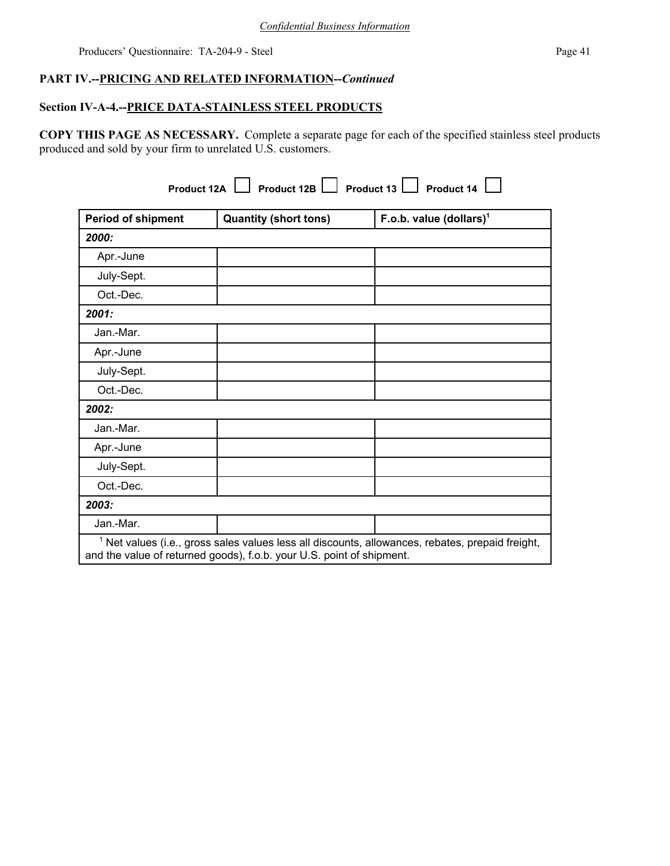## **PART IV.--PRICING AND RELATED INFORMATION--***Continued*

## **Section IV-A-4.--PRICE DATA-STAINLESS STEEL PRODUCTS**

**COPY THIS PAGE AS NECESSARY.** Complete a separate page for each of the specified stainless steel products produced and sold by your firm to unrelated U.S. customers.

**Product 12A Product 12B Product 13 Product 14 Product 14** 

| <b>Period of shipment</b> | <b>Quantity (short tons)</b>                                          | F.o.b. value $(dollars)1$                                                                                   |
|---------------------------|-----------------------------------------------------------------------|-------------------------------------------------------------------------------------------------------------|
| 2000:                     |                                                                       |                                                                                                             |
| Apr.-June                 |                                                                       |                                                                                                             |
| July-Sept.                |                                                                       |                                                                                                             |
| Oct.-Dec.                 |                                                                       |                                                                                                             |
| 2001:                     |                                                                       |                                                                                                             |
| Jan.-Mar.                 |                                                                       |                                                                                                             |
| Apr.-June                 |                                                                       |                                                                                                             |
| July-Sept.                |                                                                       |                                                                                                             |
| Oct.-Dec.                 |                                                                       |                                                                                                             |
| 2002:                     |                                                                       |                                                                                                             |
| Jan.-Mar.                 |                                                                       |                                                                                                             |
| Apr.-June                 |                                                                       |                                                                                                             |
| July-Sept.                |                                                                       |                                                                                                             |
| Oct.-Dec.                 |                                                                       |                                                                                                             |
| 2003:                     |                                                                       |                                                                                                             |
| Jan.-Mar.                 |                                                                       |                                                                                                             |
|                           | and the value of returned goods), f.o.b. your U.S. point of shipment. | <sup>1</sup> Net values (i.e., gross sales values less all discounts, allowances, rebates, prepaid freight, |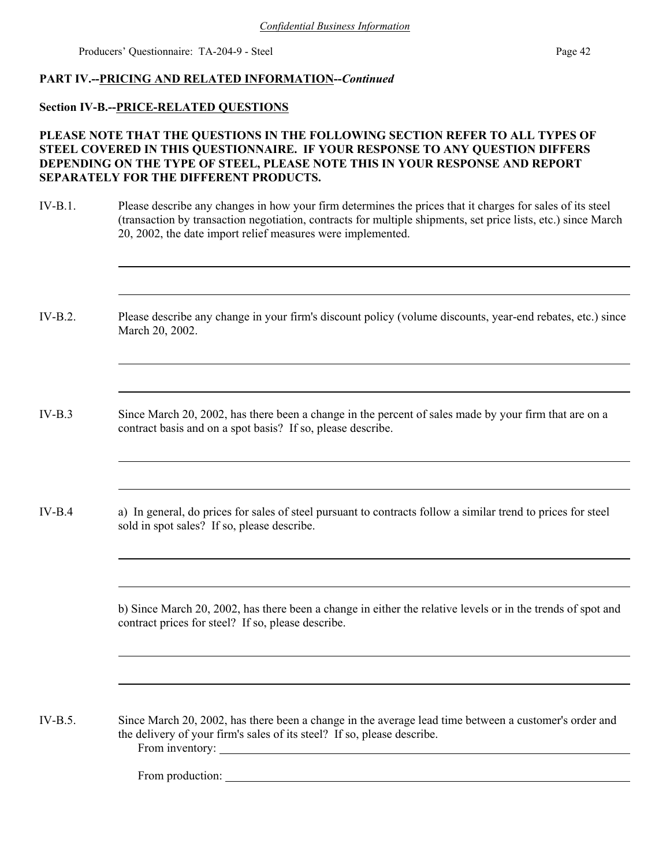### **PART IV.--PRICING AND RELATED INFORMATION--***Continued*

### **Section IV-B.--PRICE-RELATED QUESTIONS**

## **PLEASE NOTE THAT THE QUESTIONS IN THE FOLLOWING SECTION REFER TO ALL TYPES OF STEEL COVERED IN THIS QUESTIONNAIRE. IF YOUR RESPONSE TO ANY QUESTION DIFFERS DEPENDING ON THE TYPE OF STEEL, PLEASE NOTE THIS IN YOUR RESPONSE AND REPORT SEPARATELY FOR THE DIFFERENT PRODUCTS.**

- IV-B.1. Please describe any changes in how your firm determines the prices that it charges for sales of its steel (transaction by transaction negotiation, contracts for multiple shipments, set price lists, etc.) since March 20, 2002, the date import relief measures were implemented.
- IV-B.2. Please describe any change in your firm's discount policy (volume discounts, year-end rebates, etc.) since March 20, 2002.
- IV-B.3 Since March 20, 2002, has there been a change in the percent of sales made by your firm that are on a contract basis and on a spot basis? If so, please describe.
- IV-B.4 a) In general, do prices for sales of steel pursuant to contracts follow a similar trend to prices for steel sold in spot sales? If so, please describe.

b) Since March 20, 2002, has there been a change in either the relative levels or in the trends of spot and contract prices for steel? If so, please describe.

IV-B.5. Since March 20, 2002, has there been a change in the average lead time between a customer's order and the delivery of your firm's sales of its steel? If so, please describe. From inventory:

From production: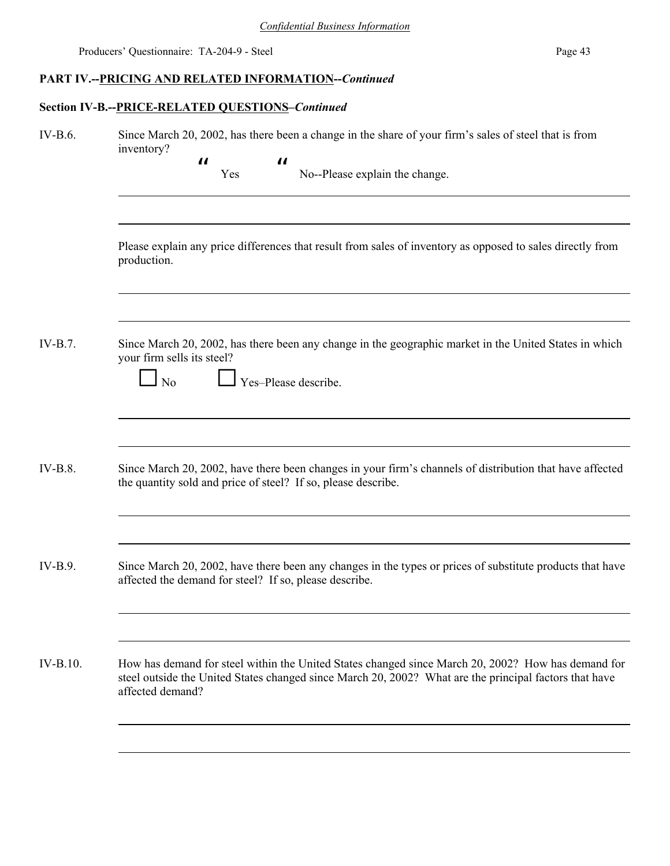# **PART IV.--PRICING AND RELATED INFORMATION--***Continued*

## **Section IV-B.--PRICE-RELATED QUESTIONS–***Continued*

| IV-B.6.        | Since March 20, 2002, has there been a change in the share of your firm's sales of steel that is from<br>inventory?<br>$\boldsymbol{\mathit{II}}$<br>$\boldsymbol{\mu}$<br>No--Please explain the change.<br>Yes                 |  |  |  |  |  |  |  |
|----------------|----------------------------------------------------------------------------------------------------------------------------------------------------------------------------------------------------------------------------------|--|--|--|--|--|--|--|
|                | Please explain any price differences that result from sales of inventory as opposed to sales directly from<br>production.                                                                                                        |  |  |  |  |  |  |  |
| $IV-B.7$ .     | Since March 20, 2002, has there been any change in the geographic market in the United States in which<br>your firm sells its steel?<br>Yes-Please describe.<br>No                                                               |  |  |  |  |  |  |  |
| <b>IV-B.8.</b> | Since March 20, 2002, have there been changes in your firm's channels of distribution that have affected<br>the quantity sold and price of steel? If so, please describe.                                                        |  |  |  |  |  |  |  |
| $IV-B.9$ .     | Since March 20, 2002, have there been any changes in the types or prices of substitute products that have<br>affected the demand for steel? If so, please describe.                                                              |  |  |  |  |  |  |  |
| $IV-B.10.$     | How has demand for steel within the United States changed since March 20, 2002? How has demand for<br>steel outside the United States changed since March 20, 2002? What are the principal factors that have<br>affected demand? |  |  |  |  |  |  |  |
|                |                                                                                                                                                                                                                                  |  |  |  |  |  |  |  |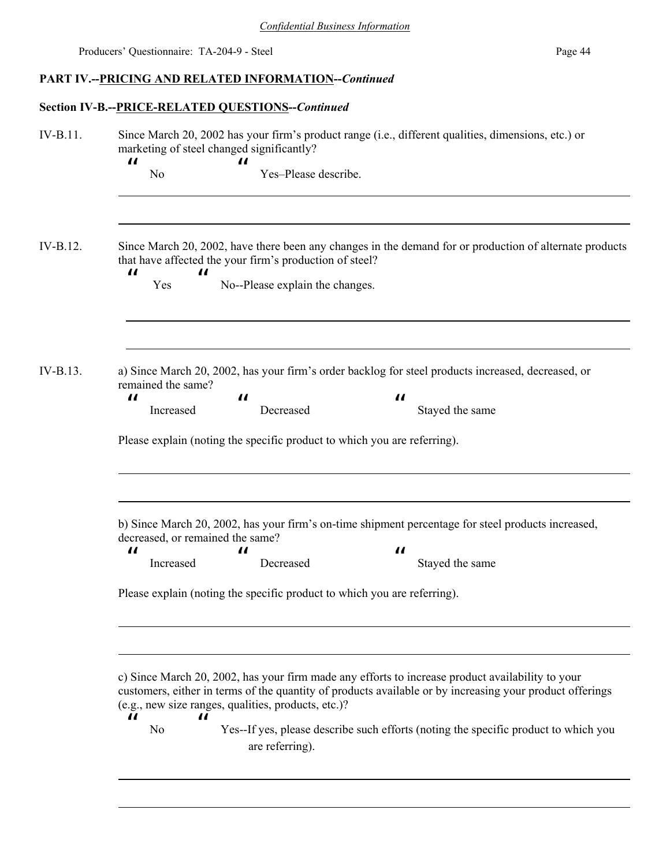# **PART IV.--PRICING AND RELATED INFORMATION--***Continued*

# **Section IV-B.--PRICE-RELATED QUESTIONS--***Continued*

| IV-B.11. | Since March 20, 2002 has your firm's product range (i.e., different qualities, dimensions, etc.) or<br>marketing of steel changed significantly?                                                                                                                                                                                                                                                                                                            |  |  |  |  |  |  |
|----------|-------------------------------------------------------------------------------------------------------------------------------------------------------------------------------------------------------------------------------------------------------------------------------------------------------------------------------------------------------------------------------------------------------------------------------------------------------------|--|--|--|--|--|--|
|          | $\boldsymbol{\mathit{II}}$<br>11<br>Yes-Please describe.<br>N <sub>0</sub>                                                                                                                                                                                                                                                                                                                                                                                  |  |  |  |  |  |  |
| IV-B.12. | Since March 20, 2002, have there been any changes in the demand for or production of alternate products<br>that have affected the your firm's production of steel?<br>$\boldsymbol{\mathit{II}}$<br>$\boldsymbol{\mathit{II}}$<br>No--Please explain the changes.<br>Yes                                                                                                                                                                                    |  |  |  |  |  |  |
| IV-B.13. | a) Since March 20, 2002, has your firm's order backlog for steel products increased, decreased, or<br>remained the same?<br>$\boldsymbol{\mathit{II}}$<br>$\boldsymbol{\mathit{II}}$<br>$\boldsymbol{\mathit{II}}$<br>Increased<br>Decreased<br>Stayed the same<br>Please explain (noting the specific product to which you are referring).                                                                                                                 |  |  |  |  |  |  |
|          | b) Since March 20, 2002, has your firm's on-time shipment percentage for steel products increased,<br>decreased, or remained the same?<br>$\boldsymbol{\mathit{II}}$<br>$\boldsymbol{\prime}$<br>$\boldsymbol{\mu}$<br>Increased<br>Decreased<br>Stayed the same<br>Please explain (noting the specific product to which you are referring).                                                                                                                |  |  |  |  |  |  |
|          | c) Since March 20, 2002, has your firm made any efforts to increase product availability to your<br>customers, either in terms of the quantity of products available or by increasing your product offerings<br>(e.g., new size ranges, qualities, products, etc.)?<br>$\boldsymbol{\mathcal{H}}$<br>$\boldsymbol{\mathit{II}}$<br>Yes--If yes, please describe such efforts (noting the specific product to which you<br>N <sub>0</sub><br>are referring). |  |  |  |  |  |  |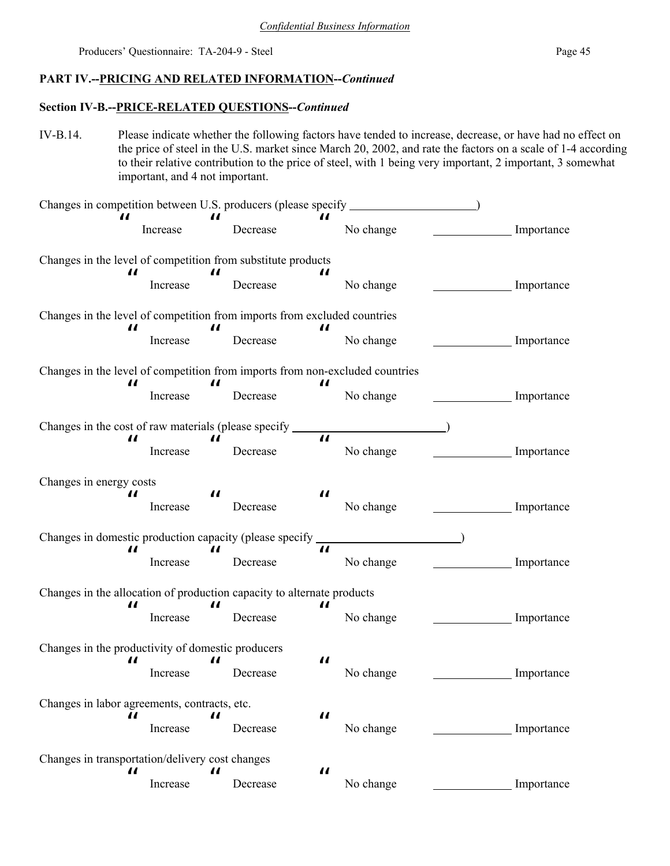## **PART IV.--PRICING AND RELATED INFORMATION--***Continued*

## **Section IV-B.--PRICE-RELATED QUESTIONS--***Continued*

IV-B.14. Please indicate whether the following factors have tended to increase, decrease, or have had no effect on the price of steel in the U.S. market since March 20, 2002, and rate the factors on a scale of 1-4 according to their relative contribution to the price of steel, with 1 being very important, 2 important, 3 somewhat important, and 4 not important.

| Changes in competition between U.S. producers (please specify                     |                                                   |                            |          |                            |           |  |                 |
|-----------------------------------------------------------------------------------|---------------------------------------------------|----------------------------|----------|----------------------------|-----------|--|-----------------|
| П                                                                                 | Increase                                          | $\boldsymbol{\mathit{II}}$ | Decrease | Н                          | No change |  | Importance      |
| Changes in the level of competition from substitute products                      |                                                   |                            |          |                            |           |  |                 |
| П                                                                                 | Increase                                          | $\boldsymbol{\mathit{II}}$ | Decrease | $\boldsymbol{\mathit{II}}$ | No change |  | Importance      |
| Changes in the level of competition from imports from excluded countries          |                                                   |                            |          |                            |           |  |                 |
| 11                                                                                | Increase                                          | $\boldsymbol{\mathit{II}}$ | Decrease | П                          | No change |  | Importance      |
| Changes in the level of competition from imports from non-excluded countries<br>П |                                                   | П                          |          | $\boldsymbol{\mathit{u}}$  |           |  |                 |
|                                                                                   | Increase                                          |                            | Decrease |                            | No change |  | Importance      |
| Changes in the cost of raw materials (please specify _________                    |                                                   |                            |          |                            |           |  |                 |
| П                                                                                 | Increase                                          | $\boldsymbol{\mathit{II}}$ | Decrease | $\boldsymbol{\mu}$         | No change |  | Importance      |
| Changes in energy costs                                                           |                                                   |                            |          |                            |           |  |                 |
| П                                                                                 | Increase                                          | $\boldsymbol{\mathit{u}}$  | Decrease | $\boldsymbol{\mathit{II}}$ | No change |  | $\_$ Importance |
| Changes in domestic production capacity (please specify ________________________  |                                                   |                            |          |                            |           |  |                 |
| П                                                                                 | Increase                                          | $\boldsymbol{\mathit{II}}$ | Decrease | $\boldsymbol{\mu}$         | No change |  | Importance      |
| Changes in the allocation of production capacity to alternate products            |                                                   |                            |          |                            |           |  |                 |
| 11                                                                                | Increase                                          | $\boldsymbol{\mathit{u}}$  | Decrease | П                          | No change |  | Importance      |
|                                                                                   | Changes in the productivity of domestic producers |                            |          |                            |           |  |                 |
| П                                                                                 | Increase                                          | П                          | Decrease | П                          | No change |  | Importance      |
| Changes in labor agreements, contracts, etc.                                      |                                                   |                            |          |                            |           |  |                 |
| $\boldsymbol{\mathit{II}}$                                                        | Increase                                          | $\boldsymbol{\mathit{II}}$ | Decrease | $\boldsymbol{\mathit{u}}$  | No change |  | Importance      |
| Changes in transportation/delivery cost changes                                   |                                                   |                            |          |                            |           |  |                 |
| П                                                                                 | Increase                                          | П                          | Decrease | $\boldsymbol{\mathit{II}}$ | No change |  | Importance      |